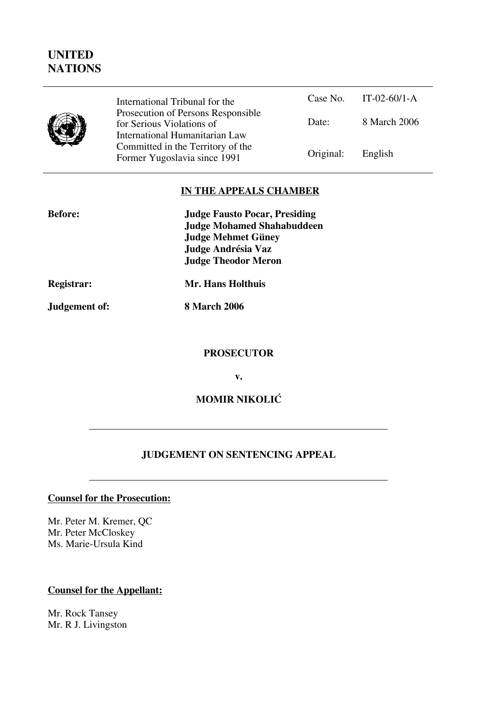# **UNITED NATIONS**



International Tribunal for the Prosecution of Persons Responsible for Serious Violations of International Humanitarian Law Committed in the Territory of the Former Yugoslavia since 1991

|           | Case No. IT-02-60/1-A |
|-----------|-----------------------|
| Date:     | 8 March 2006          |
| Original: | English               |

### **IN THE APPEALS CHAMBER**

| <b>Before:</b> | <b>Judge Fausto Pocar, Presiding</b> |
|----------------|--------------------------------------|
|                | <b>Judge Mohamed Shahabuddeen</b>    |
|                | <b>Judge Mehmet Güney</b>            |
|                | Judge Andrésia Vaz                   |
|                | <b>Judge Theodor Meron</b>           |
|                |                                      |

**Registrar: Mr. Hans Holthuis**

**Judgement of: 8 March 2006**

#### **PROSECUTOR**

**v.**

**MOMIR NIKOLIĆ** 

### **JUDGEMENT ON SENTENCING APPEAL**

#### **Counsel for the Prosecution:**

Mr. Peter M. Kremer, QC Mr. Peter McCloskey Ms. Marie-Ursula Kind

### **Counsel for the Appellant:**

Mr. Rock Tansey Mr. R J. Livingston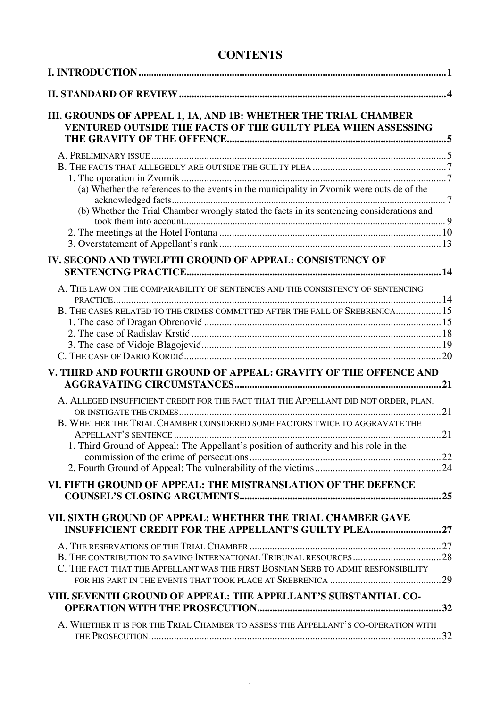# **CONTENTS**

| III. GROUNDS OF APPEAL 1, 1A, AND 1B: WHETHER THE TRIAL CHAMBER<br>VENTURED OUTSIDE THE FACTS OF THE GUILTY PLEA WHEN ASSESSING |  |
|---------------------------------------------------------------------------------------------------------------------------------|--|
|                                                                                                                                 |  |
|                                                                                                                                 |  |
|                                                                                                                                 |  |
| (a) Whether the references to the events in the municipality in Zvornik were outside of the                                     |  |
| (b) Whether the Trial Chamber wrongly stated the facts in its sentencing considerations and                                     |  |
|                                                                                                                                 |  |
|                                                                                                                                 |  |
|                                                                                                                                 |  |
| IV. SECOND AND TWELFTH GROUND OF APPEAL: CONSISTENCY OF                                                                         |  |
|                                                                                                                                 |  |
| A. THE LAW ON THE COMPARABILITY OF SENTENCES AND THE CONSISTENCY OF SENTENCING                                                  |  |
| B. THE CASES RELATED TO THE CRIMES COMMITTED AFTER THE FALL OF SREBRENICA 15                                                    |  |
|                                                                                                                                 |  |
|                                                                                                                                 |  |
|                                                                                                                                 |  |
|                                                                                                                                 |  |
| V. THIRD AND FOURTH GROUND OF APPEAL: GRAVITY OF THE OFFENCE AND                                                                |  |
| A. ALLEGED INSUFFICIENT CREDIT FOR THE FACT THAT THE APPELLANT DID NOT ORDER, PLAN,                                             |  |
| B. WHETHER THE TRIAL CHAMBER CONSIDERED SOME FACTORS TWICE TO AGGRAVATE THE                                                     |  |
| 1. Third Ground of Appeal: The Appellant's position of authority and his role in the                                            |  |
|                                                                                                                                 |  |
|                                                                                                                                 |  |
| VI. FIFTH GROUND OF APPEAL: THE MISTRANSLATION OF THE DEFENCE                                                                   |  |
| VII. SIXTH GROUND OF APPEAL: WHETHER THE TRIAL CHAMBER GAVE<br><b>INSUFFICIENT CREDIT FOR THE APPELLANT'S GUILTY PLEA 27</b>    |  |
|                                                                                                                                 |  |
|                                                                                                                                 |  |
| C. THE FACT THAT THE APPELLANT WAS THE FIRST BOSNIAN SERB TO ADMIT RESPONSIBILITY                                               |  |
|                                                                                                                                 |  |
| VIII. SEVENTH GROUND OF APPEAL: THE APPELLANT'S SUBSTANTIAL CO-                                                                 |  |
|                                                                                                                                 |  |
|                                                                                                                                 |  |
| A. WHETHER IT IS FOR THE TRIAL CHAMBER TO ASSESS THE APPELLANT'S CO-OPERATION WITH                                              |  |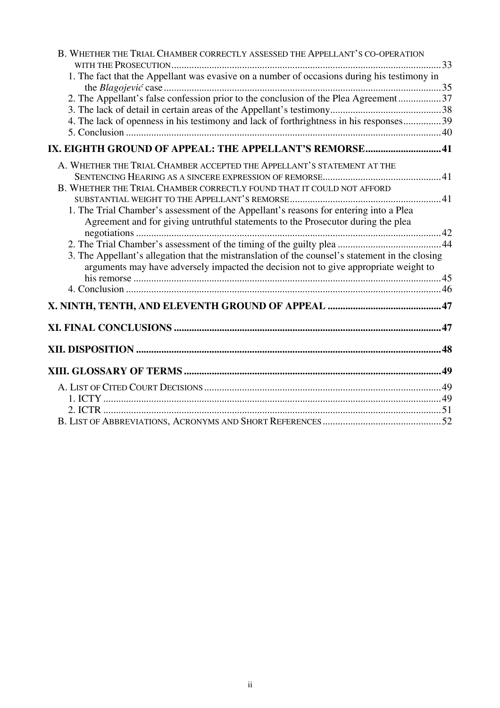| B. WHETHER THE TRIAL CHAMBER CORRECTLY ASSESSED THE APPELLANT'S CO-OPERATION                                                                                                            |  |
|-----------------------------------------------------------------------------------------------------------------------------------------------------------------------------------------|--|
|                                                                                                                                                                                         |  |
| 1. The fact that the Appellant was evasive on a number of occasions during his testimony in                                                                                             |  |
|                                                                                                                                                                                         |  |
| 2. The Appellant's false confession prior to the conclusion of the Plea Agreement37                                                                                                     |  |
|                                                                                                                                                                                         |  |
| 4. The lack of openness in his testimony and lack of forthrightness in his responses 39                                                                                                 |  |
|                                                                                                                                                                                         |  |
| IX. EIGHTH GROUND OF APPEAL: THE APPELLANT'S REMORSE 41                                                                                                                                 |  |
| A. WHETHER THE TRIAL CHAMBER ACCEPTED THE APPELLANT'S STATEMENT AT THE                                                                                                                  |  |
|                                                                                                                                                                                         |  |
| B. WHETHER THE TRIAL CHAMBER CORRECTLY FOUND THAT IT COULD NOT AFFORD                                                                                                                   |  |
|                                                                                                                                                                                         |  |
| 1. The Trial Chamber's assessment of the Appellant's reasons for entering into a Plea                                                                                                   |  |
| Agreement and for giving untruthful statements to the Prosecutor during the plea                                                                                                        |  |
|                                                                                                                                                                                         |  |
|                                                                                                                                                                                         |  |
| 3. The Appellant's allegation that the mistranslation of the counsel's statement in the closing<br>arguments may have adversely impacted the decision not to give appropriate weight to |  |
|                                                                                                                                                                                         |  |
|                                                                                                                                                                                         |  |
|                                                                                                                                                                                         |  |
|                                                                                                                                                                                         |  |
|                                                                                                                                                                                         |  |
|                                                                                                                                                                                         |  |
|                                                                                                                                                                                         |  |
|                                                                                                                                                                                         |  |
|                                                                                                                                                                                         |  |
|                                                                                                                                                                                         |  |
|                                                                                                                                                                                         |  |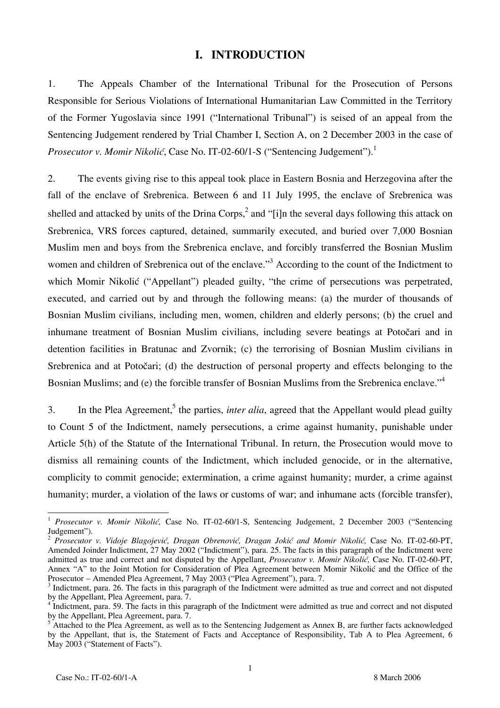#### **I. INTRODUCTION**

1. The Appeals Chamber of the International Tribunal for the Prosecution of Persons Responsible for Serious Violations of International Humanitarian Law Committed in the Territory of the Former Yugoslavia since 1991 ("International Tribunal") is seised of an appeal from the Sentencing Judgement rendered by Trial Chamber I, Section A, on 2 December 2003 in the case of *Prosecutor v. Momir Nikolić*, Case No. IT-02-60/1-S ("Sentencing Judgement").<sup>1</sup>

2. The events giving rise to this appeal took place in Eastern Bosnia and Herzegovina after the fall of the enclave of Srebrenica. Between 6 and 11 July 1995, the enclave of Srebrenica was shelled and attacked by units of the Drina Corps,<sup>2</sup> and "[i]n the several days following this attack on Srebrenica, VRS forces captured, detained, summarily executed, and buried over 7,000 Bosnian Muslim men and boys from the Srebrenica enclave, and forcibly transferred the Bosnian Muslim women and children of Srebrenica out of the enclave."<sup>3</sup> According to the count of the Indictment to which Momir Nikolić ("Appellant") pleaded guilty, "the crime of persecutions was perpetrated, executed, and carried out by and through the following means: (a) the murder of thousands of Bosnian Muslim civilians, including men, women, children and elderly persons; (b) the cruel and inhumane treatment of Bosnian Muslim civilians, including severe beatings at Potočari and in detention facilities in Bratunac and Zvornik; (c) the terrorising of Bosnian Muslim civilians in Srebrenica and at Potočari; (d) the destruction of personal property and effects belonging to the Bosnian Muslims; and (e) the forcible transfer of Bosnian Muslims from the Srebrenica enclave."<sup>4</sup>

3. In the Plea Agreement,<sup>5</sup> the parties, *inter alia*, agreed that the Appellant would plead guilty to Count 5 of the Indictment, namely persecutions, a crime against humanity, punishable under Article 5(h) of the Statute of the International Tribunal. In return, the Prosecution would move to dismiss all remaining counts of the Indictment, which included genocide, or in the alternative, complicity to commit genocide; extermination, a crime against humanity; murder, a crime against humanity; murder, a violation of the laws or customs of war; and inhumane acts (forcible transfer).

<sup>1</sup> *Prosecutor v. Momir Nikolić,* Case No. IT-02-60/1-S, Sentencing Judgement, 2 December 2003 ("Sentencing Judgement").

<sup>2</sup> *Prosecutor v. Vidoje Blagojević, Dragan Obrenović, Dragan Jokić and Momir Nikolić,* Case No. IT-02-60-PT, Amended Joinder Indictment, 27 May 2002 ("Indictment"), para. 25. The facts in this paragraph of the Indictment were admitted as true and correct and not disputed by the Appellant, *Prosecutor v. Momir Nikolić,* Case No. IT-02-60-PT, Annex "A" to the Joint Motion for Consideration of Plea Agreement between Momir Nikolić and the Office of the Prosecutor – Amended Plea Agreement, 7 May 2003 ("Plea Agreement"), para. 7. <sup>3</sup>

<sup>&</sup>lt;sup>3</sup> Indictment, para. 26. The facts in this paragraph of the Indictment were admitted as true and correct and not disputed by the Appellant, Plea Agreement, para. 7.

<sup>&</sup>lt;sup>4</sup> Indictment, para. 59. The facts in this paragraph of the Indictment were admitted as true and correct and not disputed by the Appellant, Plea Agreement, para. 7.

<sup>&</sup>lt;sup>5</sup> Attached to the Plea Agreement, as well as to the Sentencing Judgement as Annex B, are further facts acknowledged by the Appellant, that is, the Statement of Facts and Acceptance of Responsibility, Tab A to Plea Agreement, 6 May 2003 ("Statement of Facts").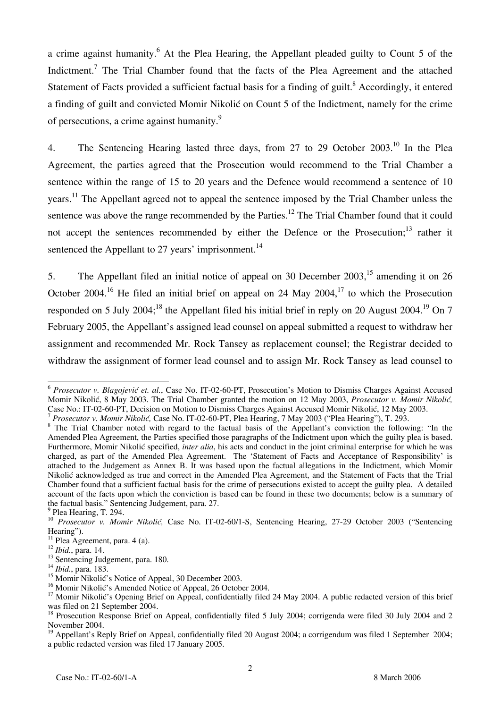a crime against humanity.<sup>6</sup> At the Plea Hearing, the Appellant pleaded guilty to Count 5 of the Indictment.<sup>7</sup> The Trial Chamber found that the facts of the Plea Agreement and the attached Statement of Facts provided a sufficient factual basis for a finding of guilt.<sup>8</sup> Accordingly, it entered a finding of guilt and convicted Momir Nikolić on Count 5 of the Indictment, namely for the crime of persecutions, a crime against humanity.<sup>9</sup>

4. The Sentencing Hearing lasted three days, from 27 to 29 October 2003.<sup>10</sup> In the Plea Agreement, the parties agreed that the Prosecution would recommend to the Trial Chamber a sentence within the range of 15 to 20 years and the Defence would recommend a sentence of 10 years.<sup>11</sup> The Appellant agreed not to appeal the sentence imposed by the Trial Chamber unless the sentence was above the range recommended by the Parties.<sup>12</sup> The Trial Chamber found that it could not accept the sentences recommended by either the Defence or the Prosecution;<sup>13</sup> rather it sentenced the Appellant to 27 years' imprisonment.<sup>14</sup>

5. The Appellant filed an initial notice of appeal on 30 December 2003,<sup>15</sup> amending it on 26 October 2004.<sup>16</sup> He filed an initial brief on appeal on 24 May 2004.<sup>17</sup> to which the Prosecution responded on 5 July 2004;<sup>18</sup> the Appellant filed his initial brief in reply on 20 August 2004.<sup>19</sup> On 7 February 2005, the Appellant's assigned lead counsel on appeal submitted a request to withdraw her assignment and recommended Mr. Rock Tansey as replacement counsel; the Registrar decided to withdraw the assignment of former lead counsel and to assign Mr. Rock Tansey as lead counsel to

 $\overline{\phantom{a}}$ <sup>6</sup> *Prosecutor v. Blagojević et. al.*, Case No. IT-02-60-PT, Prosecution's Motion to Dismiss Charges Against Accused Momir Nikolić, 8 May 2003. The Trial Chamber granted the motion on 12 May 2003, *Prosecutor v. Momir Nikolić*, Case No.: IT-02-60-PT, Decision on Motion to Dismiss Charges Against Accused Momir Nikolić, 12 May 2003.

<sup>&</sup>lt;sup>7</sup> Prosecutor v. Momir Nikolić, Case No. IT-02-60-PT, Plea Hearing, 7 May 2003 ("Plea Hearing"), T. 293.

<sup>&</sup>lt;sup>8</sup> The Trial Chamber noted with regard to the factual basis of the Appellant's conviction the following: "In the Amended Plea Agreement, the Parties specified those paragraphs of the Indictment upon which the guilty plea is based. Furthermore, Momir Nikolić specified, *inter alia*, his acts and conduct in the joint criminal enterprise for which he was charged, as part of the Amended Plea Agreement. The 'Statement of Facts and Acceptance of Responsibility' is attached to the Judgement as Annex B. It was based upon the factual allegations in the Indictment, which Momir Nikolić acknowledged as true and correct in the Amended Plea Agreement, and the Statement of Facts that the Trial Chamber found that a sufficient factual basis for the crime of persecutions existed to accept the guilty plea. A detailed account of the facts upon which the conviction is based can be found in these two documents; below is a summary of the factual basis." Sentencing Judgement, para. 27.

<sup>&</sup>lt;sup>9</sup> Plea Hearing, T. 294.

<sup>10</sup> *Prosecutor v. Momir Nikolić,* Case No. IT-02-60/1-S, Sentencing Hearing, 27-29 October 2003 ("Sentencing Hearing").

<sup>&</sup>lt;sup>11</sup> Plea Agreement, para. 4 (a).<br><sup>12</sup> Ibid., para. 14.

<sup>&</sup>lt;sup>13</sup> Sentencing Judgement, para. 180.

<sup>14</sup> *Ibid.*, para. 183.

 $^{15}$  Momir Nikolić's Notice of Appeal, 30 December 2003.

<sup>&</sup>lt;sup>16</sup> Momir Nikolić's Amended Notice of Appeal, 26 October 2004.

<sup>&</sup>lt;sup>17</sup> Momir Nikolić's Opening Brief on Appeal, confidentially filed 24 May 2004. A public redacted version of this brief was filed on 21 September 2004.

<sup>&</sup>lt;sup>18</sup> Prosecution Response Brief on Appeal, confidentially filed 5 July 2004; corrigenda were filed 30 July 2004 and 2 November 2004.

<sup>&</sup>lt;sup>19</sup> Appellant's Reply Brief on Appeal, confidentially filed 20 August 2004; a corrigendum was filed 1 September 2004; a public redacted version was filed 17 January 2005.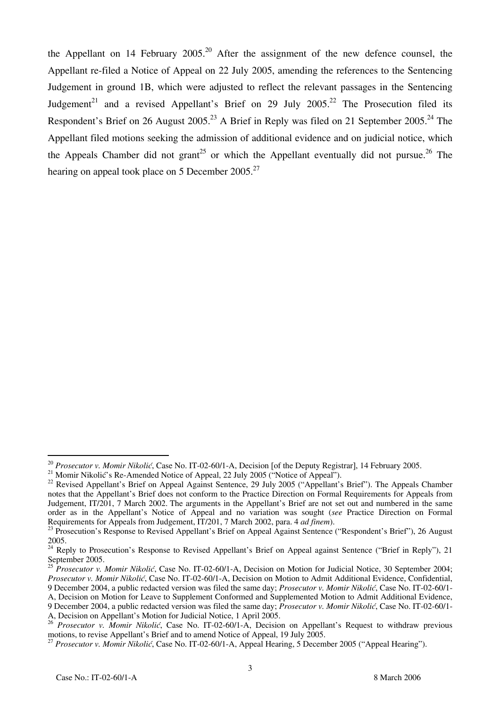the Appellant on 14 February  $2005<sup>20</sup>$  After the assignment of the new defence counsel, the Appellant re-filed a Notice of Appeal on 22 July 2005, amending the references to the Sentencing Judgement in ground 1B, which were adjusted to reflect the relevant passages in the Sentencing Judgement<sup>21</sup> and a revised Appellant's Brief on 29 July 2005.<sup>22</sup> The Prosecution filed its Respondent's Brief on 26 August 2005.<sup>23</sup> A Brief in Reply was filed on 21 September 2005.<sup>24</sup> The Appellant filed motions seeking the admission of additional evidence and on judicial notice, which the Appeals Chamber did not grant<sup>25</sup> or which the Appellant eventually did not pursue.<sup>26</sup> The hearing on appeal took place on 5 December 2005.<sup>27</sup>

A, Decision on Motion for Leave to Supplement Conformed and Supplemented Motion to Admit Additional Evidence,

 $\overline{a}$ <sup>20</sup> *Prosecutor v. Momir Nikolić*, Case No. IT-02-60/1-A, Decision [of the Deputy Registrar], 14 February 2005.<br><sup>21</sup> Momir Nikolić's Re-Amended Notice of Appeal, 22 July 2005 ("Notice of Appeal").

<sup>&</sup>lt;sup>22</sup> Revised Appellant's Brief on Appeal Against Sentence, 29 July 2005 ("Appellant's Brief"). The Appeals Chamber notes that the Appellant's Brief does not conform to the Practice Direction on Formal Requirements for Appeals from Judgement, IT/201, 7 March 2002. The arguments in the Appellant's Brief are not set out and numbered in the same order as in the Appellant's Notice of Appeal and no variation was sought (*see* Practice Direction on Formal Requirements for Appeals from Judgement. IT/201. 7 March 2002. para. 4 *ad finem*).

<sup>&</sup>lt;sup>23</sup> Prosecution's Response to Revised Appellant's Brief on Appeal Against Sentence ("Respondent's Brief"), 26 August 2005.

<sup>&</sup>lt;sup>24</sup> Reply to Prosecution's Response to Revised Appellant's Brief on Appeal against Sentence ("Brief in Reply"), 21 September 2005.

<sup>&</sup>lt;sup>25</sup> *Prosecutor v. Momir Nikolić*, Case No. IT-02-60/1-A, Decision on Motion for Judicial Notice, 30 September 2004; *Prosecutor v. Momir Nikoli}*, Case No. IT-02-60/1-A, Decision on Motion to Admit Additional Evidence, Confidential, 9 December 2004, a public redacted version was filed the same day; *Prosecutor v. Momir Nikoli}*, Case No. IT-02-60/1-

<sup>9</sup> December 2004, a public redacted version was filed the same day; *Prosecutor v. Momir Nikoli}*, Case No. IT-02-60/1- A, Decision on Appellant's Motion for Judicial Notice, 1 April 2005.

<sup>&</sup>lt;sup>26'</sup> Prosecutor v. Momir Nikolić, Case No. IT-02-60/1-A, Decision on Appellant's Request to withdraw previous motions, to revise Appellant's Brief and to amend Notice of Appeal, 19 July 2005.

<sup>&</sup>lt;sup>27</sup> Prosecutor v. Momir Nikolić, Case No. IT-02-60/1-A, Appeal Hearing, 5 December 2005 ("Appeal Hearing").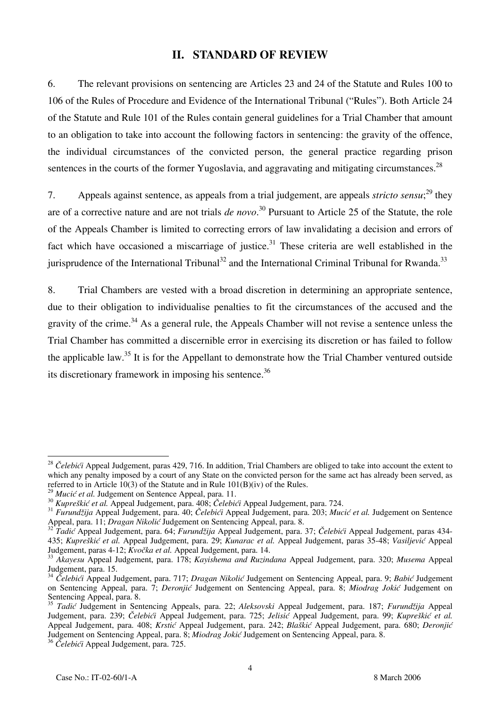### **II. STANDARD OF REVIEW**

6. The relevant provisions on sentencing are Articles 23 and 24 of the Statute and Rules 100 to 106 of the Rules of Procedure and Evidence of the International Tribunal ("Rules"). Both Article 24 of the Statute and Rule 101 of the Rules contain general guidelines for a Trial Chamber that amount to an obligation to take into account the following factors in sentencing: the gravity of the offence, the individual circumstances of the convicted person, the general practice regarding prison sentences in the courts of the former Yugoslavia, and aggravating and mitigating circumstances.<sup>28</sup>

7. Appeals against sentence, as appeals from a trial judgement, are appeals *stricto sensu*; 29 they are of a corrective nature and are not trials *de novo*. 30 Pursuant to Article 25 of the Statute, the role of the Appeals Chamber is limited to correcting errors of law invalidating a decision and errors of fact which have occasioned a miscarriage of justice.<sup>31</sup> These criteria are well established in the jurisprudence of the International Tribunal<sup>32</sup> and the International Criminal Tribunal for Rwanda.<sup>33</sup>

8. Trial Chambers are vested with a broad discretion in determining an appropriate sentence, due to their obligation to individualise penalties to fit the circumstances of the accused and the gravity of the crime.<sup>34</sup> As a general rule, the Appeals Chamber will not revise a sentence unless the Trial Chamber has committed a discernible error in exercising its discretion or has failed to follow the applicable law.<sup>35</sup> It is for the Appellant to demonstrate how the Trial Chamber ventured outside its discretionary framework in imposing his sentence.<sup>36</sup>

 $\overline{1}$ <sup>28</sup> *Čelebići* Appeal Judgement, paras 429, 716. In addition, Trial Chambers are obliged to take into account the extent to which any penalty imposed by a court of any State on the convicted person for the same act has already been served, as referred to in Article 10(3) of the Statute and in Rule 101(B)(iv) of the Rules.<br><sup>29</sup> *Mucić et al.* Judgement on Sentence Appeal, para. 11.

*Mache et al. Suggenent on Echebier (Speak, parallytics)*<br><sup>30</sup> *Kupreškić et al. Appeal Judgement, para. 408; Čelebići Appeal Judgement, para. 724.*<br><sup>31</sup> *Furundžija Appeal Judgement, para. 40; Čelebići Appeal Judgement, p* 

<sup>&</sup>lt;sup>32</sup>Tadić Appeal Judgement, para. 64; *Furundžija* Appeal Judgement, para. 37; Čelebići Appeal Judgement, paras 434-435; *Kupreškić et al.* Appeal Judgement, para. 29; *Kunarac et al.* Appeal Judgement, paras 35-48; *Vasiljević* Appeal

Judgement, paras 4-12; *Kvočka et al.* Appeal Judgement, para. 14. <sup>33</sup> *Akayesu* Appeal Judgement, para. 178; *Kayishema and Ruzindana* Appeal Judgement, para. 320; *Musema* Appeal Judgement, para. 15.

<sup>34</sup> *Čelebići* Appeal Judgement, para. 717; *Dragan Nikolić* Judgement on Sentencing Appeal, para. 9; *Babić* Judgement on Sentencing Appeal, para. 7; *Deronjić* Judgement on Sentencing Appeal, para. 8; *Miodrag Jokić* Judgement on Sentencing Appeal, para. 8.

<sup>35</sup> *Tadić* Judgement in Sentencing Appeals, para. 22; *Aleksovski* Appeal Judgement, para. 187; *Furund`ija* Appeal Judgement, para. 239; *Čelebići* Appeal Judgement, para. 725; *Jelisić* Appeal Judgement, para. 99; *Kupre{ki} et al.* Appeal Judgement, para. 408; *Krstić* Appeal Judgement, para. 242; *Blaškić* Appeal Judgement, para. 680; *Deronjić* Judgement on Sentencing Appeal, para. 8; *Miodrag Jokić* Judgement on Sentencing Appeal, para. 8.

<sup>36</sup> *Čelebići* Appeal Judgement, para. 725.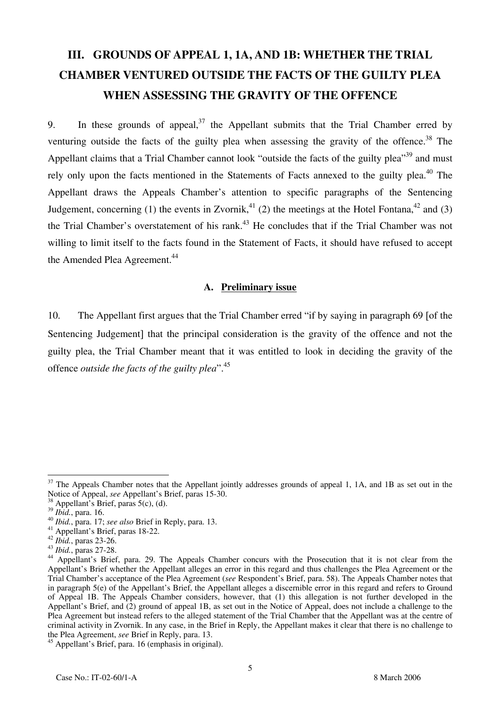# **III. GROUNDS OF APPEAL 1, 1A, AND 1B: WHETHER THE TRIAL CHAMBER VENTURED OUTSIDE THE FACTS OF THE GUILTY PLEA WHEN ASSESSING THE GRAVITY OF THE OFFENCE**

9. In these grounds of appeal,  $37$  the Appellant submits that the Trial Chamber erred by venturing outside the facts of the guilty plea when assessing the gravity of the offence.<sup>38</sup> The Appellant claims that a Trial Chamber cannot look "outside the facts of the guilty plea"<sup>39</sup> and must rely only upon the facts mentioned in the Statements of Facts annexed to the guilty plea.<sup>40</sup> The Appellant draws the Appeals Chamber's attention to specific paragraphs of the Sentencing Judgement, concerning (1) the events in Zvornik,<sup>41</sup> (2) the meetings at the Hotel Fontana,<sup>42</sup> and (3) the Trial Chamber's overstatement of his rank.<sup>43</sup> He concludes that if the Trial Chamber was not willing to limit itself to the facts found in the Statement of Facts, it should have refused to accept the Amended Plea Agreement.<sup>44</sup>

#### **A. Preliminary issue**

10. The Appellant first argues that the Trial Chamber erred "if by saying in paragraph 69 [of the Sentencing Judgement] that the principal consideration is the gravity of the offence and not the guilty plea, the Trial Chamber meant that it was entitled to look in deciding the gravity of the offence *outside the facts of the guilty plea*".45

 $37$  The Appeals Chamber notes that the Appellant jointly addresses grounds of appeal 1, 1A, and 1B as set out in the Notice of Appeal, *see* Appellant's Brief, paras 15-30.<br><sup>38</sup> Appellant's Brief, paras 5(c), (d).<br><sup>39</sup> Ibid., para. 16.

<sup>&</sup>lt;sup>40</sup> *Ibid.*, para. 17; *see also* Brief in Reply, para. 13.<br><sup>41</sup> Appellant's Brief, paras 18-22.<br><sup>42</sup> *Ibid.*, paras 23-26.

<sup>&</sup>lt;sup>43</sup> *Ibid.*, paras 27-28.<br><sup>44</sup> Appellant's Brief, para. 29. The Appeals Chamber concurs with the Prosecution that it is not clear from the Appellant's Brief whether the Appellant alleges an error in this regard and thus challenges the Plea Agreement or the Trial Chamber's acceptance of the Plea Agreement (*see* Respondent's Brief, para. 58). The Appeals Chamber notes that in paragraph 5(e) of the Appellant's Brief, the Appellant alleges a discernible error in this regard and refers to Ground of Appeal 1B. The Appeals Chamber considers, however, that (1) this allegation is not further developed in the Appellant's Brief, and (2) ground of appeal 1B, as set out in the Notice of Appeal, does not include a challenge to the Plea Agreement but instead refers to the alleged statement of the Trial Chamber that the Appellant was at the centre of criminal activity in Zvornik. In any case, in the Brief in Reply, the Appellant makes it clear that there is no challenge to the Plea Agreement, *see* Brief in Reply, para. 13.

<sup>45</sup> Appellant's Brief, para. 16 (emphasis in original).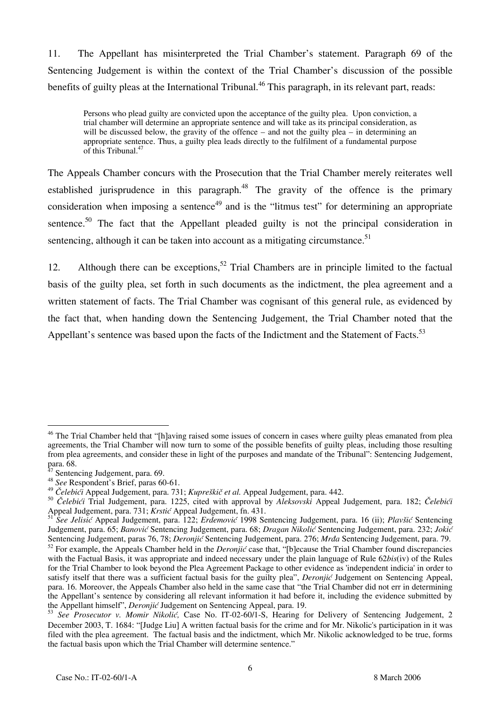11. The Appellant has misinterpreted the Trial Chamber's statement. Paragraph 69 of the Sentencing Judgement is within the context of the Trial Chamber's discussion of the possible benefits of guilty pleas at the International Tribunal.<sup>46</sup> This paragraph, in its relevant part, reads:

Persons who plead guilty are convicted upon the acceptance of the guilty plea. Upon conviction, a trial chamber will determine an appropriate sentence and will take as its principal consideration, as will be discussed below, the gravity of the offence – and not the guilty plea – in determining an appropriate sentence. Thus, a guilty plea leads directly to the fulfilment of a fundamental purpose of this Tribunal.<sup>47</sup>

The Appeals Chamber concurs with the Prosecution that the Trial Chamber merely reiterates well established jurisprudence in this paragraph.<sup>48</sup> The gravity of the offence is the primary consideration when imposing a sentence<sup>49</sup> and is the "litmus test" for determining an appropriate sentence.<sup>50</sup> The fact that the Appellant pleaded guilty is not the principal consideration in sentencing, although it can be taken into account as a mitigating circumstance. $51$ 

12. Although there can be exceptions,<sup>52</sup> Trial Chambers are in principle limited to the factual basis of the guilty plea, set forth in such documents as the indictment, the plea agreement and a written statement of facts. The Trial Chamber was cognisant of this general rule, as evidenced by the fact that, when handing down the Sentencing Judgement, the Trial Chamber noted that the Appellant's sentence was based upon the facts of the Indictment and the Statement of Facts.<sup>53</sup>

<sup>&</sup>lt;sup>46</sup> The Trial Chamber held that "[h]aving raised some issues of concern in cases where guilty pleas emanated from plea agreements, the Trial Chamber will now turn to some of the possible benefits of guilty pleas, including those resulting from plea agreements, and consider these in light of the purposes and mandate of the Tribunal": Sentencing Judgement, para. 68.

Sentencing Judgement, para. 69.

<sup>48</sup> *See* Respondent's Brief, paras 60-61.

<sup>49</sup> *Čelebići* Appeal Judgement, para. 731; *Kupreškič et al.* Appeal Judgement, para. 442.

<sup>50</sup> *Èelebiæi* Trial Judgement, para. 1225, cited with approval by *Aleksovski* Appeal Judgement, para. 182; *Èelebiæi* Appeal Judgement, para. 731; *Krstić* Appeal Judgement, fn. 431.

<sup>51</sup> *See Jelisić* Appeal Judgement, para. 122; *Erdemovi}* 1998 Sentencing Judgement, para. 16 (ii); *Plavšić* Sentencing Judgement, para. 65; *Banović* Sentencing Judgement, para. 68; *Dragan Nikolić* Sentencing Judgement, para. 232; *Jokić* Sentencing Judgement, paras 76, 78; *Deronjić* Sentencing Judgement, para. 276; *Mrđa* Sentencing Judgement, para. 79. <sup>52</sup> For example, the Appeals Chamber held in the *Deronjić* case that, "[b]ecause the Trial Chamber found discrepancies with the Factual Basis, it was appropriate and indeed necessary under the plain language of Rule 62*bis*(iv) of the Rules for the Trial Chamber to look beyond the Plea Agreement Package to other evidence as 'independent indicia' in order to satisfy itself that there was a sufficient factual basis for the guilty plea", *Deronjić* Judgement on Sentencing Appeal, para. 16. Moreover, the Appeals Chamber also held in the same case that "the Trial Chamber did not err in determining the Appellant's sentence by considering all relevant information it had before it, including the evidence submitted by the Appellant himself", *Deronjić* Judgement on Sentencing Appeal, para. 19.

<sup>53</sup> *See Prosecutor v. Momir Nikolić,* Case No. IT-02-60/1-S, Hearing for Delivery of Sentencing Judgement, 2 December 2003, T. 1684: "[Judge Liu] A written factual basis for the crime and for Mr. Nikolic's participation in it was filed with the plea agreement. The factual basis and the indictment, which Mr. Nikolic acknowledged to be true, forms the factual basis upon which the Trial Chamber will determine sentence."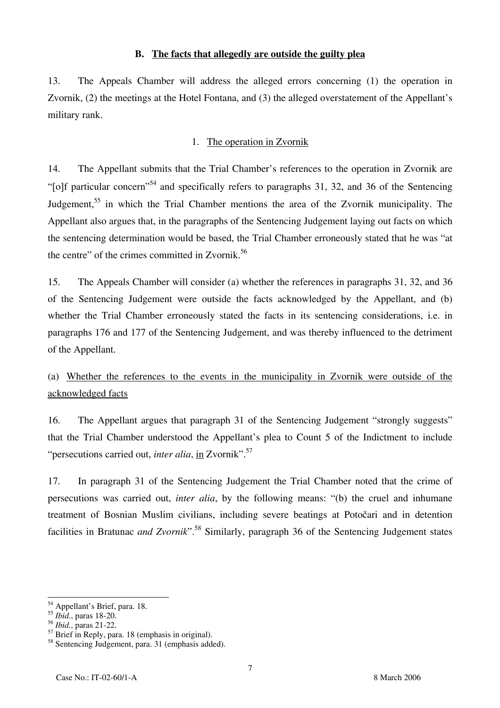#### **B. The facts that allegedly are outside the guilty plea**

13. The Appeals Chamber will address the alleged errors concerning (1) the operation in Zvornik, (2) the meetings at the Hotel Fontana, and (3) the alleged overstatement of the Appellant's military rank.

### 1. The operation in Zvornik

14. The Appellant submits that the Trial Chamber's references to the operation in Zvornik are "[o]f particular concern"<sup>54</sup> and specifically refers to paragraphs 31, 32, and 36 of the Sentencing Judgement,<sup>55</sup> in which the Trial Chamber mentions the area of the Zvornik municipality. The Appellant also argues that, in the paragraphs of the Sentencing Judgement laying out facts on which the sentencing determination would be based, the Trial Chamber erroneously stated that he was "at the centre" of the crimes committed in Zvornik.<sup>56</sup>

15. The Appeals Chamber will consider (a) whether the references in paragraphs 31, 32, and 36 of the Sentencing Judgement were outside the facts acknowledged by the Appellant, and (b) whether the Trial Chamber erroneously stated the facts in its sentencing considerations, i.e. in paragraphs 176 and 177 of the Sentencing Judgement, and was thereby influenced to the detriment of the Appellant.

# (a) Whether the references to the events in the municipality in Zvornik were outside of the acknowledged facts

16. The Appellant argues that paragraph 31 of the Sentencing Judgement "strongly suggests" that the Trial Chamber understood the Appellant's plea to Count 5 of the Indictment to include "persecutions carried out, *inter alia*, in Zvornik".<sup>57</sup>

17. In paragraph 31 of the Sentencing Judgement the Trial Chamber noted that the crime of persecutions was carried out, *inter alia*, by the following means: "(b) the cruel and inhumane treatment of Bosnian Muslim civilians, including severe beatings at Potočari and in detention facilities in Bratunac *and Zvornik*".58 Similarly, paragraph 36 of the Sentencing Judgement states

 $\overline{a}$ <sup>54</sup> Appellant's Brief, para. 18.

<sup>55</sup> *Ibid.*, paras 18-20.

<sup>56</sup> *Ibid.*, paras 21-22.

 $57$  Brief in Reply, para. 18 (emphasis in original).

<sup>58</sup> Sentencing Judgement, para. 31 (emphasis added).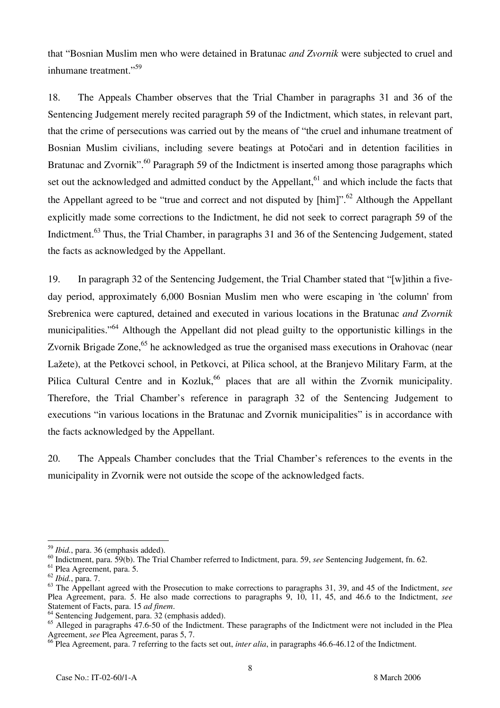that "Bosnian Muslim men who were detained in Bratunac *and Zvornik* were subjected to cruel and inhumane treatment."<sup>59</sup>

18. The Appeals Chamber observes that the Trial Chamber in paragraphs 31 and 36 of the Sentencing Judgement merely recited paragraph 59 of the Indictment, which states, in relevant part, that the crime of persecutions was carried out by the means of "the cruel and inhumane treatment of Bosnian Muslim civilians, including severe beatings at Potočari and in detention facilities in Bratunac and Zvornik".<sup>60</sup> Paragraph 59 of the Indictment is inserted among those paragraphs which set out the acknowledged and admitted conduct by the Appellant, $61$  and which include the facts that the Appellant agreed to be "true and correct and not disputed by  $[\text{him}]$ ".<sup>62</sup> Although the Appellant explicitly made some corrections to the Indictment, he did not seek to correct paragraph 59 of the Indictment.<sup>63</sup> Thus, the Trial Chamber, in paragraphs 31 and 36 of the Sentencing Judgement, stated the facts as acknowledged by the Appellant.

19. In paragraph 32 of the Sentencing Judgement, the Trial Chamber stated that "[w]ithin a fiveday period, approximately 6,000 Bosnian Muslim men who were escaping in 'the column' from Srebrenica were captured, detained and executed in various locations in the Bratunac *and Zvornik* municipalities."<sup>64</sup> Although the Appellant did not plead guilty to the opportunistic killings in the Zvornik Brigade Zone,<sup>65</sup> he acknowledged as true the organised mass executions in Orahovac (near Lažete), at the Petkovci school, in Petkovci, at Pilica school, at the Branjevo Military Farm, at the Pilica Cultural Centre and in Kozluk,<sup>66</sup> places that are all within the Zvornik municipality. Therefore, the Trial Chamber's reference in paragraph 32 of the Sentencing Judgement to executions "in various locations in the Bratunac and Zvornik municipalities" is in accordance with the facts acknowledged by the Appellant.

20. The Appeals Chamber concludes that the Trial Chamber's references to the events in the municipality in Zvornik were not outside the scope of the acknowledged facts.

<sup>59</sup> *Ibid.*, para. 36 (emphasis added).

<sup>60</sup> Indictment, para. 59(b). The Trial Chamber referred to Indictment, para. 59, *see* Sentencing Judgement, fn. 62.

<sup>61</sup> Plea Agreement, para. 5.

<sup>62</sup> *Ibid.*, para. 7.

<sup>63</sup> The Appellant agreed with the Prosecution to make corrections to paragraphs 31, 39, and 45 of the Indictment, *see* Plea Agreement, para. 5. He also made corrections to paragraphs 9, 10, 11, 45, and 46.6 to the Indictment, *see*<br>Statement of Facts, para. 15 *ad finem*.

<sup>&</sup>lt;sup>64</sup> Sentencing Judgement, para. 32 (emphasis added).

<sup>&</sup>lt;sup>65</sup> Alleged in paragraphs 47.6-50 of the Indictment. These paragraphs of the Indictment were not included in the Plea Agreement, *see* Plea Agreement, paras 5, 7.

<sup>&</sup>lt;sup>66</sup> Plea Agreement, para. 7 referring to the facts set out, *inter alia*, in paragraphs 46.6-46.12 of the Indictment.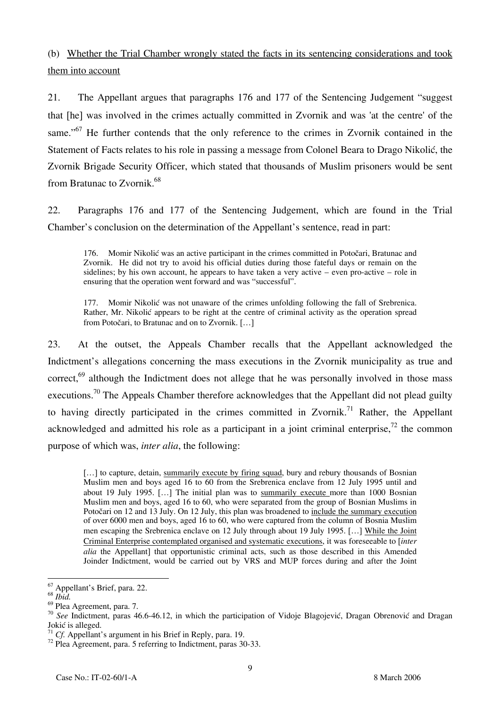(b) Whether the Trial Chamber wrongly stated the facts in its sentencing considerations and took them into account

21. The Appellant argues that paragraphs 176 and 177 of the Sentencing Judgement "suggest that [he] was involved in the crimes actually committed in Zvornik and was 'at the centre' of the same."<sup>67</sup> He further contends that the only reference to the crimes in Zvornik contained in the Statement of Facts relates to his role in passing a message from Colonel Beara to Drago Nikolić, the Zvornik Brigade Security Officer, which stated that thousands of Muslim prisoners would be sent from Bratunac to Zvornik.68

22. Paragraphs 176 and 177 of the Sentencing Judgement, which are found in the Trial Chamber's conclusion on the determination of the Appellant's sentence, read in part:

176. Momir Nikolić was an active participant in the crimes committed in Potočari, Bratunac and Zvornik. He did not try to avoid his official duties during those fateful days or remain on the sidelines; by his own account, he appears to have taken a very active – even pro-active – role in ensuring that the operation went forward and was "successful".

177. Momir Nikolić was not unaware of the crimes unfolding following the fall of Srebrenica. Rather, Mr. Nikolić appears to be right at the centre of criminal activity as the operation spread from Potočari, to Bratunac and on to Zvornik. […]

23. At the outset, the Appeals Chamber recalls that the Appellant acknowledged the Indictment's allegations concerning the mass executions in the Zvornik municipality as true and correct,<sup>69</sup> although the Indictment does not allege that he was personally involved in those mass executions.<sup>70</sup> The Appeals Chamber therefore acknowledges that the Appellant did not plead guilty to having directly participated in the crimes committed in Zvornik.<sup>71</sup> Rather, the Appellant acknowledged and admitted his role as a participant in a joint criminal enterprise,<sup>72</sup> the common purpose of which was, *inter alia*, the following:

[...] to capture, detain, summarily execute by firing squad, bury and rebury thousands of Bosnian Muslim men and boys aged 16 to 60 from the Srebrenica enclave from 12 July 1995 until and about 19 July 1995. […] The initial plan was to summarily execute more than 1000 Bosnian Muslim men and boys, aged 16 to 60, who were separated from the group of Bosnian Muslims in Potočari on 12 and 13 July. On 12 July, this plan was broadened to include the summary execution of over 6000 men and boys, aged 16 to 60, who were captured from the column of Bosnia Muslim men escaping the Srebrenica enclave on 12 July through about 19 July 1995. […] While the Joint Criminal Enterprise contemplated organised and systematic executions, it was foreseeable to [*inter alia* the Appellant] that opportunistic criminal acts, such as those described in this Amended Joinder Indictment, would be carried out by VRS and MUP forces during and after the Joint

 $\overline{\phantom{a}}$ 

<sup>67</sup> Appellant's Brief, para. 22.

<sup>68</sup> *Ibid.*

<sup>69</sup> Plea Agreement, para. 7.

<sup>&</sup>lt;sup>70</sup> See Indictment, paras 46.6-46.12, in which the participation of Vidoje Blagojević, Dragan Obrenović and Dragan Jokić is alleged.<br> $^{71}$  Cf. Appellant's argument in his Brief in Reply, para. 19.

<sup>&</sup>lt;sup>72</sup> Plea Agreement, para. 5 referring to Indictment, paras 30-33.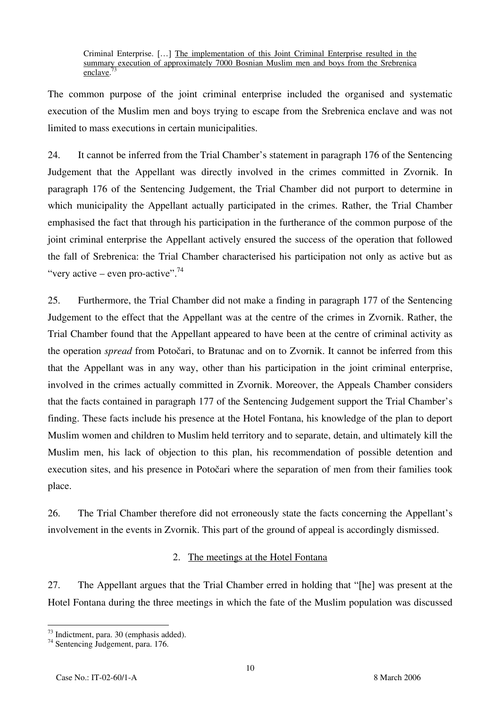Criminal Enterprise. […] The implementation of this Joint Criminal Enterprise resulted in the summary execution of approximately 7000 Bosnian Muslim men and boys from the Srebrenica enclave.

The common purpose of the joint criminal enterprise included the organised and systematic execution of the Muslim men and boys trying to escape from the Srebrenica enclave and was not limited to mass executions in certain municipalities.

24. It cannot be inferred from the Trial Chamber's statement in paragraph 176 of the Sentencing Judgement that the Appellant was directly involved in the crimes committed in Zvornik. In paragraph 176 of the Sentencing Judgement, the Trial Chamber did not purport to determine in which municipality the Appellant actually participated in the crimes. Rather, the Trial Chamber emphasised the fact that through his participation in the furtherance of the common purpose of the joint criminal enterprise the Appellant actively ensured the success of the operation that followed the fall of Srebrenica: the Trial Chamber characterised his participation not only as active but as "very active – even pro-active".<sup>74</sup>

25. Furthermore, the Trial Chamber did not make a finding in paragraph 177 of the Sentencing Judgement to the effect that the Appellant was at the centre of the crimes in Zvornik. Rather, the Trial Chamber found that the Appellant appeared to have been at the centre of criminal activity as the operation *spread* from Potočari, to Bratunac and on to Zvornik. It cannot be inferred from this that the Appellant was in any way, other than his participation in the joint criminal enterprise, involved in the crimes actually committed in Zvornik. Moreover, the Appeals Chamber considers that the facts contained in paragraph 177 of the Sentencing Judgement support the Trial Chamber's finding. These facts include his presence at the Hotel Fontana, his knowledge of the plan to deport Muslim women and children to Muslim held territory and to separate, detain, and ultimately kill the Muslim men, his lack of objection to this plan, his recommendation of possible detention and execution sites, and his presence in Potočari where the separation of men from their families took place.

26. The Trial Chamber therefore did not erroneously state the facts concerning the Appellant's involvement in the events in Zvornik. This part of the ground of appeal is accordingly dismissed.

### 2. The meetings at the Hotel Fontana

27. The Appellant argues that the Trial Chamber erred in holding that "[he] was present at the Hotel Fontana during the three meetings in which the fate of the Muslim population was discussed

 $\overline{a}$ <sup>73</sup> Indictment, para. 30 (emphasis added).

<sup>74</sup> Sentencing Judgement, para. 176.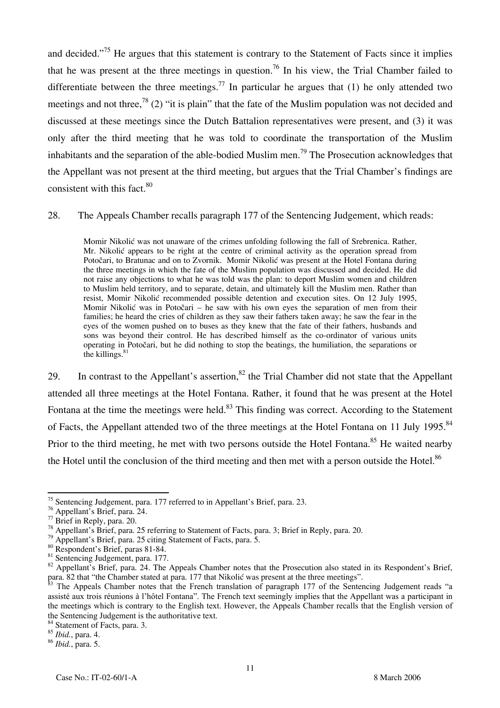and decided."<sup>75</sup> He argues that this statement is contrary to the Statement of Facts since it implies that he was present at the three meetings in question.<sup>76</sup> In his view, the Trial Chamber failed to differentiate between the three meetings.<sup>77</sup> In particular he argues that (1) he only attended two meetings and not three,<sup>78</sup> (2) "it is plain" that the fate of the Muslim population was not decided and discussed at these meetings since the Dutch Battalion representatives were present, and (3) it was only after the third meeting that he was told to coordinate the transportation of the Muslim inhabitants and the separation of the able-bodied Muslim men.<sup>79</sup> The Prosecution acknowledges that the Appellant was not present at the third meeting, but argues that the Trial Chamber's findings are consistent with this fact. $80$ 

#### 28. The Appeals Chamber recalls paragraph 177 of the Sentencing Judgement, which reads:

Momir Nikolić was not unaware of the crimes unfolding following the fall of Srebrenica. Rather, Mr. Nikolić appears to be right at the centre of criminal activity as the operation spread from Potočari, to Bratunac and on to Zvornik. Momir Nikolić was present at the Hotel Fontana during the three meetings in which the fate of the Muslim population was discussed and decided. He did not raise any objections to what he was told was the plan: to deport Muslim women and children to Muslim held territory, and to separate, detain, and ultimately kill the Muslim men. Rather than resist, Momir Nikolić recommended possible detention and execution sites. On 12 July 1995, Momir Nikolić was in Potočari – he saw with his own eyes the separation of men from their families; he heard the cries of children as they saw their fathers taken away; he saw the fear in the eyes of the women pushed on to buses as they knew that the fate of their fathers, husbands and sons was beyond their control. He has described himself as the co-ordinator of various units operating in Potočari, but he did nothing to stop the beatings, the humiliation, the separations or the killings.<sup>81</sup>

29. In contrast to the Appellant's assertion,  $82$  the Trial Chamber did not state that the Appellant attended all three meetings at the Hotel Fontana. Rather, it found that he was present at the Hotel Fontana at the time the meetings were held.<sup>83</sup> This finding was correct. According to the Statement of Facts, the Appellant attended two of the three meetings at the Hotel Fontana on 11 July 1995.<sup>84</sup> Prior to the third meeting, he met with two persons outside the Hotel Fontana.<sup>85</sup> He waited nearby the Hotel until the conclusion of the third meeting and then met with a person outside the Hotel.<sup>86</sup>

 $\overline{a}$  $\frac{75}{10}$  Sentencing Judgement, para. 177 referred to in Appellant's Brief, para. 23.

<sup>76</sup> Appellant's Brief, para. 24.

<sup>77</sup> Brief in Reply, para. 20.

<sup>78</sup> Appellant's Brief, para. 25 referring to Statement of Facts, para. 3; Brief in Reply, para. 20.

 $79$  Appellant's Brief, para. 25 citing Statement of Facts, para. 5.

<sup>80</sup> Respondent's Brief, paras 81-84.

<sup>&</sup>lt;sup>81</sup> Sentencing Judgement, para. 177.

 $82$  Appellant's Brief, para. 24. The Appeals Chamber notes that the Prosecution also stated in its Respondent's Brief, para. 82 that "the Chamber stated at para. 177 that Nikolić was present at the three meetings".

 $3$  The Appeals Chamber notes that the French translation of paragraph 177 of the Sentencing Judgement reads "a assisté aux trois réunions à l'hôtel Fontana". The French text seemingly implies that the Appellant was a participant in the meetings which is contrary to the English text. However, the Appeals Chamber recalls that the English version of the Sentencing Judgement is the authoritative text. 84 Statement of Facts, para. 3.

<sup>85</sup> *Ibid.*, para. 4.

<sup>86</sup> *Ibid.*, para. 5.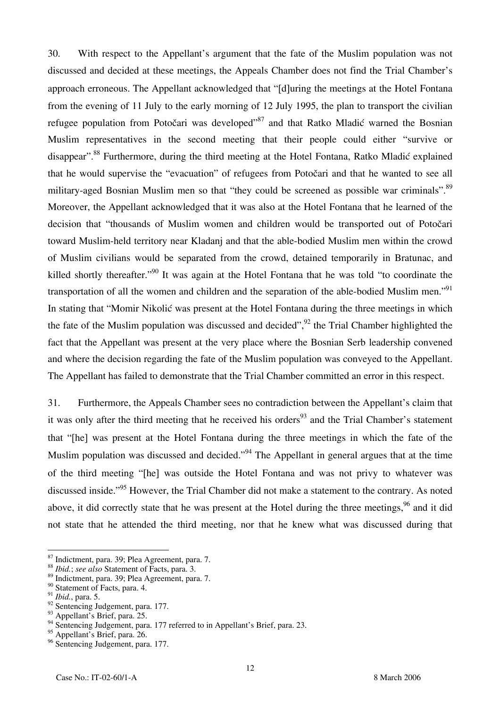30. With respect to the Appellant's argument that the fate of the Muslim population was not discussed and decided at these meetings, the Appeals Chamber does not find the Trial Chamber's approach erroneous. The Appellant acknowledged that "[d]uring the meetings at the Hotel Fontana from the evening of 11 July to the early morning of 12 July 1995, the plan to transport the civilian refugee population from Potočari was developed"<sup>87</sup> and that Ratko Mladić warned the Bosnian Muslim representatives in the second meeting that their people could either "survive or disappear".<sup>88</sup> Furthermore, during the third meeting at the Hotel Fontana, Ratko Mladić explained that he would supervise the "evacuation" of refugees from Potočari and that he wanted to see all military-aged Bosnian Muslim men so that "they could be screened as possible war criminals".<sup>89</sup> Moreover, the Appellant acknowledged that it was also at the Hotel Fontana that he learned of the decision that "thousands of Muslim women and children would be transported out of Potočari toward Muslim-held territory near Kladanj and that the able-bodied Muslim men within the crowd of Muslim civilians would be separated from the crowd, detained temporarily in Bratunac, and killed shortly thereafter.<sup>"90</sup> It was again at the Hotel Fontana that he was told "to coordinate the transportation of all the women and children and the separation of the able-bodied Muslim men."<sup>91</sup> In stating that "Momir Nikolić was present at the Hotel Fontana during the three meetings in which the fate of the Muslim population was discussed and decided",  $92$  the Trial Chamber highlighted the fact that the Appellant was present at the very place where the Bosnian Serb leadership convened and where the decision regarding the fate of the Muslim population was conveyed to the Appellant. The Appellant has failed to demonstrate that the Trial Chamber committed an error in this respect.

31. Furthermore, the Appeals Chamber sees no contradiction between the Appellant's claim that it was only after the third meeting that he received his orders<sup>93</sup> and the Trial Chamber's statement that "[he] was present at the Hotel Fontana during the three meetings in which the fate of the Muslim population was discussed and decided."<sup>94</sup> The Appellant in general argues that at the time of the third meeting "[he] was outside the Hotel Fontana and was not privy to whatever was discussed inside."<sup>95</sup> However, the Trial Chamber did not make a statement to the contrary. As noted above, it did correctly state that he was present at the Hotel during the three meetings,  $96$  and it did not state that he attended the third meeting, nor that he knew what was discussed during that

<sup>87</sup> Indictment, para. 39; Plea Agreement, para. 7.

<sup>88</sup> *Ibid.*; *see also* Statement of Facts, para. 3.

<sup>89</sup> Indictment, para. 39; Plea Agreement, para. 7.

<sup>90</sup> Statement of Facts, para. 4.

<sup>91</sup> *Ibid.*, para. 5.

<sup>92</sup> Sentencing Judgement, para. 177.

<sup>93</sup> Appellant's Brief, para. 25.

<sup>&</sup>lt;sup>94</sup> Sentencing Judgement, para. 177 referred to in Appellant's Brief, para. 23.

<sup>&</sup>lt;sup>95</sup> Appellant's Brief, para. 26.

<sup>&</sup>lt;sup>96</sup> Sentencing Judgement, para. 177.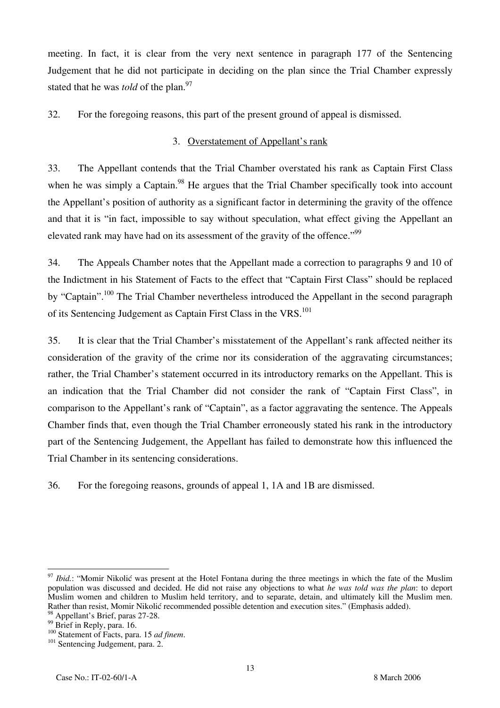meeting. In fact, it is clear from the very next sentence in paragraph 177 of the Sentencing Judgement that he did not participate in deciding on the plan since the Trial Chamber expressly stated that he was *told* of the plan.<sup>97</sup>

32. For the foregoing reasons, this part of the present ground of appeal is dismissed.

### 3. Overstatement of Appellant's rank

33. The Appellant contends that the Trial Chamber overstated his rank as Captain First Class when he was simply a Captain.<sup>98</sup> He argues that the Trial Chamber specifically took into account the Appellant's position of authority as a significant factor in determining the gravity of the offence and that it is "in fact, impossible to say without speculation, what effect giving the Appellant an elevated rank may have had on its assessment of the gravity of the offence."<sup>99</sup>

34. The Appeals Chamber notes that the Appellant made a correction to paragraphs 9 and 10 of the Indictment in his Statement of Facts to the effect that "Captain First Class" should be replaced by "Captain".<sup>100</sup> The Trial Chamber nevertheless introduced the Appellant in the second paragraph of its Sentencing Judgement as Captain First Class in the VRS.<sup>101</sup>

35. It is clear that the Trial Chamber's misstatement of the Appellant's rank affected neither its consideration of the gravity of the crime nor its consideration of the aggravating circumstances; rather, the Trial Chamber's statement occurred in its introductory remarks on the Appellant. This is an indication that the Trial Chamber did not consider the rank of "Captain First Class", in comparison to the Appellant's rank of "Captain", as a factor aggravating the sentence. The Appeals Chamber finds that, even though the Trial Chamber erroneously stated his rank in the introductory part of the Sentencing Judgement, the Appellant has failed to demonstrate how this influenced the Trial Chamber in its sentencing considerations.

36. For the foregoing reasons, grounds of appeal 1, 1A and 1B are dismissed.

<sup>&</sup>lt;sup>97</sup> *Ibid.*: "Momir Nikolić was present at the Hotel Fontana during the three meetings in which the fate of the Muslim population was discussed and decided. He did not raise any objections to what *he was told was the plan*: to deport Muslim women and children to Muslim held territory, and to separate, detain, and ultimately kill the Muslim men. Rather than resist, Momir Nikolić recommended possible detention and execution sites." (Emphasis added).

<sup>&</sup>lt;sup>98</sup> Appellant's Brief, paras 27-28.

 $^{99}$  Brief in Reply, para. 16.<br> $^{100}$  Statement of Facts, para. 15 *ad finem*.

<sup>&</sup>lt;sup>101</sup> Sentencing Judgement, para. 2.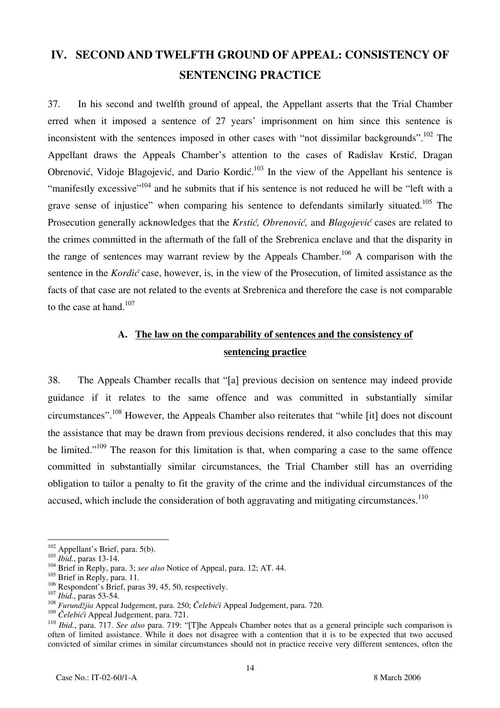# **IV. SECOND AND TWELFTH GROUND OF APPEAL: CONSISTENCY OF SENTENCING PRACTICE**

37. In his second and twelfth ground of appeal, the Appellant asserts that the Trial Chamber erred when it imposed a sentence of 27 years' imprisonment on him since this sentence is inconsistent with the sentences imposed in other cases with "not dissimilar backgrounds".<sup>102</sup> The Appellant draws the Appeals Chamber's attention to the cases of Radislav Krstić, Dragan Obrenović, Vidoje Blagojević, and Dario Kordić.<sup>103</sup> In the view of the Appellant his sentence is "manifestly excessive"<sup>104</sup> and he submits that if his sentence is not reduced he will be "left with a grave sense of injustice" when comparing his sentence to defendants similarly situated.<sup>105</sup> The Prosecution generally acknowledges that the *Krstić, Obrenović*, and *Blagojević* cases are related to the crimes committed in the aftermath of the fall of the Srebrenica enclave and that the disparity in the range of sentences may warrant review by the Appeals Chamber.<sup>106</sup> A comparison with the sentence in the *Kordić* case, however, is, in the view of the Prosecution, of limited assistance as the facts of that case are not related to the events at Srebrenica and therefore the case is not comparable to the case at hand. $107$ 

# **A. The law on the comparability of sentences and the consistency of sentencing practice**

38. The Appeals Chamber recalls that "[a] previous decision on sentence may indeed provide guidance if it relates to the same offence and was committed in substantially similar circumstances".108 However, the Appeals Chamber also reiterates that "while [it] does not discount the assistance that may be drawn from previous decisions rendered, it also concludes that this may be limited."<sup>109</sup> The reason for this limitation is that, when comparing a case to the same offence committed in substantially similar circumstances, the Trial Chamber still has an overriding obligation to tailor a penalty to fit the gravity of the crime and the individual circumstances of the accused, which include the consideration of both aggravating and mitigating circumstances.<sup>110</sup>

<sup>&</sup>lt;sup>102</sup> Appellant's Brief, para. 5(b).

<sup>&</sup>lt;sup>103</sup> *Ibid.*, paras 13-14. <sup>104</sup> Brief in Reply, para. 3; *see also* Notice of Appeal, para. 12; AT. 44.

 $^{105}_{106}$  Brief in Reply, para. 11.<br> $^{106}_{106}$  Respondent's Brief, paras 39, 45, 50, respectively.

<sup>106</sup> Respondent's Brief, paras 39, 45, 50, respectively. <sup>107</sup> *Ibid.*, paras 53-54. <sup>108</sup> *Furund'jia* Appeal Judgement, para. 250; *Čelebići* Appeal Judgement, para. 720.

<sup>109</sup> *Čelebići* Appeal Judgement, para. 721.

<sup>110</sup> *Ibid.*, para. 717. *See also* para. 719: "[T]he Appeals Chamber notes that as a general principle such comparison is often of limited assistance. While it does not disagree with a contention that it is to be expected that two accused convicted of similar crimes in similar circumstances should not in practice receive very different sentences, often the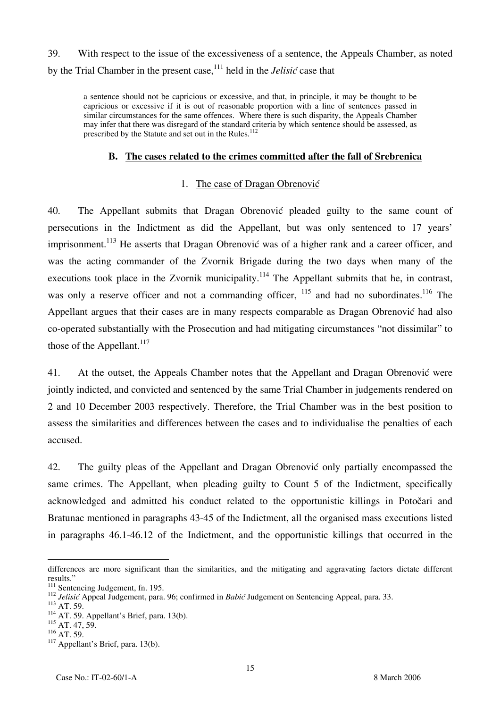39. With respect to the issue of the excessiveness of a sentence, the Appeals Chamber, as noted by the Trial Chamber in the present case,111 held in the *Jelisić* case that

a sentence should not be capricious or excessive, and that, in principle, it may be thought to be capricious or excessive if it is out of reasonable proportion with a line of sentences passed in similar circumstances for the same offences. Where there is such disparity, the Appeals Chamber may infer that there was disregard of the standard criteria by which sentence should be assessed, as prescribed by the Statute and set out in the Rules.<sup>112</sup>

#### **B. The cases related to the crimes committed after the fall of Srebrenica**

#### 1. The case of Dragan Obrenović

40. The Appellant submits that Dragan Obrenovic pleaded guilty to the same count of persecutions in the Indictment as did the Appellant, but was only sentenced to 17 years' imprisonment.<sup>113</sup> He asserts that Dragan Obrenović was of a higher rank and a career officer, and was the acting commander of the Zvornik Brigade during the two days when many of the executions took place in the Zvornik municipality.<sup>114</sup> The Appellant submits that he, in contrast, was only a reserve officer and not a commanding officer, <sup>115</sup> and had no subordinates.<sup>116</sup> The Appellant argues that their cases are in many respects comparable as Dragan Obrenović had also co-operated substantially with the Prosecution and had mitigating circumstances "not dissimilar" to those of the Appellant. $117$ 

41. At the outset, the Appeals Chamber notes that the Appellant and Dragan Obrenovic were jointly indicted, and convicted and sentenced by the same Trial Chamber in judgements rendered on 2 and 10 December 2003 respectively. Therefore, the Trial Chamber was in the best position to assess the similarities and differences between the cases and to individualise the penalties of each accused.

42. The guilty pleas of the Appellant and Dragan Obrenovic only partially encompassed the same crimes. The Appellant, when pleading guilty to Count 5 of the Indictment, specifically acknowledged and admitted his conduct related to the opportunistic killings in Potočari and Bratunac mentioned in paragraphs 43-45 of the Indictment, all the organised mass executions listed in paragraphs 46.1-46.12 of the Indictment, and the opportunistic killings that occurred in the

differences are more significant than the similarities, and the mitigating and aggravating factors dictate different results."

<sup>111</sup> Sentencing Judgement, fn. 195.<br>
<sup>112</sup> *Jelisić* Appeal Judgement, para. 96; confirmed in *Babić* Judgement on Sentencing Appeal, para. 33.<br>
<sup>113</sup> AT. 59. Appellant's Brief, para. 13(b).

 $^{115}$  AT. 47, 59.<br><sup>116</sup> AT. 59.

 $117$  Appellant's Brief, para. 13(b).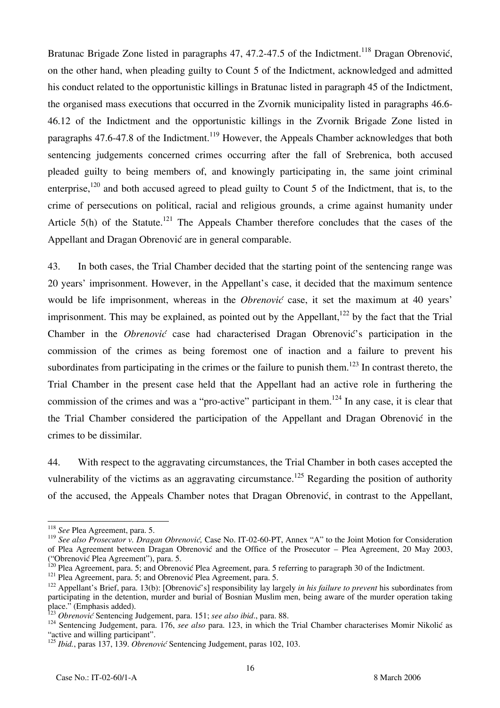Bratunac Brigade Zone listed in paragraphs 47, 47.2-47.5 of the Indictment.<sup>118</sup> Dragan Obrenović, on the other hand, when pleading guilty to Count 5 of the Indictment, acknowledged and admitted his conduct related to the opportunistic killings in Bratunac listed in paragraph 45 of the Indictment, the organised mass executions that occurred in the Zvornik municipality listed in paragraphs 46.6- 46.12 of the Indictment and the opportunistic killings in the Zvornik Brigade Zone listed in paragraphs 47.6-47.8 of the Indictment.<sup>119</sup> However, the Appeals Chamber acknowledges that both sentencing judgements concerned crimes occurring after the fall of Srebrenica, both accused pleaded guilty to being members of, and knowingly participating in, the same joint criminal enterprise,<sup>120</sup> and both accused agreed to plead guilty to Count 5 of the Indictment, that is, to the crime of persecutions on political, racial and religious grounds, a crime against humanity under Article  $5(h)$  of the Statute.<sup>121</sup> The Appeals Chamber therefore concludes that the cases of the Appellant and Dragan Obrenović are in general comparable.

43. In both cases, the Trial Chamber decided that the starting point of the sentencing range was 20 years' imprisonment. However, in the Appellant's case, it decided that the maximum sentence would be life imprisonment, whereas in the *Obrenović* case, it set the maximum at 40 years' imprisonment. This may be explained, as pointed out by the Appellant, $122$  by the fact that the Trial Chamber in the *Obrenović* case had characterised Dragan Obrenović's participation in the commission of the crimes as being foremost one of inaction and a failure to prevent his subordinates from participating in the crimes or the failure to punish them.<sup>123</sup> In contrast thereto, the Trial Chamber in the present case held that the Appellant had an active role in furthering the commission of the crimes and was a "pro-active" participant in them.<sup>124</sup> In any case, it is clear that the Trial Chamber considered the participation of the Appellant and Dragan Obrenović in the crimes to be dissimilar.

44. With respect to the aggravating circumstances, the Trial Chamber in both cases accepted the vulnerability of the victims as an aggravating circumstance.<sup>125</sup> Regarding the position of authority of the accused, the Appeals Chamber notes that Dragan Obrenović, in contrast to the Appellant,

<sup>118</sup> *See* Plea Agreement, para. 5.

<sup>119</sup> *See also Prosecutor v. Dragan Obrenović,* Case No. IT-02-60-PT, Annex "A" to the Joint Motion for Consideration of Plea Agreement between Dragan Obrenović and the Office of the Prosecutor – Plea Agreement, 20 May 2003, ("Obrenović Plea Agreement"), para. 5.

<sup>&</sup>lt;sup>120</sup> Plea Agreement, para. 5; and Obrenović Plea Agreement, para. 5 referring to paragraph 30 of the Indictment. <sup>121</sup> Plea Agreement, para. 5; and Obrenović Plea Agreement, para. 5.

<sup>&</sup>lt;sup>122</sup> Appellant's Brief, para. 13(b): [Obrenović's] responsibility lay largely *in his failure to prevent* his subordinates from participating in the detention, murder and burial of Bosnian Muslim men, being aware of the murder operation taking place." (Emphasis added).<br><sup>123</sup> Obrenović Sentencing Judgement, para. 151; see also ibid., para. 88.

<sup>&</sup>lt;sup>124</sup> Sentencing Judgement, para. 176, see also para. 123, in which the Trial Chamber characterises Momir Nikolić as "active and willing participant".

<sup>&</sup>lt;sup>125</sup> *Ibid.*, paras 137, 139. *Obrenović* Sentencing Judgement, paras 102, 103.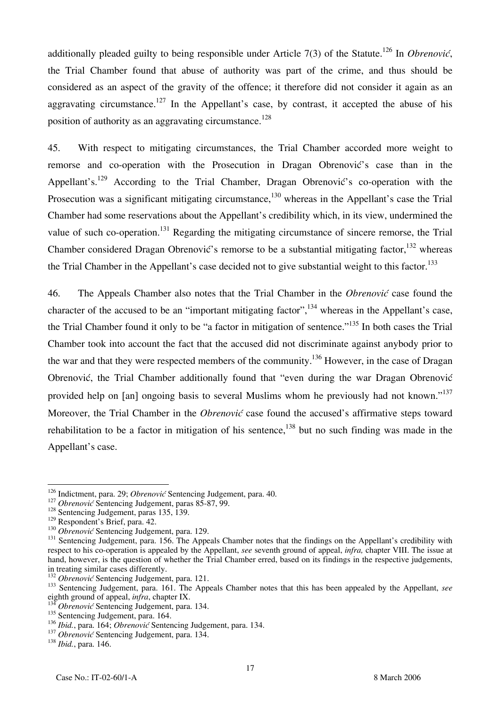additionally pleaded guilty to being responsible under Article 7(3) of the Statute.126 In *Obrenović*, the Trial Chamber found that abuse of authority was part of the crime, and thus should be considered as an aspect of the gravity of the offence; it therefore did not consider it again as an aggravating circumstance.<sup>127</sup> In the Appellant's case, by contrast, it accepted the abuse of his position of authority as an aggravating circumstance.<sup>128</sup>

45. With respect to mitigating circumstances, the Trial Chamber accorded more weight to remorse and co-operation with the Prosecution in Dragan Obrenović's case than in the Appellant's.<sup>129</sup> According to the Trial Chamber, Dragan Obrenović's co-operation with the Prosecution was a significant mitigating circumstance.<sup>130</sup> whereas in the Appellant's case the Trial Chamber had some reservations about the Appellant's credibility which, in its view, undermined the value of such co-operation.<sup>131</sup> Regarding the mitigating circumstance of sincere remorse, the Trial Chamber considered Dragan Obrenović's remorse to be a substantial mitigating factor,  $^{132}$  whereas the Trial Chamber in the Appellant's case decided not to give substantial weight to this factor.<sup>133</sup>

46. The Appeals Chamber also notes that the Trial Chamber in the *Obrenović* case found the character of the accused to be an "important mitigating factor",  $^{134}$  whereas in the Appellant's case, the Trial Chamber found it only to be "a factor in mitigation of sentence."<sup>135</sup> In both cases the Trial Chamber took into account the fact that the accused did not discriminate against anybody prior to the war and that they were respected members of the community.<sup>136</sup> However, in the case of Dragan Obrenović, the Trial Chamber additionally found that "even during the war Dragan Obrenović provided help on [an] ongoing basis to several Muslims whom he previously had not known."<sup>137</sup> Moreover, the Trial Chamber in the *Obrenović* case found the accused's affirmative steps toward rehabilitation to be a factor in mitigation of his sentence,  $^{138}$  but no such finding was made in the Appellant's case.

<sup>&</sup>lt;sup>126</sup> Indictment, para. 29; *Obrenović* Sentencing Judgement, para. 40.<br><sup>127</sup> *Obrenović* Sentencing Judgement, paras 85-87, 99.<br><sup>128</sup> Sentencing Judgement, paras 135, 139.

<sup>&</sup>lt;sup>128</sup> Sentencing Judgement, paras 135, 139.<br><sup>129</sup> Respondent's Brief, para. 42.<br><sup>130</sup> *Obrenović* Sentencing Judgement, para. 129.<br><sup>131</sup> Sentencing Judgement, para. 156. The Appeals Chamber notes that the findings on the A respect to his co-operation is appealed by the Appellant, *see* seventh ground of appeal, *infra,* chapter VIII. The issue at hand, however, is the question of whether the Trial Chamber erred, based on its findings in the respective judgements, in treating similar cases differently.<br><sup>132</sup> Obrenović Sentencing Judgement, para. 121.

<sup>&</sup>lt;sup>133</sup> Sentencing Judgement, para. 161. The Appeals Chamber notes that this has been appealed by the Appellant, *see* eighth ground of appeal, *infra*, chapter IX.

*Obrenović* Sentencing Judgement, para. 134.

<sup>&</sup>lt;sup>135</sup> Sentencing Judgement, para. 164.

<sup>136</sup> *Ibid.*, para. 164; *Obrenović* Sentencing Judgement, para. 134.<br><sup>137</sup> *Obrenović* Sentencing Judgement, para. 134.<br><sup>138</sup> *Ibid.*, para. 146.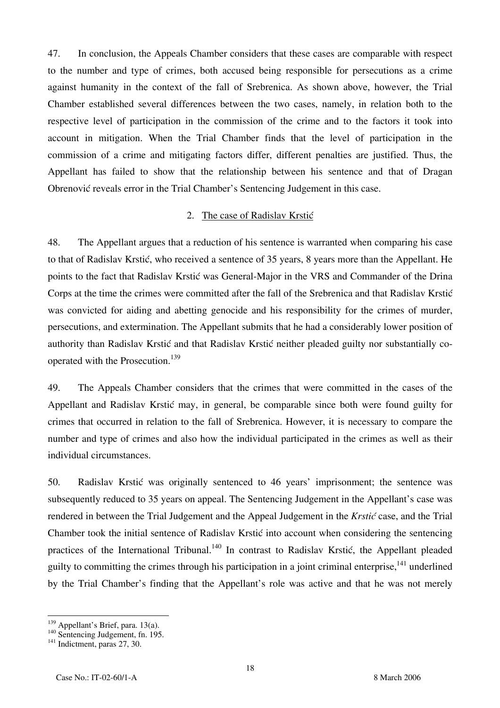47. In conclusion, the Appeals Chamber considers that these cases are comparable with respect to the number and type of crimes, both accused being responsible for persecutions as a crime against humanity in the context of the fall of Srebrenica. As shown above, however, the Trial Chamber established several differences between the two cases, namely, in relation both to the respective level of participation in the commission of the crime and to the factors it took into account in mitigation. When the Trial Chamber finds that the level of participation in the commission of a crime and mitigating factors differ, different penalties are justified. Thus, the Appellant has failed to show that the relationship between his sentence and that of Dragan Obrenović reveals error in the Trial Chamber's Sentencing Judgement in this case.

#### 2. The case of Radislav Krstić

48. The Appellant argues that a reduction of his sentence is warranted when comparing his case to that of Radislav Krstić, who received a sentence of 35 years, 8 years more than the Appellant. He points to the fact that Radislav Krstić was General-Major in the VRS and Commander of the Drina Corps at the time the crimes were committed after the fall of the Srebrenica and that Radislav Krstić was convicted for aiding and abetting genocide and his responsibility for the crimes of murder, persecutions, and extermination. The Appellant submits that he had a considerably lower position of authority than Radislav Krstić and that Radislav Krstić neither pleaded guilty nor substantially cooperated with the Prosecution.<sup>139</sup>

49. The Appeals Chamber considers that the crimes that were committed in the cases of the Appellant and Radislav Krstić may, in general, be comparable since both were found guilty for crimes that occurred in relation to the fall of Srebrenica. However, it is necessary to compare the number and type of crimes and also how the individual participated in the crimes as well as their individual circumstances.

50. Radislav Krstić was originally sentenced to 46 years' imprisonment; the sentence was subsequently reduced to 35 years on appeal. The Sentencing Judgement in the Appellant's case was rendered in between the Trial Judgement and the Appeal Judgement in the *Krstić* case, and the Trial Chamber took the initial sentence of Radislav Krstić into account when considering the sentencing practices of the International Tribunal.<sup>140</sup> In contrast to Radislav Krstić, the Appellant pleaded guilty to committing the crimes through his participation in a joint criminal enterprise.<sup>141</sup> underlined by the Trial Chamber's finding that the Appellant's role was active and that he was not merely

 $\overline{\phantom{a}}$ 

<sup>&</sup>lt;sup>139</sup> Appellant's Brief, para. 13(a).<br><sup>140</sup> Sentencing Judgement, fn. 195.<br><sup>141</sup> Indictment, paras 27, 30.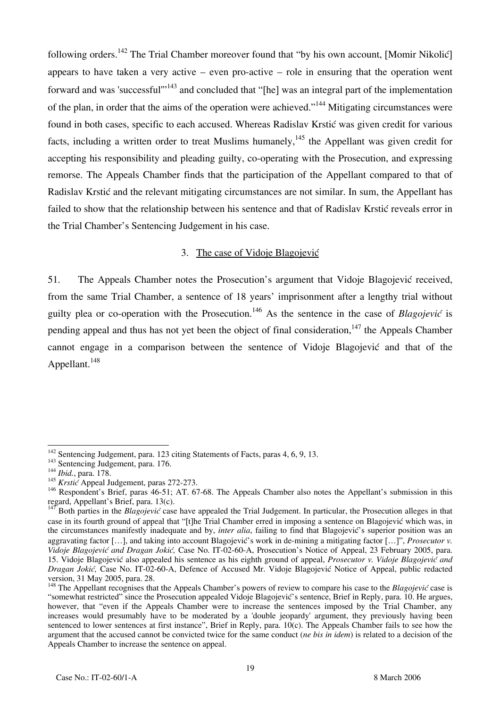following orders.<sup>142</sup> The Trial Chamber moreover found that "by his own account, [Momir Nikolić] appears to have taken a very active – even pro-active – role in ensuring that the operation went forward and was 'successful'"143 and concluded that "[he] was an integral part of the implementation of the plan, in order that the aims of the operation were achieved."<sup>144</sup> Mitigating circumstances were found in both cases, specific to each accused. Whereas Radislav Krstić was given credit for various facts, including a written order to treat Muslims humanely,<sup>145</sup> the Appellant was given credit for accepting his responsibility and pleading guilty, co-operating with the Prosecution, and expressing remorse. The Appeals Chamber finds that the participation of the Appellant compared to that of Radislav Krstić and the relevant mitigating circumstances are not similar. In sum, the Appellant has failed to show that the relationship between his sentence and that of Radislav Krstić reveals error in the Trial Chamber's Sentencing Judgement in his case.

### 3. The case of Vidoje Blagojević

51. The Appeals Chamber notes the Prosecution's argument that Vidoje Blagojević received, from the same Trial Chamber, a sentence of 18 years' imprisonment after a lengthy trial without guilty plea or co-operation with the Prosecution.<sup>146</sup> As the sentence in the case of *Blagojević* is pending appeal and thus has not yet been the object of final consideration, $147$  the Appeals Chamber cannot engage in a comparison between the sentence of Vidoje Blagojević and that of the Appellant.<sup>148</sup>

 $\overline{a}$ <sup>142</sup> Sentencing Judgement, para. 123 citing Statements of Facts, paras 4, 6, 9, 13.<br><sup>143</sup> Sentencing Judgement, para. 176.<br><sup>144</sup> *Ibid.*, para. 178.

<sup>&</sup>lt;sup>144</sup> *Ibid.*, para. 178.<br><sup>145</sup> *Krstić* Appeal Judgement, paras 272-273.

<sup>&</sup>lt;sup>146</sup> Respondent's Brief, paras 46-51; AT. 67-68. The Appeals Chamber also notes the Appellant's submission in this regard, Appellant's Brief, para. 13(c).

<sup>&</sup>lt;sup>147</sup> Both parties in the *Blagojević* case have appealed the Trial Judgement. In particular, the Prosecution alleges in that case in its fourth ground of appeal that "[t]he Trial Chamber erred in imposing a sentence on Blagojević which was, in the circumstances manifestly inadequate and by, *inter alia*, failing to find that Blagojević's superior position was an aggravating factor [...], and taking into account Blagojević's work in de-mining a mitigating factor [...]", *Prosecutor v. Vidoje Blagojević and Dragan Jokić*, Case No. IT-02-60-A, Prosecution's Notice of Appeal, 23 February 2005, para. 15. Vidoje Blagojević also appealed his sentence as his eighth ground of appeal, *Prosecutor v. Vidoje Blagojević and Dragan Jokić*, Case No. IT-02-60-A, Defence of Accused Mr. Vidoje Blagojević Notice of Appeal, public redacted version, 31 May 2005, para. 28.

<sup>&</sup>lt;sup>148</sup> The Appellant recognises that the Appeals Chamber's powers of review to compare his case to the *Blagojević* case is "somewhat restricted" since the Prosecution appealed Vidoje Blagojević's sentence, Brief in Reply, para. 10. He argues, however, that "even if the Appeals Chamber were to increase the sentences imposed by the Trial Chamber, any increases would presumably have to be moderated by a 'double jeopardy' argument, they previously having been sentenced to lower sentences at first instance", Brief in Reply, para. 10(c). The Appeals Chamber fails to see how the argument that the accused cannot be convicted twice for the same conduct (*ne bis in idem*) is related to a decision of the Appeals Chamber to increase the sentence on appeal.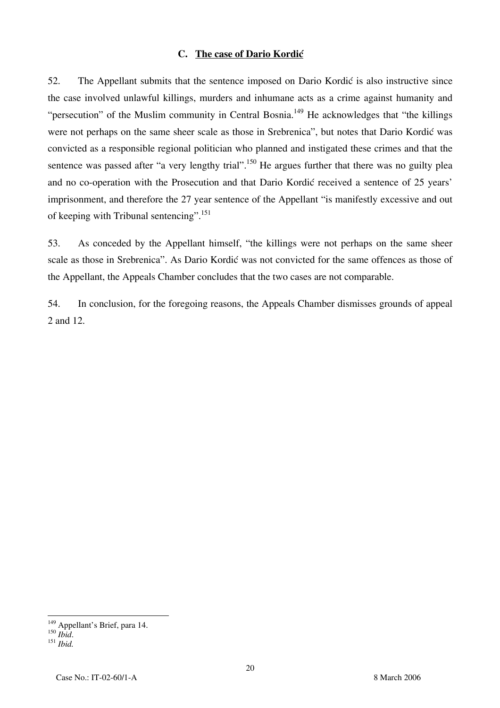#### **C.** The case of Dario Kordić

52. The Appellant submits that the sentence imposed on Dario Kordić is also instructive since the case involved unlawful killings, murders and inhumane acts as a crime against humanity and "persecution" of the Muslim community in Central Bosnia.<sup>149</sup> He acknowledges that "the killings" were not perhaps on the same sheer scale as those in Srebrenica", but notes that Dario Kordić was convicted as a responsible regional politician who planned and instigated these crimes and that the sentence was passed after "a very lengthy trial".<sup>150</sup> He argues further that there was no guilty plea and no co-operation with the Prosecution and that Dario Kordić received a sentence of 25 years' imprisonment, and therefore the 27 year sentence of the Appellant "is manifestly excessive and out of keeping with Tribunal sentencing".<sup>151</sup>

53. As conceded by the Appellant himself, "the killings were not perhaps on the same sheer scale as those in Srebrenica". As Dario Kordić was not convicted for the same offences as those of the Appellant, the Appeals Chamber concludes that the two cases are not comparable.

54. In conclusion, for the foregoing reasons, the Appeals Chamber dismisses grounds of appeal 2 and 12.

 $\overline{\phantom{a}}$ 

<sup>&</sup>lt;sup>149</sup> Appellant's Brief, para 14.

<sup>150</sup> *Ibid*. <sup>151</sup> *Ibid.*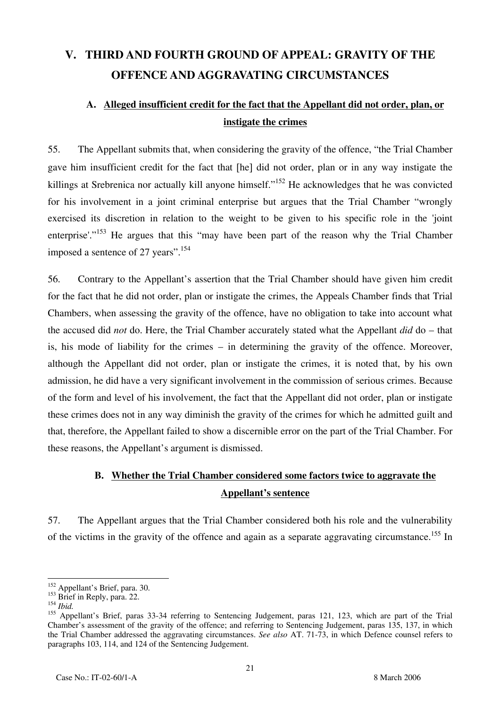# **V. THIRD AND FOURTH GROUND OF APPEAL: GRAVITY OF THE OFFENCE AND AGGRAVATING CIRCUMSTANCES**

# **A. Alleged insufficient credit for the fact that the Appellant did not order, plan, or instigate the crimes**

55. The Appellant submits that, when considering the gravity of the offence, "the Trial Chamber gave him insufficient credit for the fact that [he] did not order, plan or in any way instigate the killings at Srebrenica nor actually kill anyone himself."<sup>152</sup> He acknowledges that he was convicted for his involvement in a joint criminal enterprise but argues that the Trial Chamber "wrongly exercised its discretion in relation to the weight to be given to his specific role in the 'joint enterprise'."<sup>153</sup> He argues that this "may have been part of the reason why the Trial Chamber imposed a sentence of 27 years".<sup>154</sup>

56. Contrary to the Appellant's assertion that the Trial Chamber should have given him credit for the fact that he did not order, plan or instigate the crimes, the Appeals Chamber finds that Trial Chambers, when assessing the gravity of the offence, have no obligation to take into account what the accused did *not* do. Here, the Trial Chamber accurately stated what the Appellant *did* do – that is, his mode of liability for the crimes – in determining the gravity of the offence. Moreover, although the Appellant did not order, plan or instigate the crimes, it is noted that, by his own admission, he did have a very significant involvement in the commission of serious crimes. Because of the form and level of his involvement, the fact that the Appellant did not order, plan or instigate these crimes does not in any way diminish the gravity of the crimes for which he admitted guilt and that, therefore, the Appellant failed to show a discernible error on the part of the Trial Chamber. For these reasons, the Appellant's argument is dismissed.

# **B. Whether the Trial Chamber considered some factors twice to aggravate the Appellant's sentence**

57. The Appellant argues that the Trial Chamber considered both his role and the vulnerability of the victims in the gravity of the offence and again as a separate aggravating circumstance.<sup>155</sup> In

 $\overline{\phantom{a}}$ <sup>152</sup> Appellant's Brief, para. 30.

<sup>&</sup>lt;sup>153</sup> Brief in Reply, para. 22.

<sup>154</sup> *Ibid.*

<sup>&</sup>lt;sup>155</sup> Appellant's Brief, paras 33-34 referring to Sentencing Judgement, paras 121, 123, which are part of the Trial Chamber's assessment of the gravity of the offence; and referring to Sentencing Judgement, paras 135, 137, in which the Trial Chamber addressed the aggravating circumstances. *See also* AT. 71-73, in which Defence counsel refers to paragraphs 103, 114, and 124 of the Sentencing Judgement.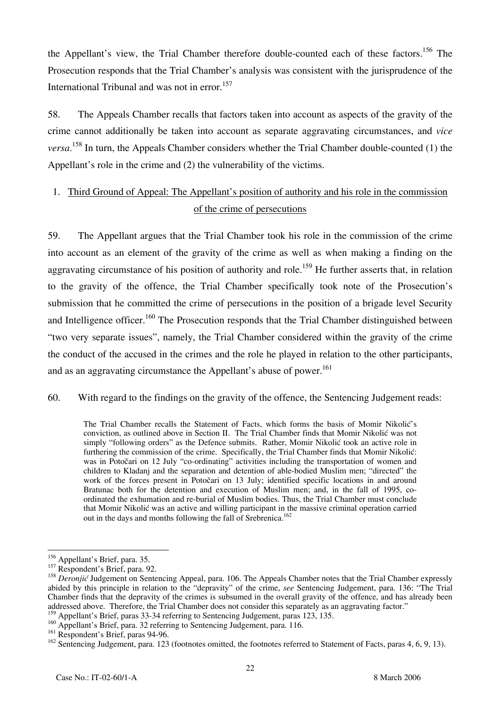the Appellant's view, the Trial Chamber therefore double-counted each of these factors.<sup>156</sup> The Prosecution responds that the Trial Chamber's analysis was consistent with the jurisprudence of the International Tribunal and was not in error.<sup>157</sup>

58. The Appeals Chamber recalls that factors taken into account as aspects of the gravity of the crime cannot additionally be taken into account as separate aggravating circumstances, and *vice versa*. 158 In turn, the Appeals Chamber considers whether the Trial Chamber double-counted (1) the Appellant's role in the crime and (2) the vulnerability of the victims.

# 1. Third Ground of Appeal: The Appellant's position of authority and his role in the commission of the crime of persecutions

59. The Appellant argues that the Trial Chamber took his role in the commission of the crime into account as an element of the gravity of the crime as well as when making a finding on the aggravating circumstance of his position of authority and role.<sup>159</sup> He further asserts that, in relation to the gravity of the offence, the Trial Chamber specifically took note of the Prosecution's submission that he committed the crime of persecutions in the position of a brigade level Security and Intelligence officer.<sup>160</sup> The Prosecution responds that the Trial Chamber distinguished between "two very separate issues", namely, the Trial Chamber considered within the gravity of the crime the conduct of the accused in the crimes and the role he played in relation to the other participants, and as an aggravating circumstance the Appellant's abuse of power.<sup>161</sup>

#### 60. With regard to the findings on the gravity of the offence, the Sentencing Judgement reads:

The Trial Chamber recalls the Statement of Facts, which forms the basis of Momir Nikolić's conviction, as outlined above in Section II. The Trial Chamber finds that Momir Nikolić was not simply "following orders" as the Defence submits. Rather, Momir Nikolić took an active role in furthering the commission of the crime. Specifically, the Trial Chamber finds that Momir Nikolić: was in Potočari on 12 July "co-ordinating" activities including the transportation of women and children to Kladanj and the separation and detention of able-bodied Muslim men; "directed" the work of the forces present in Potočari on 13 July; identified specific locations in and around Bratunac both for the detention and execution of Muslim men; and, in the fall of 1995, coordinated the exhumation and re-burial of Muslim bodies. Thus, the Trial Chamber must conclude that Momir Nikolić was an active and willing participant in the massive criminal operation carried out in the days and months following the fall of Srebrenica.<sup>162</sup>

<sup>&</sup>lt;sup>156</sup> Appellant's Brief, para. 35.

<sup>&</sup>lt;sup>157</sup> Respondent's Brief, para. 92.

<sup>&</sup>lt;sup>158</sup> *Deronjić* Judgement on Sentencing Appeal, para. 106. The Appeals Chamber notes that the Trial Chamber expressly abided by this principle in relation to the "depravity" of the crime, *see* Sentencing Judgement, para. 136: "The Trial Chamber finds that the depravity of the crimes is subsumed in the overall gravity of the offence, and has already been addressed above. Therefore, the Trial Chamber does not consider this separately as an aggravating factor."

Appellant's Brief, paras 33-34 referring to Sentencing Judgement, paras 123, 135.

<sup>&</sup>lt;sup>160</sup> Appellant's Brief, para. 32 referring to Sentencing Judgement, para. 116.

<sup>&</sup>lt;sup>161</sup> Respondent's Brief, paras 94-96.

<sup>&</sup>lt;sup>162</sup> Sentencing Judgement, para. 123 (footnotes omitted, the footnotes referred to Statement of Facts, paras 4, 6, 9, 13).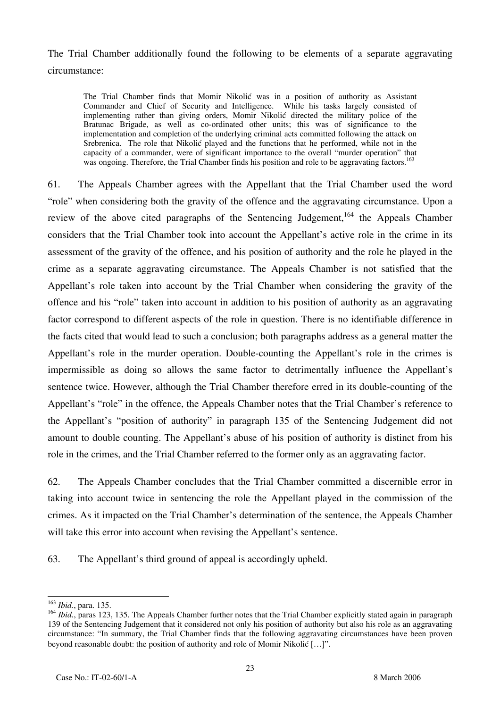The Trial Chamber additionally found the following to be elements of a separate aggravating circumstance:

The Trial Chamber finds that Momir Nikolić was in a position of authority as Assistant Commander and Chief of Security and Intelligence. While his tasks largely consisted of implementing rather than giving orders, Momir Nikolić directed the military police of the Bratunac Brigade, as well as co-ordinated other units; this was of significance to the implementation and completion of the underlying criminal acts committed following the attack on Srebrenica. The role that Nikolić played and the functions that he performed, while not in the capacity of a commander, were of significant importance to the overall "murder operation" that was ongoing. Therefore, the Trial Chamber finds his position and role to be aggravating factors.<sup>163</sup>

61. The Appeals Chamber agrees with the Appellant that the Trial Chamber used the word "role" when considering both the gravity of the offence and the aggravating circumstance. Upon a review of the above cited paragraphs of the Sentencing Judgement,<sup>164</sup> the Appeals Chamber considers that the Trial Chamber took into account the Appellant's active role in the crime in its assessment of the gravity of the offence, and his position of authority and the role he played in the crime as a separate aggravating circumstance. The Appeals Chamber is not satisfied that the Appellant's role taken into account by the Trial Chamber when considering the gravity of the offence and his "role" taken into account in addition to his position of authority as an aggravating factor correspond to different aspects of the role in question. There is no identifiable difference in the facts cited that would lead to such a conclusion; both paragraphs address as a general matter the Appellant's role in the murder operation. Double-counting the Appellant's role in the crimes is impermissible as doing so allows the same factor to detrimentally influence the Appellant's sentence twice. However, although the Trial Chamber therefore erred in its double-counting of the Appellant's "role" in the offence, the Appeals Chamber notes that the Trial Chamber's reference to the Appellant's "position of authority" in paragraph 135 of the Sentencing Judgement did not amount to double counting. The Appellant's abuse of his position of authority is distinct from his role in the crimes, and the Trial Chamber referred to the former only as an aggravating factor.

62. The Appeals Chamber concludes that the Trial Chamber committed a discernible error in taking into account twice in sentencing the role the Appellant played in the commission of the crimes. As it impacted on the Trial Chamber's determination of the sentence, the Appeals Chamber will take this error into account when revising the Appellant's sentence.

63. The Appellant's third ground of appeal is accordingly upheld.

 $\overline{a}$ <sup>163</sup> *Ibid.*, para. 135.

<sup>&</sup>lt;sup>164</sup> *Ibid.*, paras 123, 135. The Appeals Chamber further notes that the Trial Chamber explicitly stated again in paragraph 139 of the Sentencing Judgement that it considered not only his position of authority but also his role as an aggravating circumstance: "In summary, the Trial Chamber finds that the following aggravating circumstances have been proven beyond reasonable doubt: the position of authority and role of Momir Nikolić […]".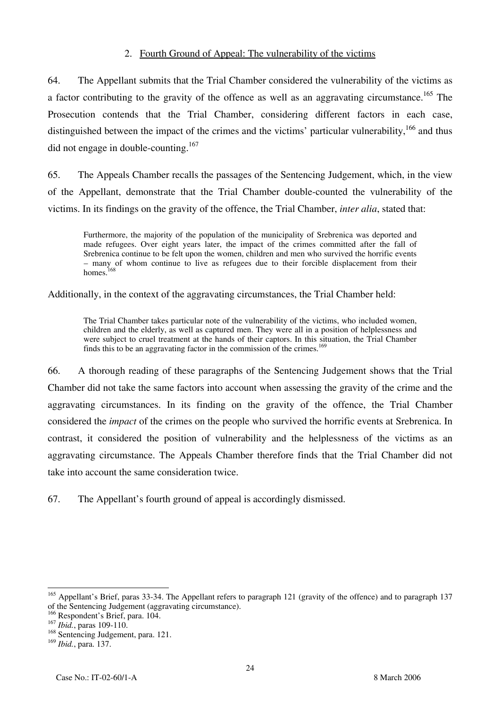### 2. Fourth Ground of Appeal: The vulnerability of the victims

64. The Appellant submits that the Trial Chamber considered the vulnerability of the victims as a factor contributing to the gravity of the offence as well as an aggravating circumstance.<sup>165</sup> The Prosecution contends that the Trial Chamber, considering different factors in each case, distinguished between the impact of the crimes and the victims' particular vulnerability,  $166$  and thus did not engage in double-counting.<sup>167</sup>

65. The Appeals Chamber recalls the passages of the Sentencing Judgement, which, in the view of the Appellant, demonstrate that the Trial Chamber double-counted the vulnerability of the victims. In its findings on the gravity of the offence, the Trial Chamber, *inter alia*, stated that:

Furthermore, the majority of the population of the municipality of Srebrenica was deported and made refugees. Over eight years later, the impact of the crimes committed after the fall of Srebrenica continue to be felt upon the women, children and men who survived the horrific events – many of whom continue to live as refugees due to their forcible displacement from their homes.<sup>168</sup>

Additionally, in the context of the aggravating circumstances, the Trial Chamber held:

The Trial Chamber takes particular note of the vulnerability of the victims, who included women, children and the elderly, as well as captured men. They were all in a position of helplessness and were subject to cruel treatment at the hands of their captors. In this situation, the Trial Chamber finds this to be an aggravating factor in the commission of the crimes.<sup>169</sup>

66. A thorough reading of these paragraphs of the Sentencing Judgement shows that the Trial Chamber did not take the same factors into account when assessing the gravity of the crime and the aggravating circumstances. In its finding on the gravity of the offence, the Trial Chamber considered the *impact* of the crimes on the people who survived the horrific events at Srebrenica. In contrast, it considered the position of vulnerability and the helplessness of the victims as an aggravating circumstance. The Appeals Chamber therefore finds that the Trial Chamber did not take into account the same consideration twice.

67. The Appellant's fourth ground of appeal is accordingly dismissed.

 $\overline{a}$ <sup>165</sup> Appellant's Brief, paras 33-34. The Appellant refers to paragraph 121 (gravity of the offence) and to paragraph 137 of the Sentencing Judgement (aggravating circumstance).

<sup>166</sup> Respondent's Brief, para. 104.

<sup>167</sup> *Ibid.*, paras 109-110.

<sup>&</sup>lt;sup>168</sup> Sentencing Judgement, para. 121.

<sup>169</sup> *Ibid.*, para. 137.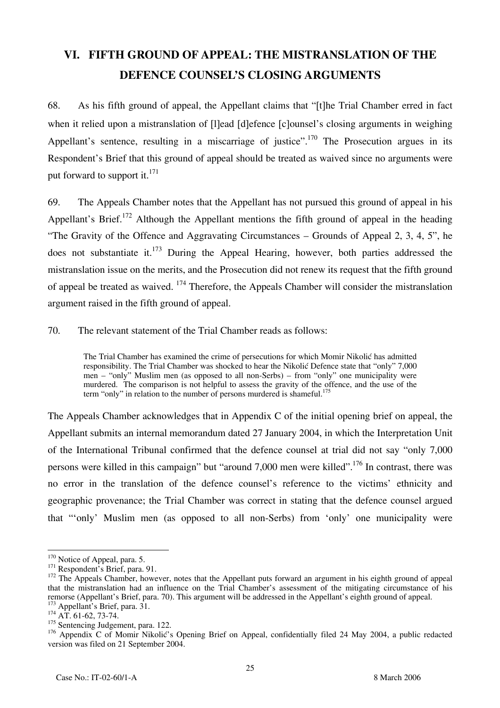# **VI. FIFTH GROUND OF APPEAL: THE MISTRANSLATION OF THE DEFENCE COUNSEL'S CLOSING ARGUMENTS**

68. As his fifth ground of appeal, the Appellant claims that "[t]he Trial Chamber erred in fact when it relied upon a mistranslation of [I]ead [d]efence [c]ounsel's closing arguments in weighing Appellant's sentence, resulting in a miscarriage of justice".<sup>170</sup> The Prosecution argues in its Respondent's Brief that this ground of appeal should be treated as waived since no arguments were put forward to support it. $^{171}$ 

69. The Appeals Chamber notes that the Appellant has not pursued this ground of appeal in his Appellant's Brief.<sup>172</sup> Although the Appellant mentions the fifth ground of appeal in the heading "The Gravity of the Offence and Aggravating Circumstances – Grounds of Appeal 2, 3, 4, 5", he does not substantiate it.<sup>173</sup> During the Appeal Hearing, however, both parties addressed the mistranslation issue on the merits, and the Prosecution did not renew its request that the fifth ground of appeal be treated as waived. <sup>174</sup> Therefore, the Appeals Chamber will consider the mistranslation argument raised in the fifth ground of appeal.

70. The relevant statement of the Trial Chamber reads as follows:

The Trial Chamber has examined the crime of persecutions for which Momir Nikolić has admitted responsibility. The Trial Chamber was shocked to hear the Nikolić Defence state that "only" 7,000 men – "only" Muslim men (as opposed to all non-Serbs) – from "only" one municipality were murdered. The comparison is not helpful to assess the gravity of the offence, and the use of the term "only" in relation to the number of persons murdered is shameful.<sup>175</sup>

The Appeals Chamber acknowledges that in Appendix C of the initial opening brief on appeal, the Appellant submits an internal memorandum dated 27 January 2004, in which the Interpretation Unit of the International Tribunal confirmed that the defence counsel at trial did not say "only 7,000 persons were killed in this campaign" but "around 7,000 men were killed".176 In contrast, there was no error in the translation of the defence counsel's reference to the victims' ethnicity and geographic provenance; the Trial Chamber was correct in stating that the defence counsel argued that "'only' Muslim men (as opposed to all non-Serbs) from 'only' one municipality were

 $170$  Notice of Appeal, para. 5.

<sup>171</sup> Respondent's Brief, para. 91.<br><sup>172</sup> The Appeals Chamber, however, notes that the Appellant puts forward an argument in his eighth ground of appeal that the mistranslation had an influence on the Trial Chamber's assessment of the mitigating circumstance of his remorse (Appellant's Brief, para. 70). This argument will be addressed in the Appellant's eighth ground of appeal. <sup>173</sup> Appellant's Brief, para. 31.<br><sup>174</sup> AT. 61-62, 73-74.

 $175$  Sentencing Judgement, para. 122.

<sup>&</sup>lt;sup>176</sup> Appendix C of Momir Nikolić's Opening Brief on Appeal, confidentially filed 24 May 2004, a public redacted version was filed on 21 September 2004.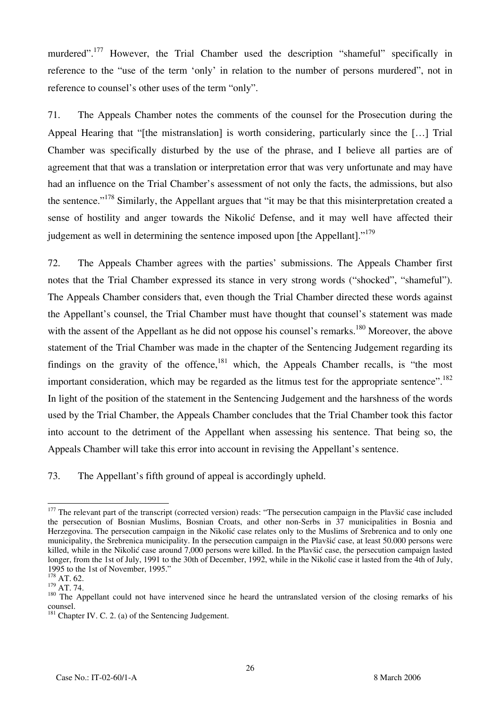murdered".<sup>177</sup> However, the Trial Chamber used the description "shameful" specifically in reference to the "use of the term 'only' in relation to the number of persons murdered", not in reference to counsel's other uses of the term "only".

71. The Appeals Chamber notes the comments of the counsel for the Prosecution during the Appeal Hearing that "[the mistranslation] is worth considering, particularly since the […] Trial Chamber was specifically disturbed by the use of the phrase, and I believe all parties are of agreement that that was a translation or interpretation error that was very unfortunate and may have had an influence on the Trial Chamber's assessment of not only the facts, the admissions, but also the sentence."<sup>178</sup> Similarly, the Appellant argues that "it may be that this misinterpretation created a sense of hostility and anger towards the Nikolić Defense, and it may well have affected their judgement as well in determining the sentence imposed upon [the Appellant]."<sup>179</sup>

72. The Appeals Chamber agrees with the parties' submissions. The Appeals Chamber first notes that the Trial Chamber expressed its stance in very strong words ("shocked", "shameful"). The Appeals Chamber considers that, even though the Trial Chamber directed these words against the Appellant's counsel, the Trial Chamber must have thought that counsel's statement was made with the assent of the Appellant as he did not oppose his counsel's remarks.<sup>180</sup> Moreover, the above statement of the Trial Chamber was made in the chapter of the Sentencing Judgement regarding its findings on the gravity of the offence,  $181$  which, the Appeals Chamber recalls, is "the most important consideration, which may be regarded as the litmus test for the appropriate sentence".<sup>182</sup> In light of the position of the statement in the Sentencing Judgement and the harshness of the words used by the Trial Chamber, the Appeals Chamber concludes that the Trial Chamber took this factor into account to the detriment of the Appellant when assessing his sentence. That being so, the Appeals Chamber will take this error into account in revising the Appellant's sentence.

73. The Appellant's fifth ground of appeal is accordingly upheld.

 $\overline{\phantom{a}}$ <sup>177</sup> The relevant part of the transcript (corrected version) reads: "The persecution campaign in the Plavšić case included the persecution of Bosnian Muslims, Bosnian Croats, and other non-Serbs in 37 municipalities in Bosnia and Herzegovina. The persecution campaign in the Nikolić case relates only to the Muslims of Srebrenica and to only one municipality, the Srebrenica municipality. In the persecution campaign in the Plavšić case, at least 50.000 persons were killed, while in the Nikolić case around 7,000 persons were killed. In the Plavšić case, the persecution campaign lasted longer, from the 1st of July, 1991 to the 30th of December, 1992, while in the Nikolić case it lasted from the 4th of July, 1995 to the 1st of November, 1995."

 $^{178}_{179}$  AT. 62.<br><sup>179</sup> AT. 74.

<sup>&</sup>lt;sup>180</sup> The Appellant could not have intervened since he heard the untranslated version of the closing remarks of his counsel.

 $181$  Chapter IV. C. 2. (a) of the Sentencing Judgement.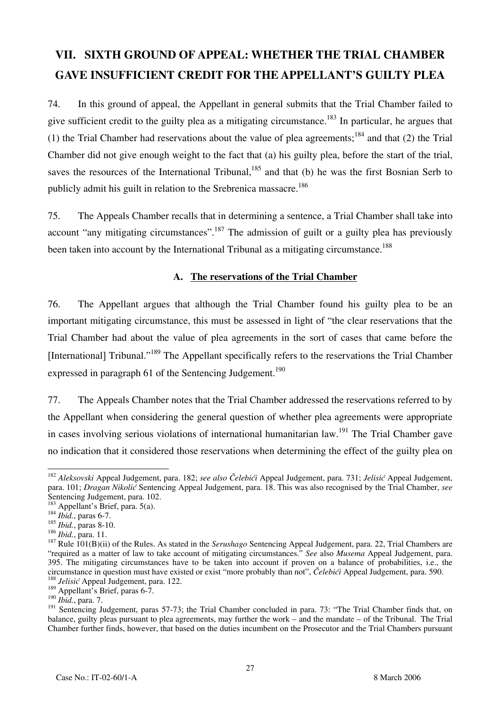# **VII. SIXTH GROUND OF APPEAL: WHETHER THE TRIAL CHAMBER GAVE INSUFFICIENT CREDIT FOR THE APPELLANT'S GUILTY PLEA**

74. In this ground of appeal, the Appellant in general submits that the Trial Chamber failed to give sufficient credit to the guilty plea as a mitigating circumstance.<sup>183</sup> In particular, he argues that (1) the Trial Chamber had reservations about the value of plea agreements;<sup>184</sup> and that (2) the Trial Chamber did not give enough weight to the fact that (a) his guilty plea, before the start of the trial, saves the resources of the International Tribunal,  $185$  and that (b) he was the first Bosnian Serb to publicly admit his guilt in relation to the Srebrenica massacre.<sup>186</sup>

75. The Appeals Chamber recalls that in determining a sentence, a Trial Chamber shall take into account "any mitigating circumstances".<sup>187</sup> The admission of guilt or a guilty plea has previously been taken into account by the International Tribunal as a mitigating circumstance.<sup>188</sup>

#### **A. The reservations of the Trial Chamber**

76. The Appellant argues that although the Trial Chamber found his guilty plea to be an important mitigating circumstance, this must be assessed in light of "the clear reservations that the Trial Chamber had about the value of plea agreements in the sort of cases that came before the [International] Tribunal."189 The Appellant specifically refers to the reservations the Trial Chamber expressed in paragraph 61 of the Sentencing Judgement.<sup>190</sup>

77. The Appeals Chamber notes that the Trial Chamber addressed the reservations referred to by the Appellant when considering the general question of whether plea agreements were appropriate in cases involving serious violations of international humanitarian law.<sup>191</sup> The Trial Chamber gave no indication that it considered those reservations when determining the effect of the guilty plea on

 $\overline{a}$ <sup>182</sup> *Aleksovski* Appeal Judgement, para. 182; *see also Čelebići* Appeal Judgement, para. 731; *Jelisić* Appeal Judgement, para. 101; *Dragan Nikolić* Sentencing Appeal Judgement, para. 18. This was also recognised by the Trial Chamber, see Sentencing Judgement, para. 102.

<sup>183</sup> Appellant's Brief, para. 5(a). <sup>184</sup> *Ibid.*, paras 6-7.

<sup>185</sup> *Ibid.*, paras 8-10.<br><sup>186</sup> *Ibid.*, para. 11.

<sup>&</sup>lt;sup>187</sup> Rule 101(B)(ii) of the Rules. As stated in the *Serushago* Sentencing Appeal Judgement, para. 22, Trial Chambers are "required as a matter of law to take account of mitigating circumstances." *See* also *Musema* Appeal Judgement, para. 395. The mitigating circumstances have to be taken into account if proven on a balance of probabilities, i.e., the circumstance in question must have existed or exist "more probably than not", *Čelebići* Appeal Judgement, para. 590. <sup>188</sup> *Jelisi<sup>ć</sup>* Appeal Judgement, para. 122.

<sup>&</sup>lt;sup>189</sup> Appellant's Brief, paras 6-7.

<sup>190</sup> *Ibid.*, para. 7.

<sup>&</sup>lt;sup>191</sup> Sentencing Judgement, paras 57-73; the Trial Chamber concluded in para. 73: "The Trial Chamber finds that, on balance, guilty pleas pursuant to plea agreements, may further the work – and the mandate – of the Tribunal. The Trial Chamber further finds, however, that based on the duties incumbent on the Prosecutor and the Trial Chambers pursuant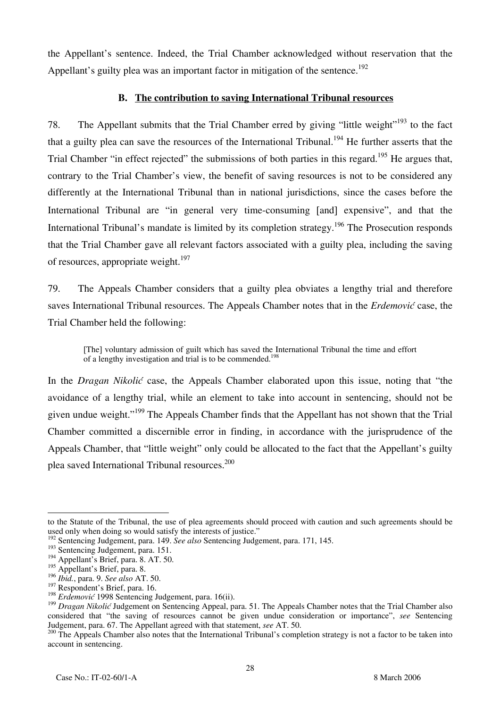the Appellant's sentence. Indeed, the Trial Chamber acknowledged without reservation that the Appellant's guilty plea was an important factor in mitigation of the sentence.<sup>192</sup>

### **B. The contribution to saving International Tribunal resources**

78. The Appellant submits that the Trial Chamber erred by giving "little weight"<sup>193</sup> to the fact that a guilty plea can save the resources of the International Tribunal.<sup>194</sup> He further asserts that the Trial Chamber "in effect rejected" the submissions of both parties in this regard.<sup>195</sup> He argues that, contrary to the Trial Chamber's view, the benefit of saving resources is not to be considered any differently at the International Tribunal than in national jurisdictions, since the cases before the International Tribunal are "in general very time-consuming [and] expensive", and that the International Tribunal's mandate is limited by its completion strategy.<sup>196</sup> The Prosecution responds that the Trial Chamber gave all relevant factors associated with a guilty plea, including the saving of resources, appropriate weight.<sup>197</sup>

79. The Appeals Chamber considers that a guilty plea obviates a lengthy trial and therefore saves International Tribunal resources. The Appeals Chamber notes that in the *Erdemović* case, the Trial Chamber held the following:

[The] voluntary admission of guilt which has saved the International Tribunal the time and effort of a lengthy investigation and trial is to be commended.<sup>19</sup>

In the *Dragan Nikolić* case, the Appeals Chamber elaborated upon this issue, noting that "the avoidance of a lengthy trial, while an element to take into account in sentencing, should not be given undue weight."<sup>199</sup> The Appeals Chamber finds that the Appellant has not shown that the Trial Chamber committed a discernible error in finding, in accordance with the jurisprudence of the Appeals Chamber, that "little weight" only could be allocated to the fact that the Appellant's guilty plea saved International Tribunal resources.200

 $\overline{a}$ to the Statute of the Tribunal, the use of plea agreements should proceed with caution and such agreements should be used only when doing so would satisfy the interests of justice."

<sup>192</sup> Sentencing Judgement, para. 149. *See also* Sentencing Judgement, para. 171, 145.

<sup>&</sup>lt;sup>193</sup> Sentencing Judgement, para. 151.

<sup>&</sup>lt;sup>194</sup> Appellant's Brief, para. 8. AT. 50.

 $195$  Appellant's Brief, para. 8.

<sup>196</sup> *Ibid.*, para. 9. *See also* AT. 50.

<sup>&</sup>lt;sup>197</sup> Respondent's Brief, para. 16.

<sup>198</sup> *Erdemović* 1998 Sentencing Judgement, para. 16(ii).

<sup>&</sup>lt;sup>199</sup> *Dragan Nikolić* Judgement on Sentencing Appeal, para. 51. The Appeals Chamber notes that the Trial Chamber also considered that "the saving of resources cannot be given undue consideration or importance", *see* Sentencing Judgement, para. 67. The Appellant agreed with that statement, *see* AT. 50.

<sup>&</sup>lt;sup>200</sup> The Appeals Chamber also notes that the International Tribunal's completion strategy is not a factor to be taken into account in sentencing.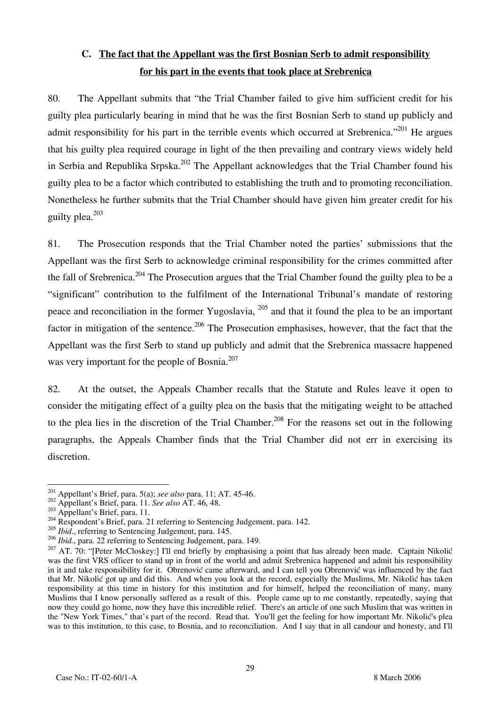# **C. The fact that the Appellant was the first Bosnian Serb to admit responsibility for his part in the events that took place at Srebrenica**

80. The Appellant submits that "the Trial Chamber failed to give him sufficient credit for his guilty plea particularly bearing in mind that he was the first Bosnian Serb to stand up publicly and admit responsibility for his part in the terrible events which occurred at Srebrenica."<sup>201</sup> He argues that his guilty plea required courage in light of the then prevailing and contrary views widely held in Serbia and Republika Srpska.<sup>202</sup> The Appellant acknowledges that the Trial Chamber found his guilty plea to be a factor which contributed to establishing the truth and to promoting reconciliation. Nonetheless he further submits that the Trial Chamber should have given him greater credit for his guilty plea. $203$ 

81. The Prosecution responds that the Trial Chamber noted the parties' submissions that the Appellant was the first Serb to acknowledge criminal responsibility for the crimes committed after the fall of Srebrenica.<sup>204</sup> The Prosecution argues that the Trial Chamber found the guilty plea to be a "significant" contribution to the fulfilment of the International Tribunal's mandate of restoring peace and reconciliation in the former Yugoslavia, 205 and that it found the plea to be an important factor in mitigation of the sentence.<sup>206</sup> The Prosecution emphasises, however, that the fact that the Appellant was the first Serb to stand up publicly and admit that the Srebrenica massacre happened was very important for the people of Bosnia.<sup>207</sup>

82. At the outset, the Appeals Chamber recalls that the Statute and Rules leave it open to consider the mitigating effect of a guilty plea on the basis that the mitigating weight to be attached to the plea lies in the discretion of the Trial Chamber.<sup>208</sup> For the reasons set out in the following paragraphs, the Appeals Chamber finds that the Trial Chamber did not err in exercising its discretion.

<sup>&</sup>lt;sup>201</sup> Appellant's Brief, para. 5(a); see also para. 11; AT. 45-46.

<sup>&</sup>lt;sup>202</sup> Appellant's Brief, para. 11. See also AT. 46, 48.<br><sup>203</sup> Appellant's Brief, para. 11.<br><sup>204</sup> Respondent's Brief, para. 21 referring to Sentencing Judgement, para. 142.

<sup>&</sup>lt;sup>205</sup> *Ibid.*, referring to Sentencing Judgement, para. 145.

<sup>206</sup> *Ibid.*, para. 22 referring to Sentencing Judgement, para. 149.

<sup>&</sup>lt;sup>207</sup> AT. 70: "[Peter McCloskey:] I'll end briefly by emphasising a point that has already been made. Captain Nikolić was the first VRS officer to stand up in front of the world and admit Srebrenica happened and admit his responsibility in it and take responsibility for it. Obrenović came afterward, and I can tell you Obrenović was influenced by the fact that Mr. Nikolić got up and did this. And when you look at the record, especially the Muslims, Mr. Nikolić has taken responsibility at this time in history for this institution and for himself, helped the reconciliation of many, many Muslims that I know personally suffered as a result of this. People came up to me constantly, repeatedly, saying that now they could go home, now they have this incredible relief. There's an article of one such Muslim that was written in the "New York Times," that's part of the record. Read that. You'll get the feeling for how important Mr. Nikolić's plea was to this institution, to this case, to Bosnia, and to reconciliation. And I say that in all candour and honesty, and I'll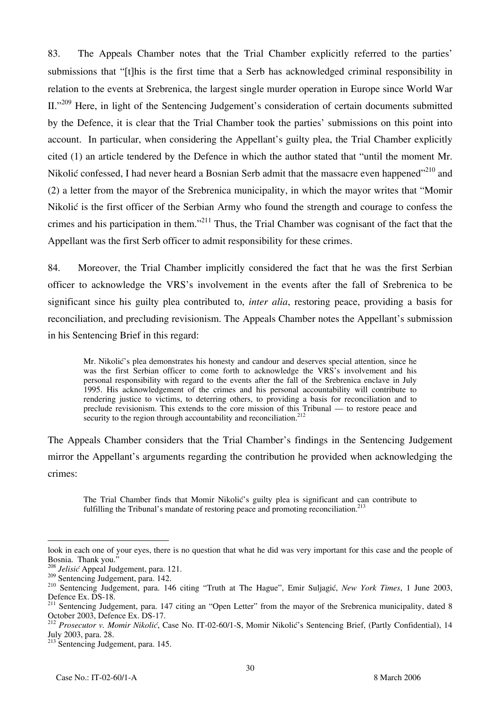83. The Appeals Chamber notes that the Trial Chamber explicitly referred to the parties' submissions that "[t]his is the first time that a Serb has acknowledged criminal responsibility in relation to the events at Srebrenica, the largest single murder operation in Europe since World War II."<sup>209</sup> Here, in light of the Sentencing Judgement's consideration of certain documents submitted by the Defence, it is clear that the Trial Chamber took the parties' submissions on this point into account. In particular, when considering the Appellant's guilty plea, the Trial Chamber explicitly cited (1) an article tendered by the Defence in which the author stated that "until the moment Mr. Nikolić confessed, I had never heard a Bosnian Serb admit that the massacre even happened"<sup>210</sup> and (2) a letter from the mayor of the Srebrenica municipality, in which the mayor writes that "Momir Nikolić is the first officer of the Serbian Army who found the strength and courage to confess the crimes and his participation in them."211 Thus, the Trial Chamber was cognisant of the fact that the Appellant was the first Serb officer to admit responsibility for these crimes.

84. Moreover, the Trial Chamber implicitly considered the fact that he was the first Serbian officer to acknowledge the VRS's involvement in the events after the fall of Srebrenica to be significant since his guilty plea contributed to, *inter alia*, restoring peace, providing a basis for reconciliation, and precluding revisionism. The Appeals Chamber notes the Appellant's submission in his Sentencing Brief in this regard:

Mr. Nikolić's plea demonstrates his honesty and candour and deserves special attention, since he was the first Serbian officer to come forth to acknowledge the VRS's involvement and his personal responsibility with regard to the events after the fall of the Srebrenica enclave in July 1995. His acknowledgement of the crimes and his personal accountability will contribute to rendering justice to victims, to deterring others, to providing a basis for reconciliation and to preclude revisionism. This extends to the core mission of this Tribunal — to restore peace and security to the region through accountability and reconciliation.<sup>212</sup>

The Appeals Chamber considers that the Trial Chamber's findings in the Sentencing Judgement mirror the Appellant's arguments regarding the contribution he provided when acknowledging the crimes:

The Trial Chamber finds that Momir Nikolić's guilty plea is significant and can contribute to fulfilling the Tribunal's mandate of restoring peace and promoting reconciliation.<sup>213</sup>

look in each one of your eyes, there is no question that what he did was very important for this case and the people of Bosnia. Thank you."

<sup>&</sup>lt;sup>208</sup> *Jelisić* Appeal Judgement, para. 121.<br><sup>209</sup> Sentencing Judgement, para. 142.

<sup>&</sup>lt;sup>210</sup> Sentencing Judgement, para. 146 citing "Truth at The Hague", Emir Suljagić, *New York Times*, 1 June 2003, Defence Ex. DS-18.

<sup>&</sup>lt;sup>211</sup> Sentencing Judgement, para. 147 citing an "Open Letter" from the mayor of the Srebrenica municipality, dated 8 October 2003, Defence Ex. DS-17.

<sup>212</sup> *Prosecutor v. Momir Nikolić*, Case No. IT-02-60/1-S, Momir Nikolić's Sentencing Brief, (Partly Confidential), 14 July 2003, para. 28.

<sup>&</sup>lt;sup>213</sup> Sentencing Judgement, para. 145.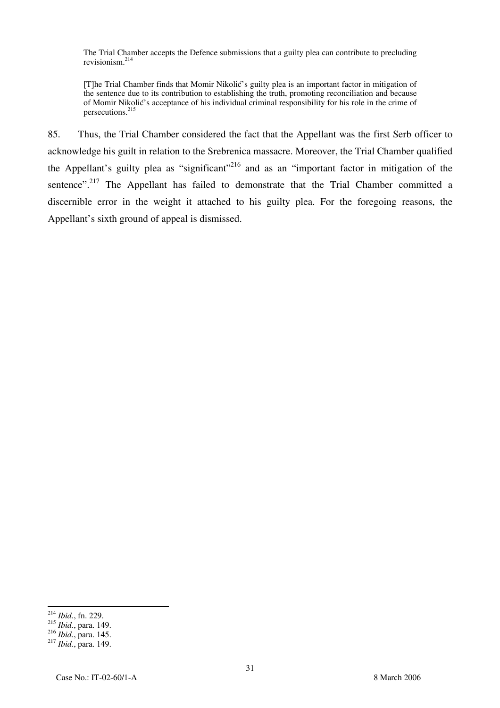The Trial Chamber accepts the Defence submissions that a guilty plea can contribute to precluding revisionism.214

[T]he Trial Chamber finds that Momir Nikolić's guilty plea is an important factor in mitigation of the sentence due to its contribution to establishing the truth, promoting reconciliation and because of Momir Nikolić's acceptance of his individual criminal responsibility for his role in the crime of persecutions.215

85. Thus, the Trial Chamber considered the fact that the Appellant was the first Serb officer to acknowledge his guilt in relation to the Srebrenica massacre. Moreover, the Trial Chamber qualified the Appellant's guilty plea as "significant"<sup>216</sup> and as an "important factor in mitigation of the sentence".<sup>217</sup> The Appellant has failed to demonstrate that the Trial Chamber committed a discernible error in the weight it attached to his guilty plea. For the foregoing reasons, the Appellant's sixth ground of appeal is dismissed.

 $\overline{a}$ <sup>214</sup> *Ibid.*, fn. 229.

<sup>&</sup>lt;sup>215</sup> *Ibid.*, para. 149.<br><sup>216</sup> *Ibid.*, para. 145.

<sup>216</sup> *Ibid.*, para. 145. <sup>217</sup> *Ibid.*, para. 149.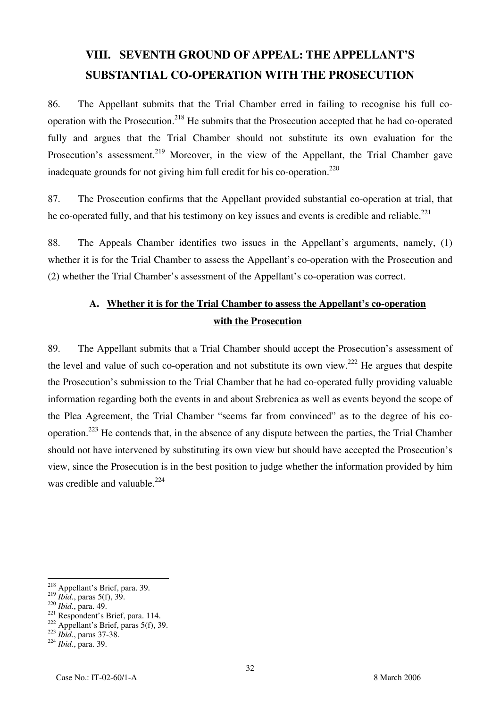# **VIII. SEVENTH GROUND OF APPEAL: THE APPELLANT'S SUBSTANTIAL CO-OPERATION WITH THE PROSECUTION**

86. The Appellant submits that the Trial Chamber erred in failing to recognise his full cooperation with the Prosecution.218 He submits that the Prosecution accepted that he had co-operated fully and argues that the Trial Chamber should not substitute its own evaluation for the Prosecution's assessment.<sup>219</sup> Moreover, in the view of the Appellant, the Trial Chamber gave inadequate grounds for not giving him full credit for his co-operation.<sup>220</sup>

87. The Prosecution confirms that the Appellant provided substantial co-operation at trial, that he co-operated fully, and that his testimony on key issues and events is credible and reliable.<sup>221</sup>

88. The Appeals Chamber identifies two issues in the Appellant's arguments, namely, (1) whether it is for the Trial Chamber to assess the Appellant's co-operation with the Prosecution and (2) whether the Trial Chamber's assessment of the Appellant's co-operation was correct.

# **A. Whether it is for the Trial Chamber to assess the Appellant's co-operation with the Prosecution**

89. The Appellant submits that a Trial Chamber should accept the Prosecution's assessment of the level and value of such co-operation and not substitute its own view.<sup>222</sup> He argues that despite the Prosecution's submission to the Trial Chamber that he had co-operated fully providing valuable information regarding both the events in and about Srebrenica as well as events beyond the scope of the Plea Agreement, the Trial Chamber "seems far from convinced" as to the degree of his cooperation.223 He contends that, in the absence of any dispute between the parties, the Trial Chamber should not have intervened by substituting its own view but should have accepted the Prosecution's view, since the Prosecution is in the best position to judge whether the information provided by him was credible and valuable. $224$ 

<sup>&</sup>lt;sup>218</sup> Appellant's Brief, para. 39.

<sup>&</sup>lt;sup>219</sup> *Ibid.*, paras 5(f), 39.<br>
<sup>220</sup> *Ibid.*, para. 49.<br>
<sup>221</sup> Respondent's Brief, para. 114.<br>
<sup>222</sup> Appellant's Brief, paras 5(f), 39.<br>
<sup>223</sup> *Ibid.*, paras 37-38.<br>
<sup>224</sup> *Ibid.*, para. 39.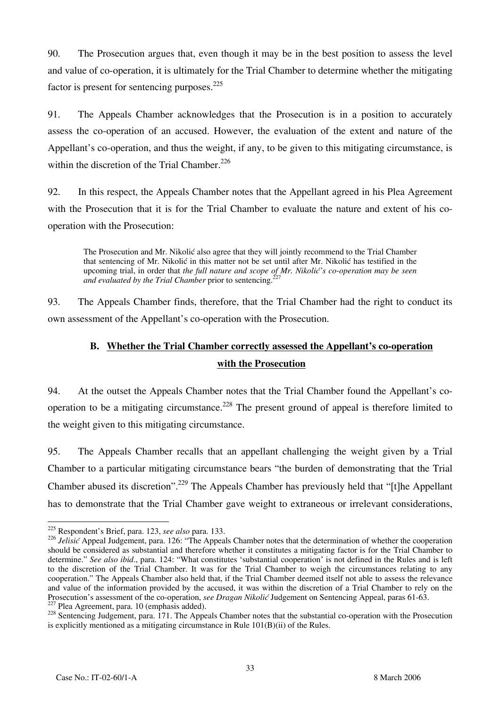90. The Prosecution argues that, even though it may be in the best position to assess the level and value of co-operation, it is ultimately for the Trial Chamber to determine whether the mitigating factor is present for sentencing purposes.<sup>225</sup>

91. The Appeals Chamber acknowledges that the Prosecution is in a position to accurately assess the co-operation of an accused. However, the evaluation of the extent and nature of the Appellant's co-operation, and thus the weight, if any, to be given to this mitigating circumstance, is within the discretion of the Trial Chamber. $226$ 

92. In this respect, the Appeals Chamber notes that the Appellant agreed in his Plea Agreement with the Prosecution that it is for the Trial Chamber to evaluate the nature and extent of his cooperation with the Prosecution:

The Prosecution and Mr. Nikolić also agree that they will jointly recommend to the Trial Chamber that sentencing of Mr. Nikolić in this matter not be set until after Mr. Nikolić has testified in the upcoming trial, in order that *the full nature and scope of Mr. Nikolić's co-operation may be seen* and evaluated by the Trial Chamber prior to sentencing.<sup>227</sup>

93. The Appeals Chamber finds, therefore, that the Trial Chamber had the right to conduct its own assessment of the Appellant's co-operation with the Prosecution.

# **B. Whether the Trial Chamber correctly assessed the Appellant's co-operation with the Prosecution**

94. At the outset the Appeals Chamber notes that the Trial Chamber found the Appellant's cooperation to be a mitigating circumstance.<sup>228</sup> The present ground of appeal is therefore limited to the weight given to this mitigating circumstance.

95. The Appeals Chamber recalls that an appellant challenging the weight given by a Trial Chamber to a particular mitigating circumstance bears "the burden of demonstrating that the Trial Chamber abused its discretion".229 The Appeals Chamber has previously held that "[t]he Appellant has to demonstrate that the Trial Chamber gave weight to extraneous or irrelevant considerations,

 $\overline{a}$ 225 Respondent's Brief, para. 123, *see also* para. 133.

<sup>&</sup>lt;sup>226</sup> *Jelisić* Appeal Judgement, para. 126: "The Appeals Chamber notes that the determination of whether the cooperation should be considered as substantial and therefore whether it constitutes a mitigating factor is for the Trial Chamber to determine." *See also ibid*., para. 124: "What constitutes 'substantial cooperation' is not defined in the Rules and is left to the discretion of the Trial Chamber. It was for the Trial Chamber to weigh the circumstances relating to any cooperation." The Appeals Chamber also held that, if the Trial Chamber deemed itself not able to assess the relevance and value of the information provided by the accused, it was within the discretion of a Trial Chamber to rely on the Prosecution's assessment of the co-operation, *see Dragan Nikolić* Judgement on Sentencing Appeal, paras 61-63.<br><sup>227</sup> Plea Agreement, para. 10 (emphasis added).<br><sup>228</sup> Sentencing Judgement, para. 171. The Appeals Chamber no

is explicitly mentioned as a mitigating circumstance in Rule  $101(B)(ii)$  of the Rules.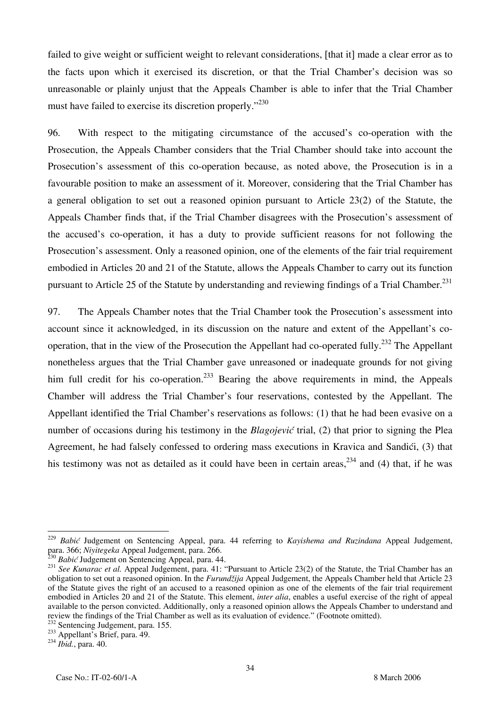failed to give weight or sufficient weight to relevant considerations, [that it] made a clear error as to the facts upon which it exercised its discretion, or that the Trial Chamber's decision was so unreasonable or plainly unjust that the Appeals Chamber is able to infer that the Trial Chamber must have failed to exercise its discretion properly."<sup>230</sup>

96. With respect to the mitigating circumstance of the accused's co-operation with the Prosecution, the Appeals Chamber considers that the Trial Chamber should take into account the Prosecution's assessment of this co-operation because, as noted above, the Prosecution is in a favourable position to make an assessment of it. Moreover, considering that the Trial Chamber has a general obligation to set out a reasoned opinion pursuant to Article 23(2) of the Statute, the Appeals Chamber finds that, if the Trial Chamber disagrees with the Prosecution's assessment of the accused's co-operation, it has a duty to provide sufficient reasons for not following the Prosecution's assessment. Only a reasoned opinion, one of the elements of the fair trial requirement embodied in Articles 20 and 21 of the Statute, allows the Appeals Chamber to carry out its function pursuant to Article 25 of the Statute by understanding and reviewing findings of a Trial Chamber.<sup>231</sup>

97. The Appeals Chamber notes that the Trial Chamber took the Prosecution's assessment into account since it acknowledged, in its discussion on the nature and extent of the Appellant's cooperation, that in the view of the Prosecution the Appellant had co-operated fully.<sup>232</sup> The Appellant nonetheless argues that the Trial Chamber gave unreasoned or inadequate grounds for not giving him full credit for his co-operation.<sup>233</sup> Bearing the above requirements in mind, the Appeals Chamber will address the Trial Chamber's four reservations, contested by the Appellant. The Appellant identified the Trial Chamber's reservations as follows: (1) that he had been evasive on a number of occasions during his testimony in the *Blagojević* trial, (2) that prior to signing the Plea Agreement, he had falsely confessed to ordering mass executions in Kravica and Sandići, (3) that his testimony was not as detailed as it could have been in certain areas,  $234$  and (4) that, if he was

<sup>&</sup>lt;sup>229</sup> Babić Judgement on Sentencing Appeal, para. 44 referring to *Kayishema and Ruzindana* Appeal Judgement, para. 366; Nivitegeka Appeal Judgement, para. 266.<br><sup>230</sup> Babić Judgement on Sentencing Appeal, para. 44.<br><sup>231</sup> See Kunarac et al. Appeal Judgement, para. 41: "Pursuant to Article 23(2) of the Statute, the Trial Chamber has

obligation to set out a reasoned opinion. In the *Furund`ija* Appeal Judgement, the Appeals Chamber held that Article 23 of the Statute gives the right of an accused to a reasoned opinion as one of the elements of the fair trial requirement embodied in Articles 20 and 21 of the Statute. This element, *inter alia*, enables a useful exercise of the right of appeal available to the person convicted. Additionally, only a reasoned opinion allows the Appeals Chamber to understand and<br>review the findings of the Trial Chamber as well as its evaluation of evidence." (Footnote omitted).

<sup>233</sup> Sentencing Judgement, para. 155.<br>
<sup>233</sup> Sentencing Judgement, para. 155.<br>
<sup>234</sup> *Ibid.*, para. 40. <sup>234</sup> *Ibid.*, para. 40.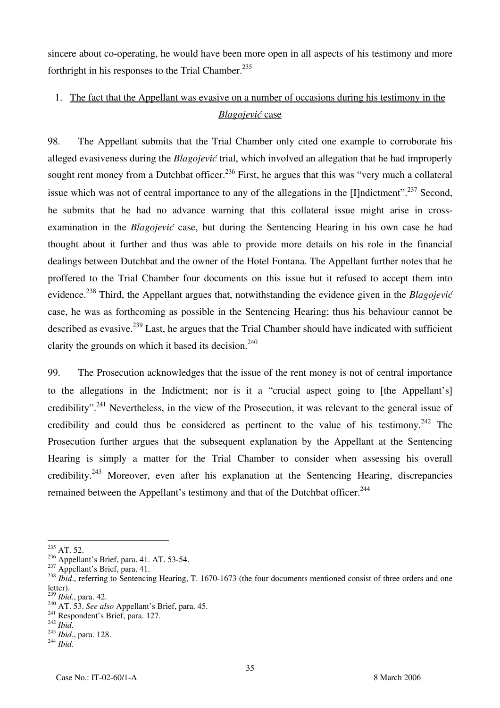sincere about co-operating, he would have been more open in all aspects of his testimony and more forthright in his responses to the Trial Chamber.<sup>235</sup>

# 1. The fact that the Appellant was evasive on a number of occasions during his testimony in the *Blagojevi}* case

98. The Appellant submits that the Trial Chamber only cited one example to corroborate his alleged evasiveness during the *Blagojević* trial, which involved an allegation that he had improperly sought rent money from a Dutchbat officer.<sup>236</sup> First, he argues that this was "very much a collateral issue which was not of central importance to any of the allegations in the [I]ndictment".<sup>237</sup> Second, he submits that he had no advance warning that this collateral issue might arise in crossexamination in the *Blagojević* case, but during the Sentencing Hearing in his own case he had thought about it further and thus was able to provide more details on his role in the financial dealings between Dutchbat and the owner of the Hotel Fontana. The Appellant further notes that he proffered to the Trial Chamber four documents on this issue but it refused to accept them into evidence.<sup>238</sup> Third, the Appellant argues that, notwithstanding the evidence given in the *Blagojević* case, he was as forthcoming as possible in the Sentencing Hearing; thus his behaviour cannot be described as evasive.<sup>239</sup> Last, he argues that the Trial Chamber should have indicated with sufficient clarity the grounds on which it based its decision.<sup>240</sup>

99. The Prosecution acknowledges that the issue of the rent money is not of central importance to the allegations in the Indictment; nor is it a "crucial aspect going to [the Appellant's] credibility".241 Nevertheless, in the view of the Prosecution, it was relevant to the general issue of credibility and could thus be considered as pertinent to the value of his testimony.<sup>242</sup> The Prosecution further argues that the subsequent explanation by the Appellant at the Sentencing Hearing is simply a matter for the Trial Chamber to consider when assessing his overall credibility.<sup>243</sup> Moreover, even after his explanation at the Sentencing Hearing, discrepancies remained between the Appellant's testimony and that of the Dutchbat officer.<sup>244</sup>

 $\overline{a}$  $^{235}$  AT. 52.

<sup>&</sup>lt;sup>236</sup> Appellant's Brief, para. 41. AT. 53-54.<br><sup>237</sup> Appellant's Brief, para. 41.<br><sup>238</sup> *Ibid.*, referring to Sentencing Hearing, T. 1670-1673 (the four documents mentioned consist of three orders and one letter).<br> $^{239}$ *Ibid.*, para. 42.

<sup>239</sup> *Ibid.*, para. 42. 240 AT. 53. *See also* Appellant's Brief, para. 45. 241 Respondent's Brief, para. 127. <sup>242</sup> *Ibid.* <sup>243</sup> *Ibid.*, para. 128. <sup>244</sup> *Ibid.*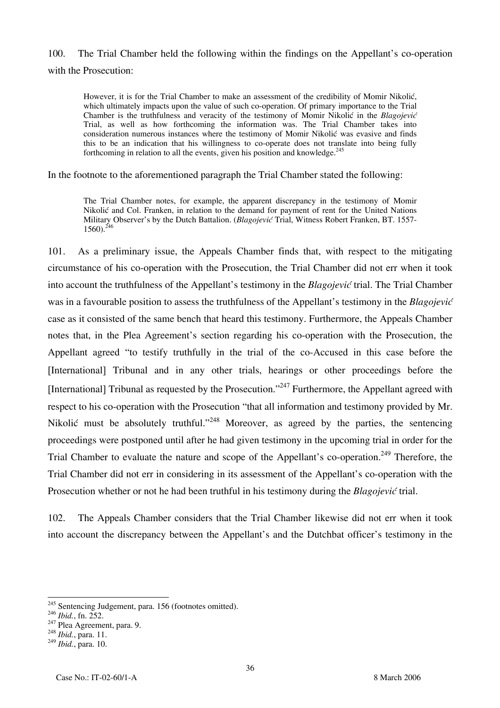## 100. The Trial Chamber held the following within the findings on the Appellant's co-operation with the Prosecution:

However, it is for the Trial Chamber to make an assessment of the credibility of Momir Nikolić, which ultimately impacts upon the value of such co-operation. Of primary importance to the Trial Chamber is the truthfulness and veracity of the testimony of Momir Nikolić in the *Blagojević* Trial, as well as how forthcoming the information was. The Trial Chamber takes into consideration numerous instances where the testimony of Momir Nikolić was evasive and finds this to be an indication that his willingness to co-operate does not translate into being fully forthcoming in relation to all the events, given his position and knowledge.<sup>245</sup>

In the footnote to the aforementioned paragraph the Trial Chamber stated the following:

The Trial Chamber notes, for example, the apparent discrepancy in the testimony of Momir Nikolić and Col. Franken, in relation to the demand for payment of rent for the United Nations Military Observer's by the Dutch Battalion. (*Blagojević* Trial, Witness Robert Franken, BT. 1557-  $1560$ ).<sup>246</sup>

101. As a preliminary issue, the Appeals Chamber finds that, with respect to the mitigating circumstance of his co-operation with the Prosecution, the Trial Chamber did not err when it took into account the truthfulness of the Appellant's testimony in the *Blagojević* trial. The Trial Chamber was in a favourable position to assess the truthfulness of the Appellant's testimony in the *Blagojević* case as it consisted of the same bench that heard this testimony. Furthermore, the Appeals Chamber notes that, in the Plea Agreement's section regarding his co-operation with the Prosecution, the Appellant agreed "to testify truthfully in the trial of the co-Accused in this case before the [International] Tribunal and in any other trials, hearings or other proceedings before the [International] Tribunal as requested by the Prosecution."<sup>247</sup> Furthermore, the Appellant agreed with respect to his co-operation with the Prosecution "that all information and testimony provided by Mr. Nikolić must be absolutely truthful."<sup>248</sup> Moreover, as agreed by the parties, the sentencing proceedings were postponed until after he had given testimony in the upcoming trial in order for the Trial Chamber to evaluate the nature and scope of the Appellant's co-operation.<sup>249</sup> Therefore, the Trial Chamber did not err in considering in its assessment of the Appellant's co-operation with the Prosecution whether or not he had been truthful in his testimony during the *Blagojević* trial.

102. The Appeals Chamber considers that the Trial Chamber likewise did not err when it took into account the discrepancy between the Appellant's and the Dutchbat officer's testimony in the

 $\overline{a}$  $^{245}$  Sentencing Judgement, para. 156 (footnotes omitted).

<sup>246</sup> *Ibid.*, fn. 252. 247 Plea Agreement, para. 9. <sup>248</sup> *Ibid.*, para. 11.

<sup>249</sup> *Ibid.*, para. 10.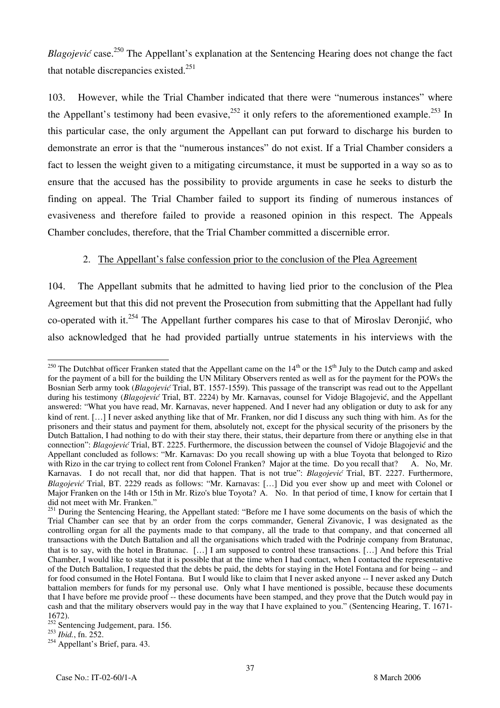*Blagojević* case.<sup>250</sup> The Appellant's explanation at the Sentencing Hearing does not change the fact that notable discrepancies existed. $251$ 

103. However, while the Trial Chamber indicated that there were "numerous instances" where the Appellant's testimony had been evasive,  $252$  it only refers to the aforementioned example.<sup>253</sup> In this particular case, the only argument the Appellant can put forward to discharge his burden to demonstrate an error is that the "numerous instances" do not exist. If a Trial Chamber considers a fact to lessen the weight given to a mitigating circumstance, it must be supported in a way so as to ensure that the accused has the possibility to provide arguments in case he seeks to disturb the finding on appeal. The Trial Chamber failed to support its finding of numerous instances of evasiveness and therefore failed to provide a reasoned opinion in this respect. The Appeals Chamber concludes, therefore, that the Trial Chamber committed a discernible error.

### 2. The Appellant's false confession prior to the conclusion of the Plea Agreement

104. The Appellant submits that he admitted to having lied prior to the conclusion of the Plea Agreement but that this did not prevent the Prosecution from submitting that the Appellant had fully co-operated with it.<sup>254</sup> The Appellant further compares his case to that of Miroslav Deronjić, who also acknowledged that he had provided partially untrue statements in his interviews with the

 $\overline{a}$ <sup>250</sup> The Dutchbat officer Franken stated that the Appellant came on the  $14^{\text{th}}$  or the  $15^{\text{th}}$  July to the Dutch camp and asked for the payment of a bill for the building the UN Military Observers rented as well as for the payment for the POWs the Bosnian Serb army took (*Blagojević* Trial, BT. 1557-1559). This passage of the transcript was read out to the Appellant during his testimony (*Blagojević* Trial, BT. 2224) by Mr. Karnavas, counsel for Vidoje Blagojević, and the Appellant answered: "What you have read, Mr. Karnavas, never happened. And I never had any obligation or duty to ask for any kind of rent. [...] I never asked anything like that of Mr. Franken, nor did I discuss any such thing with him. As for the prisoners and their status and payment for them, absolutely not, except for the physical security of the prisoners by the Dutch Battalion, I had nothing to do with their stay there, their status, their departure from there or anything else in that connection": *Blagojević* Trial, BT. 2225. Furthermore, the discussion between the counsel of Vidoje Blagojević and the Appellant concluded as follows: "Mr. Karnavas: Do you recall showing up with a blue Toyota that belonged to Rizo with Rizo in the car trying to collect rent from Colonel Franken? Major at the time. Do you recall that? A. N with Rizo in the car trying to collect rent from Colonel Franken? Major at the time. Do you recall that? Karnavas. I do not recall that, nor did that happen. That is not true": *Blagojević* Trial, BT. 2227. Furthermore, *Blagojević* Trial, BT. 2229 reads as follows: "Mr. Karnavas: [...] Did you ever show up and meet with Colonel or Major Franken on the 14th or 15th in Mr. Rizo's blue Toyota? A. No. In that period of time, I know for certain that I did not meet with Mr. Franken."

<sup>&</sup>lt;sup>251</sup> During the Sentencing Hearing, the Appellant stated: "Before me I have some documents on the basis of which the Trial Chamber can see that by an order from the corps commander, General Zivanovic, I was designated as the controlling organ for all the payments made to that company, all the trade to that company, and that concerned all transactions with the Dutch Battalion and all the organisations which traded with the Podrinje company from Bratunac, that is to say, with the hotel in Bratunac. […] I am supposed to control these transactions. […] And before this Trial Chamber, I would like to state that it is possible that at the time when I had contact, when I contacted the representative of the Dutch Battalion, I requested that the debts be paid, the debts for staying in the Hotel Fontana and for being -- and for food consumed in the Hotel Fontana. But I would like to claim that I never asked anyone -- I never asked any Dutch battalion members for funds for my personal use. Only what I have mentioned is possible, because these documents that I have before me provide proof -- these documents have been stamped, and they prove that the Dutch would pay in cash and that the military observers would pay in the way that I have explained to you." (Sentencing Hearing, T. 1671- 1672).

<sup>&</sup>lt;sup>252</sup> Sentencing Judgement, para. 156.

<sup>253</sup> *Ibid.*, fn. 252.

<sup>&</sup>lt;sup>254</sup> Appellant's Brief, para. 43.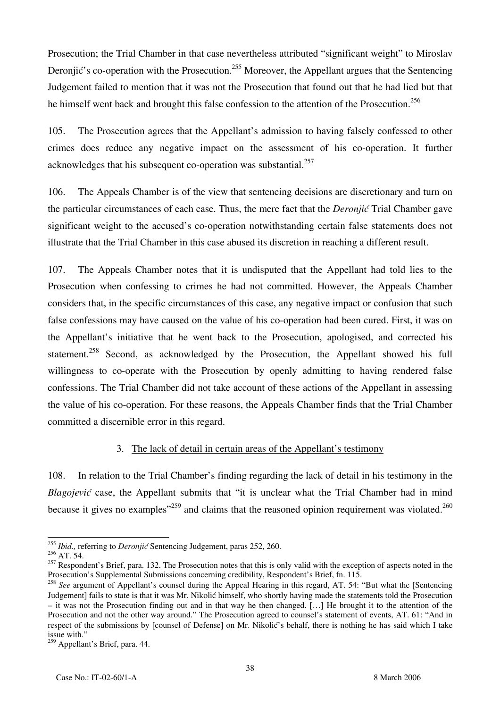Prosecution; the Trial Chamber in that case nevertheless attributed "significant weight" to Miroslav Deronjić's co-operation with the Prosecution.<sup>255</sup> Moreover, the Appellant argues that the Sentencing Judgement failed to mention that it was not the Prosecution that found out that he had lied but that he himself went back and brought this false confession to the attention of the Prosecution.<sup>256</sup>

105. The Prosecution agrees that the Appellant's admission to having falsely confessed to other crimes does reduce any negative impact on the assessment of his co-operation. It further acknowledges that his subsequent co-operation was substantial.<sup>257</sup>

106. The Appeals Chamber is of the view that sentencing decisions are discretionary and turn on the particular circumstances of each case. Thus, the mere fact that the *Deronjic* Trial Chamber gave significant weight to the accused's co-operation notwithstanding certain false statements does not illustrate that the Trial Chamber in this case abused its discretion in reaching a different result.

107. The Appeals Chamber notes that it is undisputed that the Appellant had told lies to the Prosecution when confessing to crimes he had not committed. However, the Appeals Chamber considers that, in the specific circumstances of this case, any negative impact or confusion that such false confessions may have caused on the value of his co-operation had been cured. First, it was on the Appellant's initiative that he went back to the Prosecution, apologised, and corrected his statement.<sup>258</sup> Second, as acknowledged by the Prosecution, the Appellant showed his full willingness to co-operate with the Prosecution by openly admitting to having rendered false confessions. The Trial Chamber did not take account of these actions of the Appellant in assessing the value of his co-operation. For these reasons, the Appeals Chamber finds that the Trial Chamber committed a discernible error in this regard.

#### 3. The lack of detail in certain areas of the Appellant's testimony

108. In relation to the Trial Chamber's finding regarding the lack of detail in his testimony in the *Blagojević* case, the Appellant submits that "it is unclear what the Trial Chamber had in mind because it gives no examples<sup> $259$ </sup> and claims that the reasoned opinion requirement was violated.<sup>260</sup>

 $\overline{a}$ <sup>255</sup> *Ibid.*, referring to *Deronjić* Sentencing Judgement, paras 252, 260.

 $^{256}$  AT. 54.

 $257$  Respondent's Brief, para. 132. The Prosecution notes that this is only valid with the exception of aspects noted in the Prosecution's Supplemental Submissions concerning credibility, Respondent's Brief, fn. 115.

<sup>258</sup> *See* argument of Appellant's counsel during the Appeal Hearing in this regard, AT. 54: "But what the [Sentencing Judgement] fails to state is that it was Mr. Nikolić himself, who shortly having made the statements told the Prosecution – it was not the Prosecution finding out and in that way he then changed. […] He brought it to the attention of the Prosecution and not the other way around." The Prosecution agreed to counsel's statement of events, AT. 61: "And in respect of the submissions by [counsel of Defense] on Mr. Nikolić's behalf, there is nothing he has said which I take issue with."

<sup>&</sup>lt;sup>259</sup> Appellant's Brief, para. 44.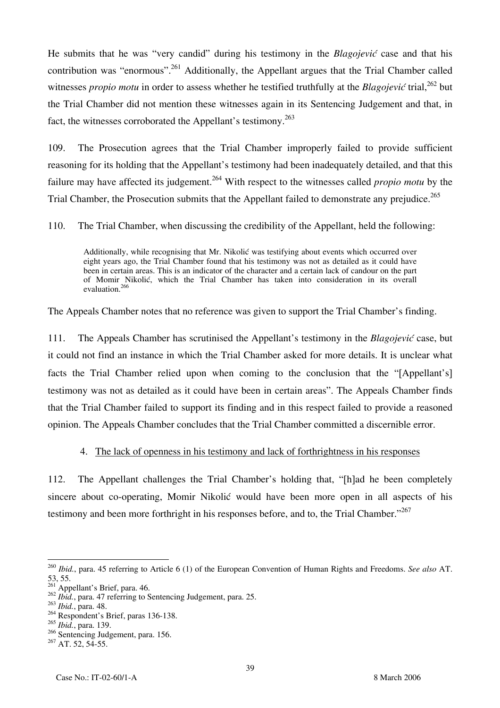He submits that he was "very candid" during his testimony in the *Blagojević* case and that his contribution was "enormous".<sup>261</sup> Additionally, the Appellant argues that the Trial Chamber called witnesses *propio motu* in order to assess whether he testified truthfully at the *Blagojević* trial,<sup>262</sup> but the Trial Chamber did not mention these witnesses again in its Sentencing Judgement and that, in fact, the witnesses corroborated the Appellant's testimony.<sup>263</sup>

109. The Prosecution agrees that the Trial Chamber improperly failed to provide sufficient reasoning for its holding that the Appellant's testimony had been inadequately detailed, and that this failure may have affected its judgement.264 With respect to the witnesses called *propio motu* by the Trial Chamber, the Prosecution submits that the Appellant failed to demonstrate any prejudice.<sup>265</sup>

110. The Trial Chamber, when discussing the credibility of the Appellant, held the following:

Additionally, while recognising that Mr. Nikolić was testifying about events which occurred over eight years ago, the Trial Chamber found that his testimony was not as detailed as it could have been in certain areas. This is an indicator of the character and a certain lack of candour on the part of Momir Nikolić, which the Trial Chamber has taken into consideration in its overall evaluation.<sup>266</sup>

The Appeals Chamber notes that no reference was given to support the Trial Chamber's finding.

111. The Appeals Chamber has scrutinised the Appellant's testimony in the *Blagojević* case, but it could not find an instance in which the Trial Chamber asked for more details. It is unclear what facts the Trial Chamber relied upon when coming to the conclusion that the "[Appellant's] testimony was not as detailed as it could have been in certain areas". The Appeals Chamber finds that the Trial Chamber failed to support its finding and in this respect failed to provide a reasoned opinion. The Appeals Chamber concludes that the Trial Chamber committed a discernible error.

### 4. The lack of openness in his testimony and lack of forthrightness in his responses

112. The Appellant challenges the Trial Chamber's holding that, "[h]ad he been completely sincere about co-operating, Momir Nikolić would have been more open in all aspects of his testimony and been more forthright in his responses before, and to, the Trial Chamber.<sup>"267</sup>

 $\overline{a}$ <sup>260</sup> *Ibid.*, para. 45 referring to Article 6 (1) of the European Convention of Human Rights and Freedoms. *See also* AT. 53, 55.

 $261$  Appellant's Brief, para. 46.

<sup>&</sup>lt;sup>262</sup> *Ibid.*, para. 47 referring to Sentencing Judgement, para. 25.

<sup>263</sup> *Ibid.*, para. 48.

 $264$  Respondent's Brief, paras 136-138.

<sup>265</sup> *Ibid.*, para. 139.

<sup>&</sup>lt;sup>266</sup> Sentencing Judgement, para. 156.

 $267$  AT. 52, 54-55.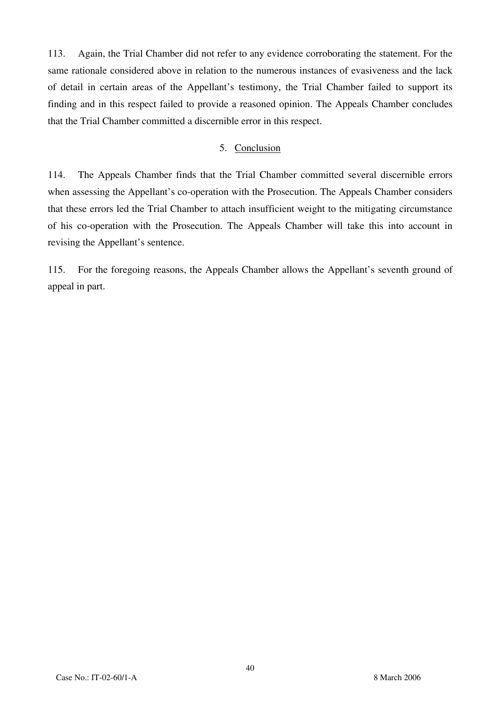113. Again, the Trial Chamber did not refer to any evidence corroborating the statement. For the same rationale considered above in relation to the numerous instances of evasiveness and the lack of detail in certain areas of the Appellant's testimony, the Trial Chamber failed to support its finding and in this respect failed to provide a reasoned opinion. The Appeals Chamber concludes that the Trial Chamber committed a discernible error in this respect.

#### 5. Conclusion

114. The Appeals Chamber finds that the Trial Chamber committed several discernible errors when assessing the Appellant's co-operation with the Prosecution. The Appeals Chamber considers that these errors led the Trial Chamber to attach insufficient weight to the mitigating circumstance of his co-operation with the Prosecution. The Appeals Chamber will take this into account in revising the Appellant's sentence.

115. For the foregoing reasons, the Appeals Chamber allows the Appellant's seventh ground of appeal in part.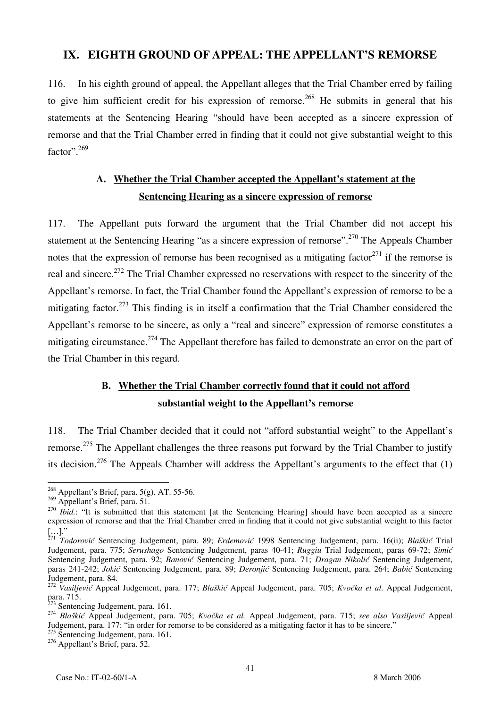## **IX. EIGHTH GROUND OF APPEAL: THE APPELLANT'S REMORSE**

116. In his eighth ground of appeal, the Appellant alleges that the Trial Chamber erred by failing to give him sufficient credit for his expression of remorse.<sup>268</sup> He submits in general that his statements at the Sentencing Hearing "should have been accepted as a sincere expression of remorse and that the Trial Chamber erred in finding that it could not give substantial weight to this factor".<sup>269</sup>

# **A. Whether the Trial Chamber accepted the Appellant's statement at the Sentencing Hearing as a sincere expression of remorse**

117. The Appellant puts forward the argument that the Trial Chamber did not accept his statement at the Sentencing Hearing "as a sincere expression of remorse".<sup>270</sup> The Appeals Chamber notes that the expression of remorse has been recognised as a mitigating factor  $271$  if the remorse is real and sincere.<sup>272</sup> The Trial Chamber expressed no reservations with respect to the sincerity of the Appellant's remorse. In fact, the Trial Chamber found the Appellant's expression of remorse to be a mitigating factor.<sup>273</sup> This finding is in itself a confirmation that the Trial Chamber considered the Appellant's remorse to be sincere, as only a "real and sincere" expression of remorse constitutes a mitigating circumstance.<sup>274</sup> The Appellant therefore has failed to demonstrate an error on the part of the Trial Chamber in this regard.

# **B. Whether the Trial Chamber correctly found that it could not afford substantial weight to the Appellant's remorse**

118. The Trial Chamber decided that it could not "afford substantial weight" to the Appellant's remorse.<sup>275</sup> The Appellant challenges the three reasons put forward by the Trial Chamber to justify its decision.<sup>276</sup> The Appeals Chamber will address the Appellant's arguments to the effect that  $(1)$ 

 $\overline{a}$  $^{268}$  Appellant's Brief, para. 5(g). AT. 55-56.

 $^{269}$  Appellant's Brief, para. 51.

<sup>&</sup>lt;sup>270</sup> *Ibid.*: "It is submitted that this statement [at the Sentencing Hearing] should have been accepted as a sincere expression of remorse and that the Trial Chamber erred in finding that it could not give substantial weight to this factor

<sup>[...].&</sup>quot;<br><sup>271</sup> *Todorović* Sentencing Judgement, para. 89; *Erdemović* 1998 Sentencing Judgement, para. 16(ii); *Blaškić* Trial Judgement, para. 775; *Serushago* Sentencing Judgement, paras 40-41; *Ruggiu* Trial Judgement, paras 69-72; *Simi}* Sentencing Judgement, para. 92; *Banović* Sentencing Judgement, para. 71; *Dragan Nikolić* Sentencing Judgement, paras 241-242; *Jokić* Sentencing Judgement, para. 89; *Deronjić* Sentencing Judgement, para. 264; *Babić* Sentencing Judgement, para. 84.

<sup>&</sup>lt;sup>272</sup> Vasiljević Appeal Judgement, para. 177; *Blaškić* Appeal Judgement, para. 705; *Kvočka et al.* Appeal Judgement, para. 715.<br> $\frac{273}{273}$  Sentencing Judgement, para. 161.

<sup>273</sup> Sentencing Judgement, para. 161. <sup>274</sup> *Bla{ki}* Appeal Judgement, para. 705; *Kvo~ka et al.* Appeal Judgement, para. 715; *see also Vasiljevi}* Appeal Judgement, para. 177: "in order for remorse to be considered as a mitigating factor it has to be sincere."

<sup>&</sup>lt;sup>275</sup> Sentencing Judgement, para. 161.

<sup>&</sup>lt;sup>276</sup> Appellant's Brief, para. 52.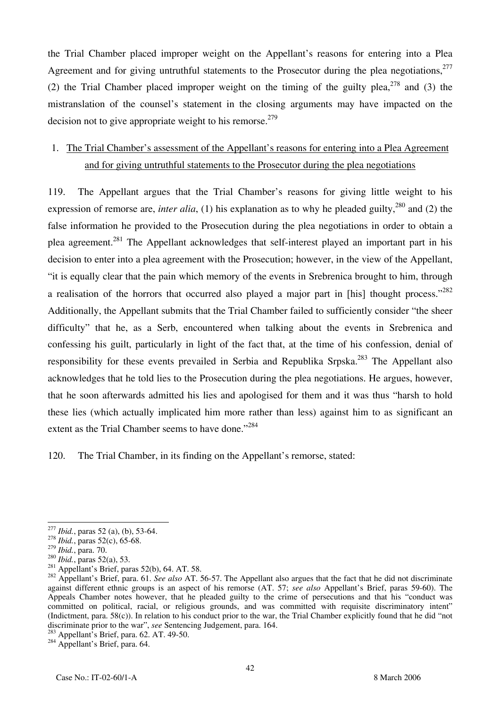the Trial Chamber placed improper weight on the Appellant's reasons for entering into a Plea Agreement and for giving untruthful statements to the Prosecutor during the plea negotiations.<sup>277</sup> (2) the Trial Chamber placed improper weight on the timing of the guilty plea,  $278$  and (3) the mistranslation of the counsel's statement in the closing arguments may have impacted on the decision not to give appropriate weight to his remorse.<sup>279</sup>

# 1. The Trial Chamber's assessment of the Appellant's reasons for entering into a Plea Agreement and for giving untruthful statements to the Prosecutor during the plea negotiations

119. The Appellant argues that the Trial Chamber's reasons for giving little weight to his expression of remorse are, *inter alia*, (1) his explanation as to why he pleaded guilty,<sup>280</sup> and (2) the false information he provided to the Prosecution during the plea negotiations in order to obtain a plea agreement.<sup>281</sup> The Appellant acknowledges that self-interest played an important part in his decision to enter into a plea agreement with the Prosecution; however, in the view of the Appellant, "it is equally clear that the pain which memory of the events in Srebrenica brought to him, through a realisation of the horrors that occurred also played a major part in [his] thought process."<sup>282</sup> Additionally, the Appellant submits that the Trial Chamber failed to sufficiently consider "the sheer difficulty" that he, as a Serb, encountered when talking about the events in Srebrenica and confessing his guilt, particularly in light of the fact that, at the time of his confession, denial of responsibility for these events prevailed in Serbia and Republika Srpska.<sup>283</sup> The Appellant also acknowledges that he told lies to the Prosecution during the plea negotiations. He argues, however, that he soon afterwards admitted his lies and apologised for them and it was thus "harsh to hold these lies (which actually implicated him more rather than less) against him to as significant an extent as the Trial Chamber seems to have done."<sup>284</sup>

120. The Trial Chamber, in its finding on the Appellant's remorse, stated:

 $^{277}$  *Ibid.*, paras 52 (a), (b), 53-64.

<sup>&</sup>lt;sup>278</sup> *Ibid.*, paras 52(c), 65-68.<br><sup>279</sup> *Ibid.*, para. 70.

<sup>&</sup>lt;sup>280</sup>*Ibid.*, paras 52(a), 53.<br><sup>281</sup> Appellant's Brief, paras 52(b), 64. AT. 58.<br><sup>281</sup> Appellant's Brief, para. 61. *See also* AT. 56-57. The Appellant also argues that the fact that he did not discriminate against different ethnic groups is an aspect of his remorse (AT. 57; *see also* Appellant's Brief, paras 59-60). The Appeals Chamber notes however, that he pleaded guilty to the crime of persecutions and that his "conduct was committed on political, racial, or religious grounds, and was committed with requisite discriminatory intent" (Indictment, para. 58(c)). In relation to his conduct prior to the war, the Trial Chamber explicitly found that he did "not discriminate prior to the war", *see* Sentencing Judgement, para. 164.<br><sup>283</sup> Appellant's Brief, para. 62. AT. 49-50.<br><sup>284</sup> Appellant's Brief, para. 64.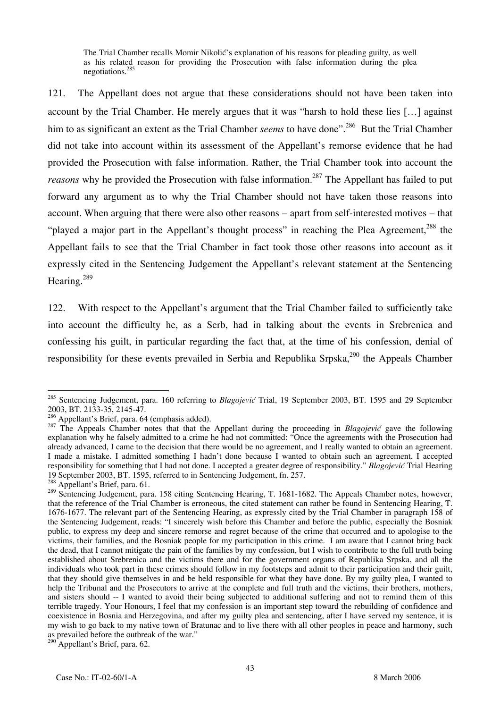The Trial Chamber recalls Momir Nikolić's explanation of his reasons for pleading guilty, as well as his related reason for providing the Prosecution with false information during the plea negotiations.285

121. The Appellant does not argue that these considerations should not have been taken into account by the Trial Chamber. He merely argues that it was "harsh to hold these lies […] against him to as significant an extent as the Trial Chamber *seems* to have done".<sup>286</sup> But the Trial Chamber did not take into account within its assessment of the Appellant's remorse evidence that he had provided the Prosecution with false information. Rather, the Trial Chamber took into account the *reasons* why he provided the Prosecution with false information.<sup>287</sup> The Appellant has failed to put forward any argument as to why the Trial Chamber should not have taken those reasons into account. When arguing that there were also other reasons – apart from self-interested motives – that "played a major part in the Appellant's thought process" in reaching the Plea Agreement,<sup>288</sup> the Appellant fails to see that the Trial Chamber in fact took those other reasons into account as it expressly cited in the Sentencing Judgement the Appellant's relevant statement at the Sentencing Hearing.<sup>289</sup>

122. With respect to the Appellant's argument that the Trial Chamber failed to sufficiently take into account the difficulty he, as a Serb, had in talking about the events in Srebrenica and confessing his guilt, in particular regarding the fact that, at the time of his confession, denial of responsibility for these events prevailed in Serbia and Republika Srpska,  $290$  the Appeals Chamber

 $290$ <sup>A</sup>ppellant's Brief, para. 62.

 $\overline{a}$ 285 Sentencing Judgement, para. 160 referring to *Blagojević* Trial, 19 September 2003, BT. 1595 and 29 September 2003, BT. 2133-35, 2145-47.<br><sup>286</sup> Appellant's Brief, para. 64 (emphasis added).

<sup>&</sup>lt;sup>287</sup> The Appeals Chamber notes that that the Appellant during the proceeding in *Blagojević* gave the following explanation why he falsely admitted to a crime he had not committed: "Once the agreements with the Prosecution had already advanced, I came to the decision that there would be no agreement, and I really wanted to obtain an agreement. I made a mistake. I admitted something I hadn't done because I wanted to obtain such an agreement. I accepted responsibility for something that I had not done. I accepted a greater degree of responsibility." *Blagojević* Trial Hearing 19 September 2003, BT. 1595, referred to in Sentencing Judgement, fn. 257. 288 Appellant's Brief, para. 61.

<sup>&</sup>lt;sup>289</sup> Sentencing Judgement, para. 158 citing Sentencing Hearing, T. 1681-1682. The Appeals Chamber notes, however, that the reference of the Trial Chamber is erroneous, the cited statement can rather be found in Sentencing Hearing, T. 1676-1677. The relevant part of the Sentencing Hearing, as expressly cited by the Trial Chamber in paragraph 158 of the Sentencing Judgement, reads: "I sincerely wish before this Chamber and before the public, especially the Bosniak public, to express my deep and sincere remorse and regret because of the crime that occurred and to apologise to the victims, their families, and the Bosniak people for my participation in this crime. I am aware that I cannot bring back the dead, that I cannot mitigate the pain of the families by my confession, but I wish to contribute to the full truth being established about Srebrenica and the victims there and for the government organs of Republika Srpska, and all the individuals who took part in these crimes should follow in my footsteps and admit to their participation and their guilt, that they should give themselves in and be held responsible for what they have done. By my guilty plea, I wanted to help the Tribunal and the Prosecutors to arrive at the complete and full truth and the victims, their brothers, mothers, and sisters should -- I wanted to avoid their being subjected to additional suffering and not to remind them of this terrible tragedy. Your Honours, I feel that my confession is an important step toward the rebuilding of confidence and coexistence in Bosnia and Herzegovina, and after my guilty plea and sentencing, after I have served my sentence, it is my wish to go back to my native town of Bratunac and to live there with all other peoples in peace and harmony, such as prevailed before the outbreak of the war."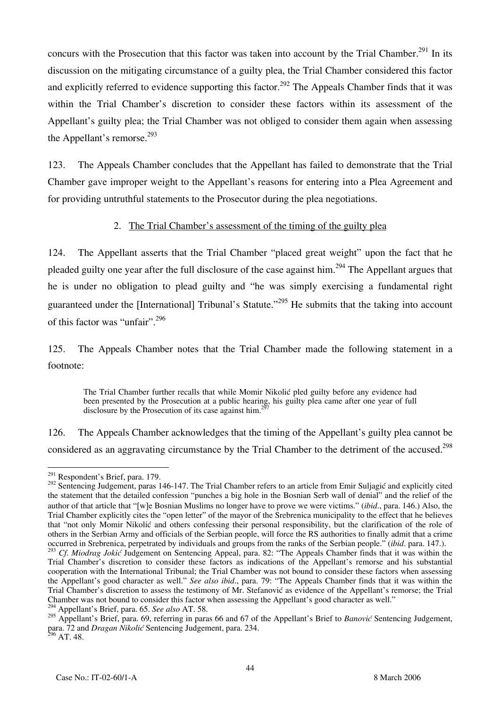concurs with the Prosecution that this factor was taken into account by the Trial Chamber.<sup>291</sup> In its discussion on the mitigating circumstance of a guilty plea, the Trial Chamber considered this factor and explicitly referred to evidence supporting this factor.<sup>292</sup> The Appeals Chamber finds that it was within the Trial Chamber's discretion to consider these factors within its assessment of the Appellant's guilty plea; the Trial Chamber was not obliged to consider them again when assessing the Appellant's remorse. $^{293}$ 

123. The Appeals Chamber concludes that the Appellant has failed to demonstrate that the Trial Chamber gave improper weight to the Appellant's reasons for entering into a Plea Agreement and for providing untruthful statements to the Prosecutor during the plea negotiations.

### 2. The Trial Chamber's assessment of the timing of the guilty plea

124. The Appellant asserts that the Trial Chamber "placed great weight" upon the fact that he pleaded guilty one year after the full disclosure of the case against him.294 The Appellant argues that he is under no obligation to plead guilty and "he was simply exercising a fundamental right guaranteed under the [International] Tribunal's Statute."<sup>295</sup> He submits that the taking into account of this factor was "unfair".<sup>296</sup>

125. The Appeals Chamber notes that the Trial Chamber made the following statement in a footnote:

The Trial Chamber further recalls that while Momir Nikolić pled guilty before any evidence had been presented by the Prosecution at a public hearing, his guilty plea came after one year of full disclosure by the Prosecution of its case against him.<sup>297</sup>

126. The Appeals Chamber acknowledges that the timing of the Appellant's guilty plea cannot be considered as an aggravating circumstance by the Trial Chamber to the detriment of the accused.<sup>298</sup>

 $\overline{a}$  $^{291}$  Respondent's Brief, para. 179.

<sup>&</sup>lt;sup>292</sup> Sentencing Judgement, paras 146-147. The Trial Chamber refers to an article from Emir Suljagić and explicitly cited the statement that the detailed confession "punches a big hole in the Bosnian Serb wall of denial" and the relief of the author of that article that "[w]e Bosnian Muslims no longer have to prove we were victims." (*ibid*., para. 146.) Also, the Trial Chamber explicitly cites the "open letter" of the mayor of the Srebrenica municipality to the effect that he believes that "not only Momir Nikolić and others confessing their personal responsibility, but the clarification of the role of others in the Serbian Army and officials of the Serbian people, will force the RS authorities to finally admit that a crime occurred in Srebrenica, perpetrated by individuals and groups from the ranks of the Serbian people." (*ibid*. para. 147.).

<sup>&</sup>lt;sup>293</sup> Cf. Miodrag Jokić Judgement on Sentencing Appeal, para. 82: "The Appeals Chamber finds that it was within the Trial Chamber's discretion to consider these factors as indications of the Appellant's remorse and his substantial cooperation with the International Tribunal; the Trial Chamber was not bound to consider these factors when assessing the Appellant's good character as well." *See also ibid*., para. 79: "The Appeals Chamber finds that it was within the Trial Chamber's discretion to assess the testimony of Mr. Stefanović as evidence of the Appellant's remorse; the Trial Chamber was not bound to consider this factor when assessing the Appellant's good character as well." 294 Appellant's Brief, para. 65. *See also* AT. 58.

<sup>&</sup>lt;sup>295</sup> Appellant's Brief, para. 69, referring in paras 66 and 67 of the Appellant's Brief to *Banović* Sentencing Judgement, para. 72 and *Dragan Nikolić* Sentencing Judgement, para. 234.  $296$  AT. 48.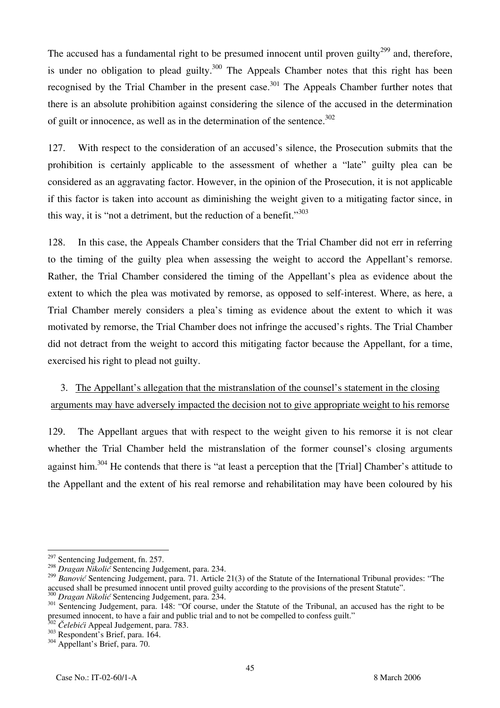The accused has a fundamental right to be presumed innocent until proven guilty<sup>299</sup> and, therefore, is under no obligation to plead guilty.<sup>300</sup> The Appeals Chamber notes that this right has been recognised by the Trial Chamber in the present case.<sup>301</sup> The Appeals Chamber further notes that there is an absolute prohibition against considering the silence of the accused in the determination of guilt or innocence, as well as in the determination of the sentence.<sup>302</sup>

127. With respect to the consideration of an accused's silence, the Prosecution submits that the prohibition is certainly applicable to the assessment of whether a "late" guilty plea can be considered as an aggravating factor. However, in the opinion of the Prosecution, it is not applicable if this factor is taken into account as diminishing the weight given to a mitigating factor since, in this way, it is "not a detriment, but the reduction of a benefit."<sup>303</sup>

128. In this case, the Appeals Chamber considers that the Trial Chamber did not err in referring to the timing of the guilty plea when assessing the weight to accord the Appellant's remorse. Rather, the Trial Chamber considered the timing of the Appellant's plea as evidence about the extent to which the plea was motivated by remorse, as opposed to self-interest. Where, as here, a Trial Chamber merely considers a plea's timing as evidence about the extent to which it was motivated by remorse, the Trial Chamber does not infringe the accused's rights. The Trial Chamber did not detract from the weight to accord this mitigating factor because the Appellant, for a time, exercised his right to plead not guilty.

# 3. The Appellant's allegation that the mistranslation of the counsel's statement in the closing arguments may have adversely impacted the decision not to give appropriate weight to his remorse

129. The Appellant argues that with respect to the weight given to his remorse it is not clear whether the Trial Chamber held the mistranslation of the former counsel's closing arguments against him.<sup>304</sup> He contends that there is "at least a perception that the [Trial] Chamber's attitude to the Appellant and the extent of his real remorse and rehabilitation may have been coloured by his

<sup>&</sup>lt;sup>297</sup> Sentencing Judgement, fn. 257.

<sup>&</sup>lt;sup>298</sup> *Dragan Nikolić* Sentencing Judgement, para. 234.

<sup>&</sup>lt;sup>299</sup> Banović Sentencing Judgement, para. 71. Article 21(3) of the Statute of the International Tribunal provides: "The accused shall be presumed innocent until proved guilty according to the provisions of the present Stat

<sup>&</sup>lt;sup>300</sup> Dragan Nikolić Sentencing Judgement, para. 234.<br><sup>301</sup> Sentencing Judgement, para. 148: "Of course, under the Statute of the Tribunal, an accused has the right to be presumed innocent, to have a fair and public trial and to not be compelled to confess guilt."<br><sup>302</sup> Čelebići Appeal Judgement, para. 783.

<sup>&</sup>lt;sup>303</sup> Respondent's Brief, para. 164. 304 Appellant's Brief, para. 70.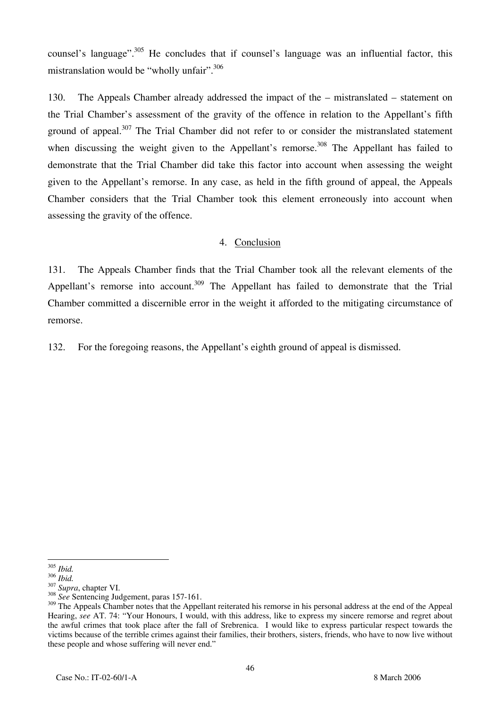counsel's language".<sup>305</sup> He concludes that if counsel's language was an influential factor, this mistranslation would be "wholly unfair".  $306$ 

130. The Appeals Chamber already addressed the impact of the – mistranslated – statement on the Trial Chamber's assessment of the gravity of the offence in relation to the Appellant's fifth ground of appeal.<sup>307</sup> The Trial Chamber did not refer to or consider the mistranslated statement when discussing the weight given to the Appellant's remorse.<sup>308</sup> The Appellant has failed to demonstrate that the Trial Chamber did take this factor into account when assessing the weight given to the Appellant's remorse. In any case, as held in the fifth ground of appeal, the Appeals Chamber considers that the Trial Chamber took this element erroneously into account when assessing the gravity of the offence.

### 4. Conclusion

131. The Appeals Chamber finds that the Trial Chamber took all the relevant elements of the Appellant's remorse into account.<sup>309</sup> The Appellant has failed to demonstrate that the Trial Chamber committed a discernible error in the weight it afforded to the mitigating circumstance of remorse.

132. For the foregoing reasons, the Appellant's eighth ground of appeal is dismissed.

 $\overline{a}$ <sup>305</sup> *Ibid.*

<sup>306</sup> *Ibid.* <sup>307</sup> *Supra*, chapter VI. <sup>308</sup> *See* Sentencing Judgement, paras 157-161.

<sup>&</sup>lt;sup>309</sup> The Appeals Chamber notes that the Appellant reiterated his remorse in his personal address at the end of the Appeal Hearing, *see* AT. 74: "Your Honours, I would, with this address, like to express my sincere remorse and regret about the awful crimes that took place after the fall of Srebrenica. I would like to express particular respect towards the victims because of the terrible crimes against their families, their brothers, sisters, friends, who have to now live without these people and whose suffering will never end."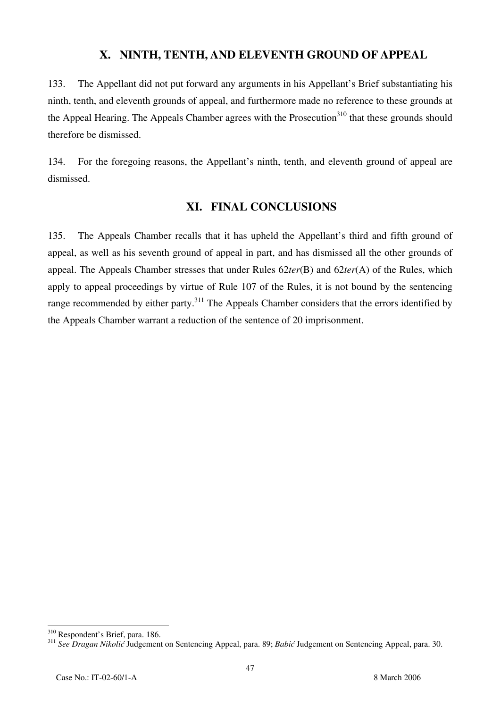## **X. NINTH, TENTH, AND ELEVENTH GROUND OF APPEAL**

133. The Appellant did not put forward any arguments in his Appellant's Brief substantiating his ninth, tenth, and eleventh grounds of appeal, and furthermore made no reference to these grounds at the Appeal Hearing. The Appeals Chamber agrees with the Prosecution<sup>310</sup> that these grounds should therefore be dismissed.

134. For the foregoing reasons, the Appellant's ninth, tenth, and eleventh ground of appeal are dismissed.

# **XI. FINAL CONCLUSIONS**

135. The Appeals Chamber recalls that it has upheld the Appellant's third and fifth ground of appeal, as well as his seventh ground of appeal in part, and has dismissed all the other grounds of appeal. The Appeals Chamber stresses that under Rules 62*ter*(B) and 62*ter*(A) of the Rules, which apply to appeal proceedings by virtue of Rule 107 of the Rules, it is not bound by the sentencing range recommended by either party.<sup>311</sup> The Appeals Chamber considers that the errors identified by the Appeals Chamber warrant a reduction of the sentence of 20 imprisonment.

<sup>&</sup>lt;sup>310</sup> Respondent's Brief, para. 186.

<sup>310</sup> Respondent's Brief, para. 186. <sup>311</sup> *See Dragan Nikolić* Judgement on Sentencing Appeal, para. 89; *Babić* Judgement on Sentencing Appeal, para. 30.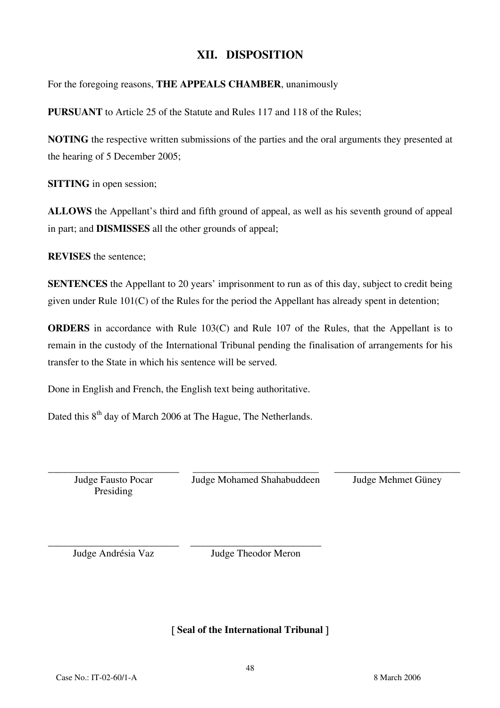# **XII. DISPOSITION**

For the foregoing reasons, **THE APPEALS CHAMBER**, unanimously

**PURSUANT** to Article 25 of the Statute and Rules 117 and 118 of the Rules;

**NOTING** the respective written submissions of the parties and the oral arguments they presented at the hearing of 5 December 2005;

**SITTING** in open session;

**ALLOWS** the Appellant's third and fifth ground of appeal, as well as his seventh ground of appeal in part; and **DISMISSES** all the other grounds of appeal;

**REVISES** the sentence;

**SENTENCES** the Appellant to 20 years' imprisonment to run as of this day, subject to credit being given under Rule 101(C) of the Rules for the period the Appellant has already spent in detention;

**ORDERS** in accordance with Rule 103(C) and Rule 107 of the Rules, that the Appellant is to remain in the custody of the International Tribunal pending the finalisation of arrangements for his transfer to the State in which his sentence will be served.

Done in English and French, the English text being authoritative.

Dated this 8<sup>th</sup> day of March 2006 at The Hague, The Netherlands.

\_\_\_\_\_\_\_\_\_\_\_\_\_\_\_\_\_\_\_\_\_\_\_\_\_\_ Judge Fausto Pocar Presiding

\_\_\_\_\_\_\_\_\_\_\_\_\_\_\_\_\_\_\_\_\_\_\_\_\_ Judge Mohamed Shahabuddeen \_\_\_\_\_\_\_\_\_\_\_\_\_\_\_\_\_\_\_\_\_\_\_\_\_ Judge Mehmet Güney

\_\_\_\_\_\_\_\_\_\_\_\_\_\_\_\_\_\_\_\_\_\_\_\_\_\_ Judge Andrésia Vaz

\_\_\_\_\_\_\_\_\_\_\_\_\_\_\_\_\_\_\_\_\_\_\_\_\_\_ Judge Theodor Meron

[ **Seal of the International Tribunal** ]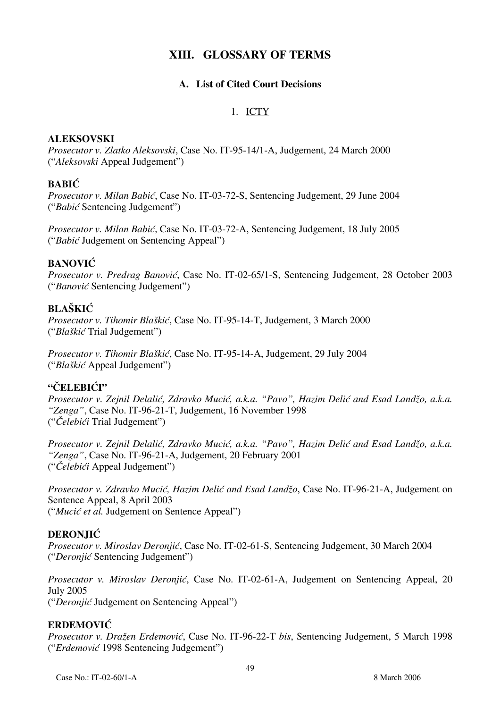# **XIII. GLOSSARY OF TERMS**

### **A. List of Cited Court Decisions**

### 1. ICTY

### **ALEKSOVSKI**

*Prosecutor v. Zlatko Aleksovski*, Case No. IT-95-14/1-A, Judgement, 24 March 2000 ("*Aleksovski* Appeal Judgement")

### **BABIĆ**

*Prosecutor v. Milan Babić*, Case No. IT-03-72-S, Sentencing Judgement, 29 June 2004 ("*Babić* Sentencing Judgement")

*Prosecutor v. Milan Babić*, Case No. IT-03-72-A, Sentencing Judgement, 18 July 2005 ("*Babić* Judgement on Sentencing Appeal")

### **BANOVIĆ**

*Prosecutor v. Predrag Banović*, Case No. IT-02-65/1-S, Sentencing Judgement, 28 October 2003 ("*Banović* Sentencing Judgement")

### **BLAŠKIĆ**

*Prosecutor v. Tihomir Blaškić*, Case No. IT-95-14-T, Judgement, 3 March 2000 ("*Blaškić* Trial Judgement")

*Prosecutor v. Tihomir Blaškić*, Case No. IT-95-14-A, Judgement, 29 July 2004 ("*Blaškić* Appeal Judgement")

### **"ČELEBIĆI"**

*Prosecutor v. Zejnil Delalić, Zdravko Mucić, a.k.a. "Pavo", Hazim Delić and Esad Landžo, a.k.a. "Zenga"*, Case No. IT-96-21-T, Judgement, 16 November 1998 ("*Čelebići* Trial Judgement")

*Prosecutor v. Zejnil Delalić, Zdravko Mucić, a.k.a. "Pavo", Hazim Delić and Esad Landžo, a.k.a. "Zenga"*, Case No. IT-96-21-A, Judgement, 20 February 2001 ("*Čelebići* Appeal Judgement")

*Prosecutor v. Zdravko Mucić, Hazim Delić and Esad Landžo*, Case No. IT-96-21-A, Judgement on Sentence Appeal, 8 April 2003 ("*Mucić et al.* Judgement on Sentence Appeal")

### **DERONJIĆ**

*Prosecutor v. Miroslav Deronjić*, Case No. IT-02-61-S, Sentencing Judgement, 30 March 2004 ("*Deronjić* Sentencing Judgement")

*Prosecutor v. Miroslav Deronjić*, Case No. IT-02-61-A, Judgement on Sentencing Appeal, 20 July 2005 ("*Deronjić* Judgement on Sentencing Appeal")

### **ERDEMOVIĆ**

*Prosecutor v. Dražen Erdemovi}*, Case No. IT-96-22-T *bis*, Sentencing Judgement, 5 March 1998 ("*Erdemović* 1998 Sentencing Judgement")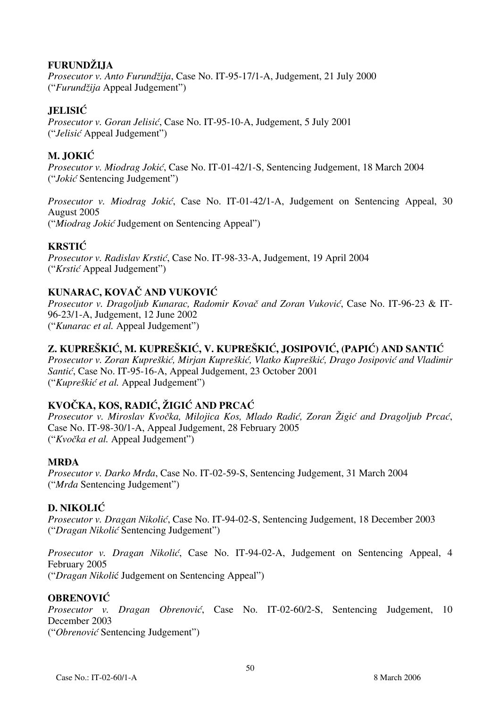### **FURUNDŽIJA**

*Prosecutor v. Anto Furundžija*, Case No. IT-95-17/1-A, Judgement, 21 July 2000 ("*Furundžija* Appeal Judgement")

## **JELISIĆ**

*Prosecutor v. Goran Jelisić*, Case No. IT-95-10-A, Judgement, 5 July 2001 ("*Jelisić* Appeal Judgement")

# **M. JOKIĆ**

*Prosecutor v. Miodrag Jokić*, Case No. IT-01-42/1-S, Sentencing Judgement, 18 March 2004 ("*Jokić* Sentencing Judgement")

*Prosecutor v. Miodrag Jokić*, Case No. IT-01-42/1-A, Judgement on Sentencing Appeal, 30 August 2005 ("*Miodrag Jokić* Judgement on Sentencing Appeal")

## **KRSTIĆ**

*Prosecutor v. Radislav Krstić*, Case No. IT-98-33-A, Judgement, 19 April 2004 ("*Krstić* Appeal Judgement")

# **KUNARAC, KOVAČ AND VUKOVIĆ**

*Prosecutor v. Dragoljub Kunarac, Radomir Kovač and Zoran Vuković*, Case No. IT-96-23 & IT-96-23/1-A, Judgement, 12 June 2002 ("*Kunarac et al.* Appeal Judgement")

## **Z. KUPREŠKIĆ, M. KUPREŠKIĆ, V. KUPREŠKIĆ, JOSIPOVIĆ, (PAPI]) AND SANTIĆ**

*Prosecutor v. Zoran Kupreškić, Mirjan Kupreškić, Vlatko Kupreškić, Drago Josipović and Vladimir Santić*, Case No. IT-95-16-A, Appeal Judgement, 23 October 2001 ("*Kupreškić et al.* Appeal Judgement")

### **KVOČKA, KOS, RADIĆ, ŽIGIĆ AND PRCAĆ**

Prosecutor v. Miroslav Kvočka, Milojica Kos, Mlado Radić, Zoran Žigić and Dragoljub Prcać, Case No. IT-98-30/1-A, Appeal Judgement, 28 February 2005 ("*Kvoèka et al.* Appeal Judgement")

### **MRĐA**

*Prosecutor v. Darko Mrđa*, Case No. IT-02-59-S, Sentencing Judgement, 31 March 2004 ("*Mrđa* Sentencing Judgement")

### **D. NIKOLIĆ**

*Prosecutor v. Dragan Nikolić*, Case No. IT-94-02-S, Sentencing Judgement, 18 December 2003 ("*Dragan Nikolić* Sentencing Judgement")

*Prosecutor v. Dragan Nikolić*, Case No. IT-94-02-A, Judgement on Sentencing Appeal, 4 February 2005 ("*Dragan Nikoli*ć Judgement on Sentencing Appeal")

### **OBRENOVIĆ**

*Prosecutor v. Dragan Obrenović*, Case No. IT-02-60/2-S, Sentencing Judgement, 10 December 2003 ("*Obrenović* Sentencing Judgement")

Case No.: IT-02-60/1-A 8 March 2006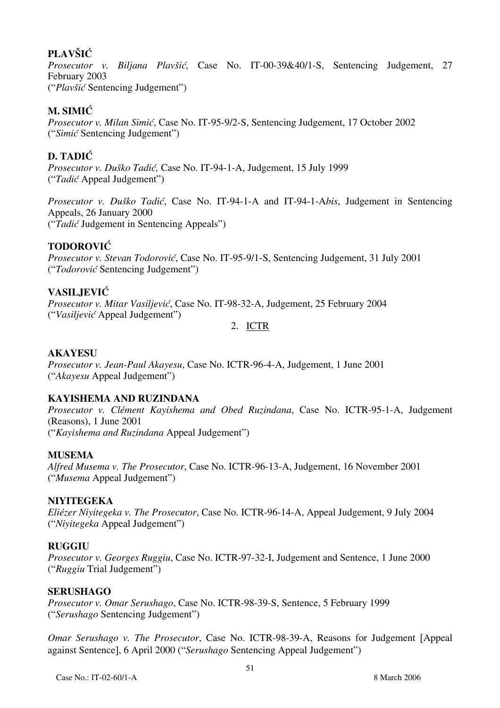# **PLAVŠIĆ**

*Prosecutor v. Biljana Plavšić,* Case No. IT-00-39&40/1-S, Sentencing Judgement, 27 February 2003 ("*Plavšić* Sentencing Judgement")

## **M. SIMIĆ**

*Prosecutor v. Milan Simić*, Case No. IT-95-9/2-S, Sentencing Judgement, 17 October 2002 ("*Simić* Sentencing Judgement")

## **D. TADIĆ**

*Prosecutor v. Duško Tadić,* Case No. IT-94-1-A, Judgement, 15 July 1999 ("*Tadić* Appeal Judgement")

*Prosecutor v. Duško Tadić*, Case No. IT-94-1-A and IT-94-1-A*bis*, Judgement in Sentencing Appeals, 26 January 2000 ("*Tadić* Judgement in Sentencing Appeals")

### **TODOROVIĆ**

*Prosecutor v. Stevan Todorović*, Case No. IT-95-9/1-S, Sentencing Judgement, 31 July 2001 ("*Todorović* Sentencing Judgement")

## **VASILJEVIĆ**

*Prosecutor v. Mitar Vasiljević*, Case No. IT-98-32-A, Judgement, 25 February 2004 ("*Vasiljević* Appeal Judgement")

2. ICTR

### **AKAYESU**

*Prosecutor v. Jean-Paul Akayesu*, Case No. ICTR-96-4-A, Judgement, 1 June 2001 ("*Akayesu* Appeal Judgement")

### **KAYISHEMA AND RUZINDANA**

*Prosecutor v. Clément Kayishema and Obed Ruzindana*, Case No. ICTR-95-1-A, Judgement (Reasons), 1 June 2001 ("*Kayishema and Ruzindana* Appeal Judgement")

### **MUSEMA**

*Alfred Musema v. The Prosecutor*, Case No. ICTR-96-13-A, Judgement, 16 November 2001 ("*Musema* Appeal Judgement")

### **NIYITEGEKA**

*Eliézer Niyitegeka v. The Prosecutor*, Case No. ICTR-96-14-A, Appeal Judgement, 9 July 2004 ("*Niyitegeka* Appeal Judgement")

### **RUGGIU**

*Prosecutor v. Georges Ruggiu*, Case No. ICTR-97-32-I, Judgement and Sentence, 1 June 2000 ("*Ruggiu* Trial Judgement")

### **SERUSHAGO**

*Prosecutor v. Omar Serushago*, Case No. ICTR-98-39-S, Sentence, 5 February 1999 ("*Serushago* Sentencing Judgement")

*Omar Serushago v. The Prosecutor*, Case No. ICTR-98-39-A, Reasons for Judgement [Appeal against Sentence], 6 April 2000 ("*Serushago* Sentencing Appeal Judgement")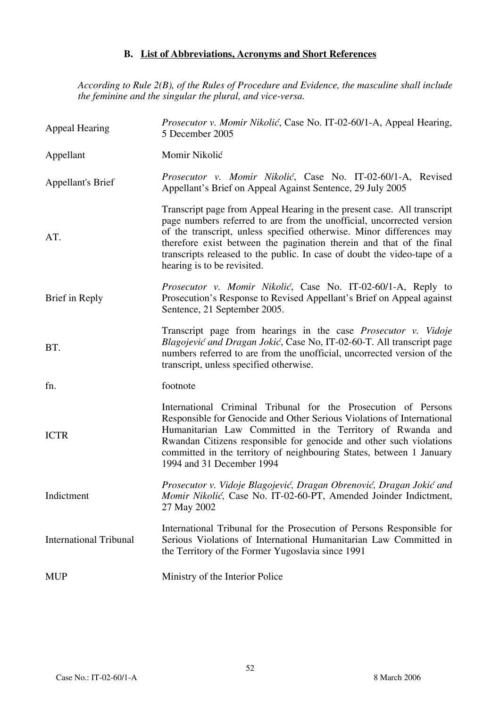## **B. List of Abbreviations, Acronyms and Short References**

*According to Rule 2(B), of the Rules of Procedure and Evidence, the masculine shall include the feminine and the singular the plural, and vice-versa.*

| Appeal Hearing                | Prosecutor v. Momir Nikolić, Case No. IT-02-60/1-A, Appeal Hearing,<br>5 December 2005                                                                                                                                                                                                                                                                                                                      |
|-------------------------------|-------------------------------------------------------------------------------------------------------------------------------------------------------------------------------------------------------------------------------------------------------------------------------------------------------------------------------------------------------------------------------------------------------------|
| Appellant                     | Momir Nikolić                                                                                                                                                                                                                                                                                                                                                                                               |
| <b>Appellant's Brief</b>      | Prosecutor v. Momir Nikolić, Case No. IT-02-60/1-A, Revised<br>Appellant's Brief on Appeal Against Sentence, 29 July 2005                                                                                                                                                                                                                                                                                   |
| AT.                           | Transcript page from Appeal Hearing in the present case. All transcript<br>page numbers referred to are from the unofficial, uncorrected version<br>of the transcript, unless specified otherwise. Minor differences may<br>therefore exist between the pagination therein and that of the final<br>transcripts released to the public. In case of doubt the video-tape of a<br>hearing is to be revisited. |
| Brief in Reply                | Prosecutor v. Momir Nikolić, Case No. IT-02-60/1-A, Reply to<br>Prosecution's Response to Revised Appellant's Brief on Appeal against<br>Sentence, 21 September 2005.                                                                                                                                                                                                                                       |
| BT.                           | Transcript page from hearings in the case Prosecutor v. Vidoje<br>Blagojević and Dragan Jokić, Case No, IT-02-60-T. All transcript page<br>numbers referred to are from the unofficial, uncorrected version of the<br>transcript, unless specified otherwise.                                                                                                                                               |
| fn.                           | footnote                                                                                                                                                                                                                                                                                                                                                                                                    |
| <b>ICTR</b>                   | International Criminal Tribunal for the Prosecution of Persons<br>Responsible for Genocide and Other Serious Violations of International<br>Humanitarian Law Committed in the Territory of Rwanda and<br>Rwandan Citizens responsible for genocide and other such violations<br>committed in the territory of neighbouring States, between 1 January<br>1994 and 31 December 1994                           |
| Indictment                    | Prosecutor v. Vidoje Blagojević, Dragan Obrenović, Dragan Jokić and<br>Momir Nikolić, Case No. IT-02-60-PT, Amended Joinder Indictment,<br>27 May 2002                                                                                                                                                                                                                                                      |
| <b>International Tribunal</b> | International Tribunal for the Prosecution of Persons Responsible for<br>Serious Violations of International Humanitarian Law Committed in<br>the Territory of the Former Yugoslavia since 1991                                                                                                                                                                                                             |
| <b>MUP</b>                    | Ministry of the Interior Police                                                                                                                                                                                                                                                                                                                                                                             |